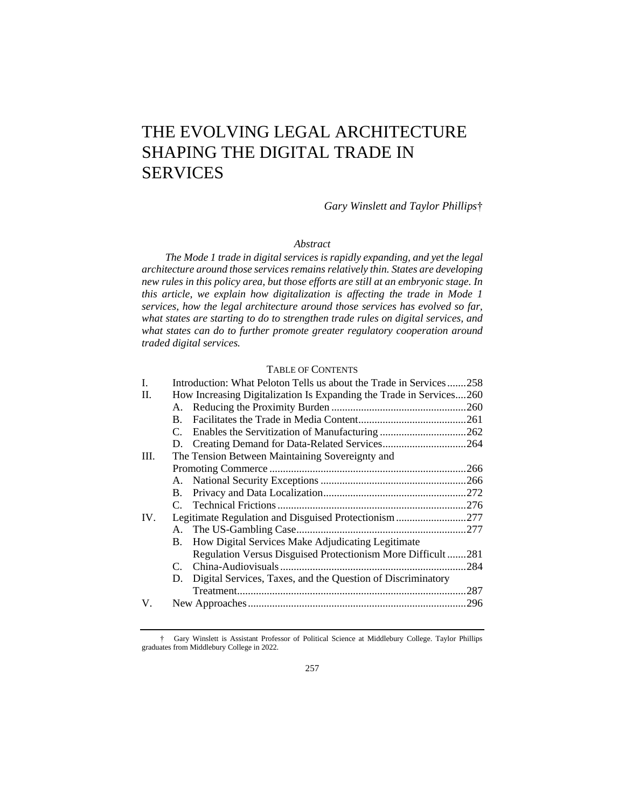# THE EVOLVING LEGAL ARCHITECTURE SHAPING THE DIGITAL TRADE IN **SERVICES**

*Gary Winslett and Taylor Phillips*†

#### *Abstract*

*The Mode 1 trade in digital services is rapidly expanding, and yet the legal architecture around those services remains relatively thin. States are developing new rules in this policy area, but those efforts are still at an embryonic stage. In this article, we explain how digitalization is affecting the trade in Mode 1 services, how the legal architecture around those services has evolved so far, what states are starting to do to strengthen trade rules on digital services, and what states can do to further promote greater regulatory cooperation around traded digital services.*

# TABLE OF CONTENTS

| L    |                                                 | Introduction: What Peloton Tells us about the Trade in Services258  |      |  |
|------|-------------------------------------------------|---------------------------------------------------------------------|------|--|
| П.   |                                                 | How Increasing Digitalization Is Expanding the Trade in Services260 |      |  |
|      |                                                 |                                                                     |      |  |
|      | $\mathbf{B}_{\cdot}$                            |                                                                     |      |  |
|      |                                                 |                                                                     |      |  |
|      |                                                 | D. Creating Demand for Data-Related Services264                     |      |  |
| III. | The Tension Between Maintaining Sovereignty and |                                                                     |      |  |
|      |                                                 |                                                                     |      |  |
|      |                                                 |                                                                     |      |  |
|      |                                                 |                                                                     |      |  |
|      |                                                 |                                                                     |      |  |
| IV.  |                                                 | Legitimate Regulation and Disguised Protectionism 277               |      |  |
|      |                                                 |                                                                     |      |  |
|      |                                                 | B. How Digital Services Make Adjudicating Legitimate                |      |  |
|      |                                                 | Regulation Versus Disguised Protectionism More Difficult281         |      |  |
|      |                                                 |                                                                     | .284 |  |
|      | D.                                              | Digital Services, Taxes, and the Question of Discriminatory         |      |  |
|      |                                                 |                                                                     | .287 |  |
| V.   |                                                 |                                                                     |      |  |
|      |                                                 |                                                                     |      |  |

<sup>†</sup> Gary Winslett is Assistant Professor of Political Science at Middlebury College. Taylor Phillips graduates from Middlebury College in 2022.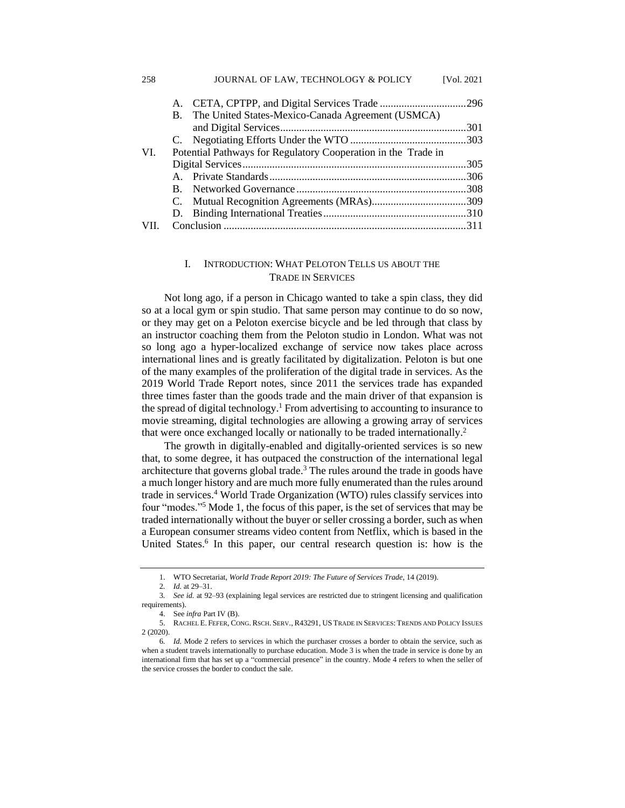|     | B.                                                            | The United States-Mexico-Canada Agreement (USMCA) |  |  |
|-----|---------------------------------------------------------------|---------------------------------------------------|--|--|
|     |                                                               |                                                   |  |  |
|     |                                                               |                                                   |  |  |
| VL. | Potential Pathways for Regulatory Cooperation in the Trade in |                                                   |  |  |
|     |                                                               |                                                   |  |  |
|     |                                                               |                                                   |  |  |
|     |                                                               |                                                   |  |  |
|     |                                                               |                                                   |  |  |
|     | D.                                                            |                                                   |  |  |
|     |                                                               |                                                   |  |  |

# I. INTRODUCTION: WHAT PELOTON TELLS US ABOUT THE TRADE IN SERVICES

Not long ago, if a person in Chicago wanted to take a spin class, they did so at a local gym or spin studio. That same person may continue to do so now, or they may get on a Peloton exercise bicycle and be led through that class by an instructor coaching them from the Peloton studio in London. What was not so long ago a hyper-localized exchange of service now takes place across international lines and is greatly facilitated by digitalization. Peloton is but one of the many examples of the proliferation of the digital trade in services. As the 2019 World Trade Report notes, since 2011 the services trade has expanded three times faster than the goods trade and the main driver of that expansion is the spread of digital technology.<sup>1</sup> From advertising to accounting to insurance to movie streaming, digital technologies are allowing a growing array of services that were once exchanged locally or nationally to be traded internationally.<sup>2</sup>

The growth in digitally-enabled and digitally-oriented services is so new that, to some degree, it has outpaced the construction of the international legal architecture that governs global trade.<sup>3</sup> The rules around the trade in goods have a much longer history and are much more fully enumerated than the rules around trade in services.<sup>4</sup> World Trade Organization (WTO) rules classify services into four "modes."<sup>5</sup> Mode 1, the focus of this paper, is the set of services that may be traded internationally without the buyer or seller crossing a border, such as when a European consumer streams video content from Netflix, which is based in the United States.<sup>6</sup> In this paper, our central research question is: how is the

258 JOURNAL OF LAW, TECHNOLOGY & POLICY [Vol. 2021

<sup>1.</sup> WTO Secretariat, *World Trade Report 2019: The Future of Services Trade*, 14 (2019).

<sup>2</sup>*. Id.* at 29–31.

<sup>3</sup>*. See id.* at 92–93 (explaining legal services are restricted due to stringent licensing and qualification requirements).

<sup>4.</sup> See *infra* Part IV (B).

<sup>5.</sup> RACHEL E. FEFER, CONG. RSCH. SERV., R43291, USTRADE IN SERVICES: TRENDS AND POLICY ISSUES 2 (2020).

<sup>6</sup>*. Id.* Mode 2 refers to services in which the purchaser crosses a border to obtain the service, such as when a student travels internationally to purchase education. Mode 3 is when the trade in service is done by an international firm that has set up a "commercial presence" in the country. Mode 4 refers to when the seller of the service crosses the border to conduct the sale.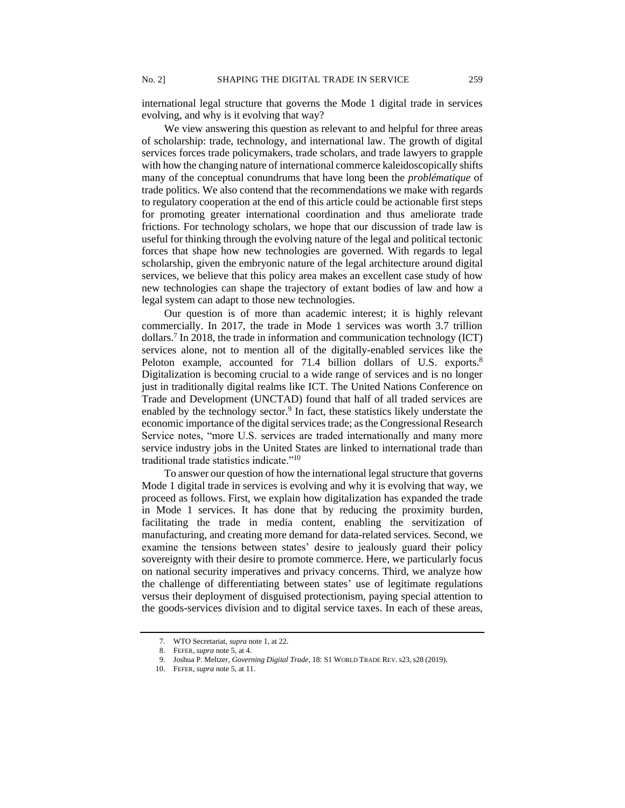international legal structure that governs the Mode 1 digital trade in services evolving, and why is it evolving that way?

We view answering this question as relevant to and helpful for three areas of scholarship: trade, technology, and international law. The growth of digital services forces trade policymakers, trade scholars, and trade lawyers to grapple with how the changing nature of international commerce kaleidoscopically shifts many of the conceptual conundrums that have long been the *problématique* of trade politics. We also contend that the recommendations we make with regards to regulatory cooperation at the end of this article could be actionable first steps for promoting greater international coordination and thus ameliorate trade frictions. For technology scholars, we hope that our discussion of trade law is useful for thinking through the evolving nature of the legal and political tectonic forces that shape how new technologies are governed. With regards to legal scholarship, given the embryonic nature of the legal architecture around digital services, we believe that this policy area makes an excellent case study of how new technologies can shape the trajectory of extant bodies of law and how a legal system can adapt to those new technologies.

Our question is of more than academic interest; it is highly relevant commercially. In 2017, the trade in Mode 1 services was worth 3.7 trillion dollars.<sup>7</sup> In 2018, the trade in information and communication technology (ICT) services alone, not to mention all of the digitally-enabled services like the Peloton example, accounted for 71.4 billion dollars of U.S. exports.<sup>8</sup> Digitalization is becoming crucial to a wide range of services and is no longer just in traditionally digital realms like ICT. The United Nations Conference on Trade and Development (UNCTAD) found that half of all traded services are enabled by the technology sector.<sup>9</sup> In fact, these statistics likely understate the economic importance of the digital services trade; as the Congressional Research Service notes, "more U.S. services are traded internationally and many more service industry jobs in the United States are linked to international trade than traditional trade statistics indicate."<sup>10</sup>

To answer our question of how the international legal structure that governs Mode 1 digital trade in services is evolving and why it is evolving that way, we proceed as follows. First, we explain how digitalization has expanded the trade in Mode 1 services. It has done that by reducing the proximity burden, facilitating the trade in media content, enabling the servitization of manufacturing, and creating more demand for data-related services. Second, we examine the tensions between states' desire to jealously guard their policy sovereignty with their desire to promote commerce. Here, we particularly focus on national security imperatives and privacy concerns. Third, we analyze how the challenge of differentiating between states' use of legitimate regulations versus their deployment of disguised protectionism, paying special attention to the goods-services division and to digital service taxes. In each of these areas,

<sup>7.</sup> WTO Secretariat, *supra* note 1, at 22.

<sup>8.</sup> FEFER, *supra* note 5, at 4.

<sup>9.</sup> Joshua P. Meltzer, *Governing Digital Trade*, 18: S1 WORLD TRADE REV.s23,s28 (2019).

<sup>10.</sup> FEFER, *supra* note 5, at 11.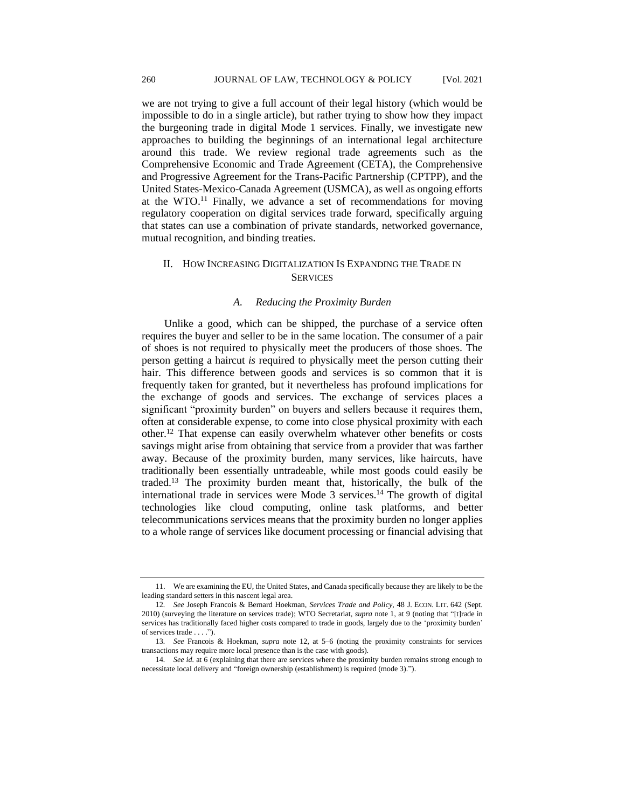we are not trying to give a full account of their legal history (which would be impossible to do in a single article), but rather trying to show how they impact the burgeoning trade in digital Mode 1 services. Finally, we investigate new approaches to building the beginnings of an international legal architecture around this trade. We review regional trade agreements such as the Comprehensive Economic and Trade Agreement (CETA), the Comprehensive and Progressive Agreement for the Trans-Pacific Partnership (CPTPP), and the United States-Mexico-Canada Agreement (USMCA), as well as ongoing efforts at the WTO. $^{11}$  Finally, we advance a set of recommendations for moving regulatory cooperation on digital services trade forward, specifically arguing that states can use a combination of private standards, networked governance, mutual recognition, and binding treaties.

# II. HOW INCREASING DIGITALIZATION IS EXPANDING THE TRADE IN **SERVICES**

# *A. Reducing the Proximity Burden*

Unlike a good, which can be shipped, the purchase of a service often requires the buyer and seller to be in the same location. The consumer of a pair of shoes is not required to physically meet the producers of those shoes. The person getting a haircut *is* required to physically meet the person cutting their hair. This difference between goods and services is so common that it is frequently taken for granted, but it nevertheless has profound implications for the exchange of goods and services. The exchange of services places a significant "proximity burden" on buyers and sellers because it requires them, often at considerable expense, to come into close physical proximity with each other.<sup>12</sup> That expense can easily overwhelm whatever other benefits or costs savings might arise from obtaining that service from a provider that was farther away. Because of the proximity burden, many services, like haircuts, have traditionally been essentially untradeable, while most goods could easily be traded.<sup>13</sup> The proximity burden meant that, historically, the bulk of the international trade in services were Mode 3 services.<sup>14</sup> The growth of digital technologies like cloud computing, online task platforms, and better telecommunications services means that the proximity burden no longer applies to a whole range of services like document processing or financial advising that

<sup>11.</sup> We are examining the EU, the United States, and Canada specifically because they are likely to be the leading standard setters in this nascent legal area.

<sup>12</sup>*. See* Joseph Francois & Bernard Hoekman, *Services Trade and Policy*, 48 J. ECON. LIT. 642 (Sept. 2010) (surveying the literature on services trade); WTO Secretariat, *supra* note 1, at 9 (noting that "[t]rade in services has traditionally faced higher costs compared to trade in goods, largely due to the 'proximity burden' of services trade . . . .").

<sup>13</sup>*. See* Francois & Hoekman*, supra* note 12, at 5–6 (noting the proximity constraints for services transactions may require more local presence than is the case with goods).

<sup>14</sup>*. See id.* at 6 (explaining that there are services where the proximity burden remains strong enough to necessitate local delivery and "foreign ownership (establishment) is required (mode 3).").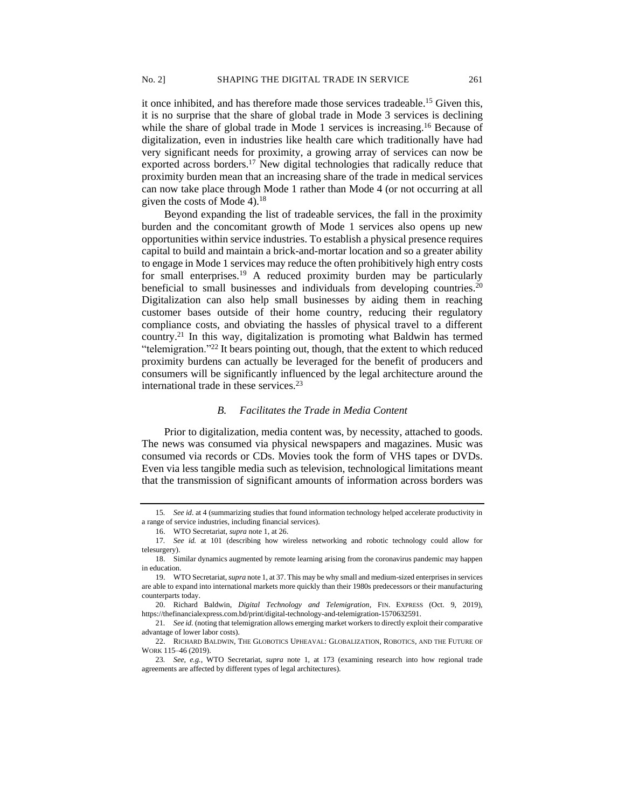it once inhibited, and has therefore made those services tradeable.<sup>15</sup> Given this, it is no surprise that the share of global trade in Mode 3 services is declining while the share of global trade in Mode 1 services is increasing.<sup>16</sup> Because of digitalization, even in industries like health care which traditionally have had very significant needs for proximity, a growing array of services can now be exported across borders.<sup>17</sup> New digital technologies that radically reduce that proximity burden mean that an increasing share of the trade in medical services can now take place through Mode 1 rather than Mode 4 (or not occurring at all given the costs of Mode 4).<sup>18</sup>

Beyond expanding the list of tradeable services, the fall in the proximity burden and the concomitant growth of Mode 1 services also opens up new opportunities within service industries. To establish a physical presence requires capital to build and maintain a brick-and-mortar location and so a greater ability to engage in Mode 1 services may reduce the often prohibitively high entry costs for small enterprises.<sup>19</sup> A reduced proximity burden may be particularly beneficial to small businesses and individuals from developing countries.<sup>20</sup> Digitalization can also help small businesses by aiding them in reaching customer bases outside of their home country, reducing their regulatory compliance costs, and obviating the hassles of physical travel to a different country.<sup>21</sup> In this way, digitalization is promoting what Baldwin has termed "telemigration."<sup>22</sup> It bears pointing out, though, that the extent to which reduced proximity burdens can actually be leveraged for the benefit of producers and consumers will be significantly influenced by the legal architecture around the international trade in these services. $^{23}$ 

# *B. Facilitates the Trade in Media Content*

Prior to digitalization, media content was, by necessity, attached to goods. The news was consumed via physical newspapers and magazines. Music was consumed via records or CDs. Movies took the form of VHS tapes or DVDs. Even via less tangible media such as television, technological limitations meant that the transmission of significant amounts of information across borders was

<sup>15</sup>*. See id*. at 4 (summarizing studies that found information technology helped accelerate productivity in a range of service industries, including financial services).

<sup>16.</sup> WTO Secretariat*, supra* note 1, at 26.

<sup>17</sup>*. See id.* at 101 (describing how wireless networking and robotic technology could allow for telesurgery).

<sup>18.</sup> Similar dynamics augmented by remote learning arising from the coronavirus pandemic may happen in education.

<sup>19.</sup> WTO Secretariat, *supra* note 1, at 37. This may be why small and medium-sized enterprises in services are able to expand into international markets more quickly than their 1980s predecessors or their manufacturing counterparts today.

<sup>20.</sup> Richard Baldwin, *Digital Technology and Telemigration*, FIN. EXPRESS (Oct. 9, 2019), https://thefinancialexpress.com.bd/print/digital-technology-and-telemigration-1570632591.

<sup>21</sup>*. See id.* (noting that telemigration allows emerging market workers to directly exploit their comparative advantage of lower labor costs).

<sup>22.</sup> RICHARD BALDWIN, THE GLOBOTICS UPHEAVAL: GLOBALIZATION, ROBOTICS, AND THE FUTURE OF WORK 115–46 (2019).

<sup>23</sup>*. See, e.g.*, WTO Secretariat, *supra* note 1, at 173 (examining research into how regional trade agreements are affected by different types of legal architectures).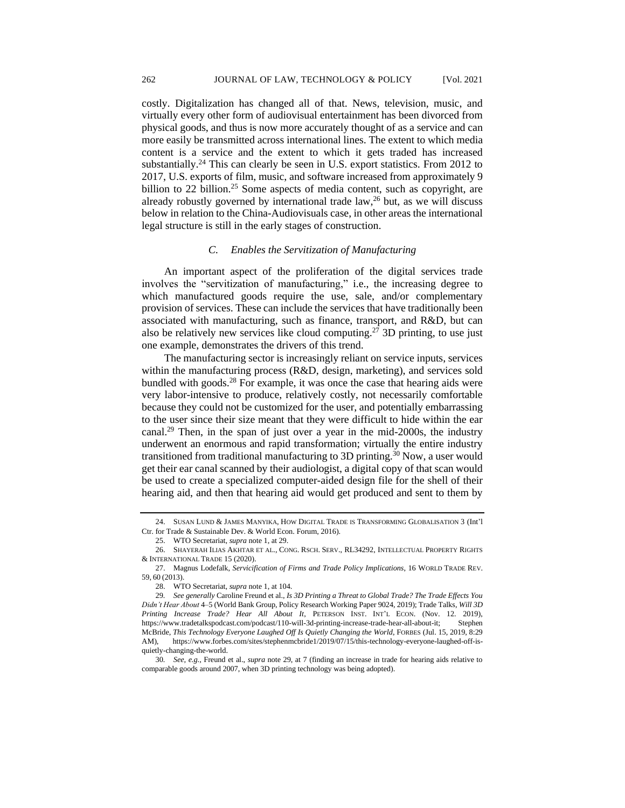costly. Digitalization has changed all of that. News, television, music, and virtually every other form of audiovisual entertainment has been divorced from physical goods, and thus is now more accurately thought of as a service and can more easily be transmitted across international lines. The extent to which media content is a service and the extent to which it gets traded has increased substantially.<sup>24</sup> This can clearly be seen in U.S. export statistics. From 2012 to 2017, U.S. exports of film, music, and software increased from approximately 9 billion to 22 billion.<sup>25</sup> Some aspects of media content, such as copyright, are already robustly governed by international trade law, $26$  but, as we will discuss below in relation to the China-Audiovisuals case, in other areas the international legal structure is still in the early stages of construction.

#### *C. Enables the Servitization of Manufacturing*

An important aspect of the proliferation of the digital services trade involves the "servitization of manufacturing," i.e., the increasing degree to which manufactured goods require the use, sale, and/or complementary provision of services. These can include the services that have traditionally been associated with manufacturing, such as finance, transport, and R&D, but can also be relatively new services like cloud computing.<sup>27</sup> 3D printing, to use just one example, demonstrates the drivers of this trend.

The manufacturing sector is increasingly reliant on service inputs, services within the manufacturing process (R&D, design, marketing), and services sold bundled with goods.<sup>28</sup> For example, it was once the case that hearing aids were very labor-intensive to produce, relatively costly, not necessarily comfortable because they could not be customized for the user, and potentially embarrassing to the user since their size meant that they were difficult to hide within the ear canal.<sup>29</sup> Then, in the span of just over a year in the mid-2000s, the industry underwent an enormous and rapid transformation; virtually the entire industry transitioned from traditional manufacturing to 3D printing.<sup>30</sup> Now, a user would get their ear canal scanned by their audiologist, a digital copy of that scan would be used to create a specialized computer-aided design file for the shell of their hearing aid, and then that hearing aid would get produced and sent to them by

<sup>24.</sup> SUSAN LUND & JAMES MANYIKA, HOW DIGITAL TRADE IS TRANSFORMING GLOBALISATION 3 (Int'l Ctr. for Trade & Sustainable Dev. & World Econ. Forum, 2016).

<sup>25.</sup> WTO Secretariat, *supra* note 1, at 29.

<sup>26.</sup> SHAYERAH ILIAS AKHTAR ET AL., CONG. RSCH. SERV., RL34292, INTELLECTUAL PROPERTY RIGHTS & INTERNATIONAL TRADE 15 (2020).

<sup>27.</sup> Magnus Lodefalk, *Servicification of Firms and Trade Policy Implications*, 16 WORLD TRADE REV. 59, 60 (2013).

<sup>28.</sup> WTO Secretariat, *supra* note 1, at 104.

<sup>29</sup>*. See generally* Caroline Freund et al., *Is 3D Printing a Threat to Global Trade? The Trade Effects You Didn't Hear About* 4–5 (World Bank Group, Policy Research Working Paper 9024, 2019); Trade Talks*, Will 3D Printing Increase Trade? Hear All About It*, PETERSON INST. INT'L ECON. (Nov. 12. 2019), https://www.tradetalkspodcast.com/podcast/110-will-3d-printing-increase-trade-hear-all-about-it; Stephen McBride, *This Technology Everyone Laughed Off Is Quietly Changing the World*, FORBES (Jul. 15, 2019, 8:29 AM), https://www.forbes.com/sites/stephenmcbride1/2019/07/15/this-technology-everyone-laughed-off-isquietly-changing-the-world.

<sup>30</sup>*. See, e.g.*, Freund et al., *supra* note 29, at 7 (finding an increase in trade for hearing aids relative to comparable goods around 2007, when 3D printing technology was being adopted).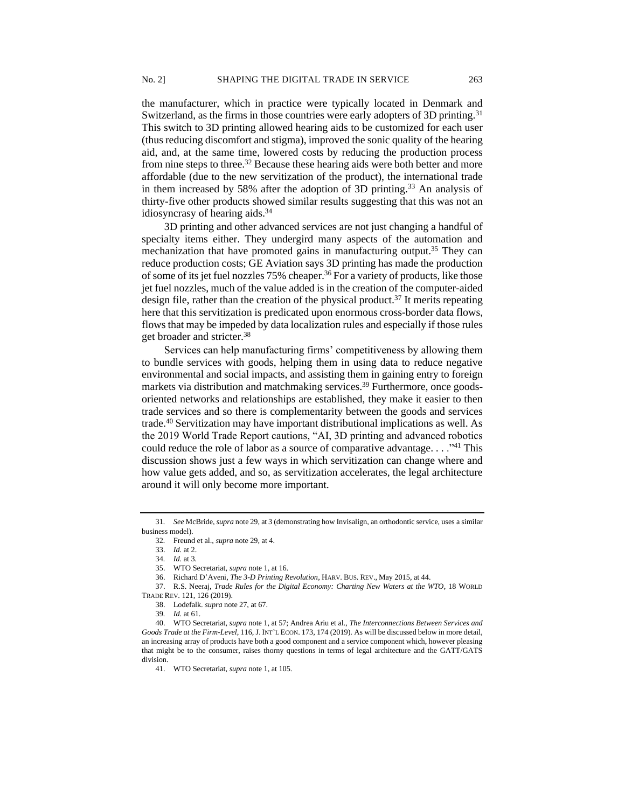the manufacturer, which in practice were typically located in Denmark and Switzerland, as the firms in those countries were early adopters of 3D printing.<sup>31</sup> This switch to 3D printing allowed hearing aids to be customized for each user (thus reducing discomfort and stigma), improved the sonic quality of the hearing aid, and, at the same time, lowered costs by reducing the production process from nine steps to three.<sup>32</sup> Because these hearing aids were both better and more affordable (due to the new servitization of the product), the international trade in them increased by 58% after the adoption of 3D printing.<sup>33</sup> An analysis of thirty-five other products showed similar results suggesting that this was not an idiosyncrasy of hearing aids.<sup>34</sup>

3D printing and other advanced services are not just changing a handful of specialty items either. They undergird many aspects of the automation and mechanization that have promoted gains in manufacturing output.<sup>35</sup> They can reduce production costs; GE Aviation says 3D printing has made the production of some of its jet fuel nozzles 75% cheaper.<sup>36</sup> For a variety of products, like those jet fuel nozzles, much of the value added is in the creation of the computer-aided design file, rather than the creation of the physical product.<sup>37</sup> It merits repeating here that this servitization is predicated upon enormous cross-border data flows, flows that may be impeded by data localization rules and especially if those rules get broader and stricter.<sup>38</sup>

Services can help manufacturing firms' competitiveness by allowing them to bundle services with goods, helping them in using data to reduce negative environmental and social impacts, and assisting them in gaining entry to foreign markets via distribution and matchmaking services.<sup>39</sup> Furthermore, once goodsoriented networks and relationships are established, they make it easier to then trade services and so there is complementarity between the goods and services trade.<sup>40</sup> Servitization may have important distributional implications as well. As the 2019 World Trade Report cautions, "AI, 3D printing and advanced robotics could reduce the role of labor as a source of comparative advantage.  $\dots$ <sup>41</sup> This discussion shows just a few ways in which servitization can change where and how value gets added, and so, as servitization accelerates, the legal architecture around it will only become more important.

<sup>31</sup>*. See* McBride, *supra* note 29, at 3 (demonstrating how Invisalign, an orthodontic service, uses a similar business model).

<sup>32</sup>*.* Freund et al., *supra* note 29, at 4.

<sup>33.</sup> *Id.* at 2.

<sup>34</sup>*. Id.* at 3*.*

<sup>35.</sup> WTO Secretariat, *supra* note 1, at 16.

<sup>36.</sup> Richard D'Aveni, *The 3-D Printing Revolution*, HARV. BUS. REV., May 2015, at 44.

<sup>37.</sup> R.S. Neeraj, *Trade Rules for the Digital Economy: Charting New Waters at the WTO*, 18 WORLD TRADE REV. 121, 126 (2019).

<sup>38.</sup> Lodefalk. *supra* note 27, at 67.

<sup>39</sup>*. Id.* at 61.

<sup>40.</sup> WTO Secretariat, *supra* note 1, at 57; Andrea Ariu et al., *The Interconnections Between Services and Goods Trade at the Firm-Level*, 116, J. INT'L ECON. 173, 174 (2019). As will be discussed below in more detail, an increasing array of products have both a good component and a service component which, however pleasing that might be to the consumer, raises thorny questions in terms of legal architecture and the GATT/GATS division.

<sup>41.</sup> WTO Secretariat, *supra* note 1, at 105.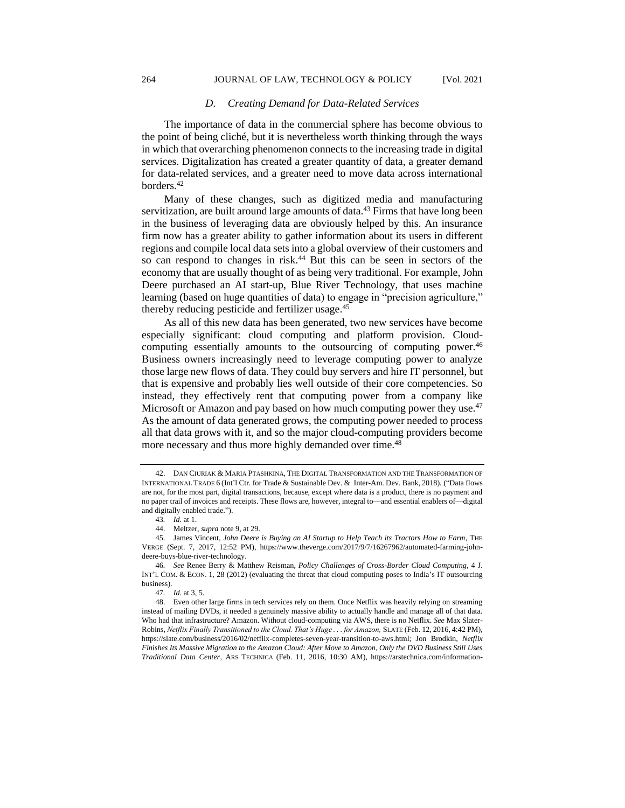### *D. Creating Demand for Data-Related Services*

The importance of data in the commercial sphere has become obvious to the point of being cliché, but it is nevertheless worth thinking through the ways in which that overarching phenomenon connects to the increasing trade in digital services. Digitalization has created a greater quantity of data, a greater demand for data-related services, and a greater need to move data across international borders.<sup>42</sup>

Many of these changes, such as digitized media and manufacturing servitization, are built around large amounts of data.<sup>43</sup> Firms that have long been in the business of leveraging data are obviously helped by this. An insurance firm now has a greater ability to gather information about its users in different regions and compile local data sets into a global overview of their customers and so can respond to changes in risk.<sup>44</sup> But this can be seen in sectors of the economy that are usually thought of as being very traditional. For example, John Deere purchased an AI start-up, Blue River Technology, that uses machine learning (based on huge quantities of data) to engage in "precision agriculture," thereby reducing pesticide and fertilizer usage.<sup>45</sup>

As all of this new data has been generated, two new services have become especially significant: cloud computing and platform provision. Cloudcomputing essentially amounts to the outsourcing of computing power.<sup>46</sup> Business owners increasingly need to leverage computing power to analyze those large new flows of data. They could buy servers and hire IT personnel, but that is expensive and probably lies well outside of their core competencies. So instead, they effectively rent that computing power from a company like Microsoft or Amazon and pay based on how much computing power they use.<sup>47</sup> As the amount of data generated grows, the computing power needed to process all that data grows with it, and so the major cloud-computing providers become more necessary and thus more highly demanded over time.<sup>48</sup>

<sup>42.</sup> DAN CIURIAK & MARIA PTASHKINA, THE DIGITAL TRANSFORMATION AND THE TRANSFORMATION OF INTERNATIONAL TRADE 6 (Int'l Ctr. for Trade & Sustainable Dev. & Inter-Am. Dev. Bank, 2018). ("Data flows are not, for the most part, digital transactions, because, except where data is a product, there is no payment and no paper trail of invoices and receipts. These flows are, however, integral to—and essential enablers of—digital and digitally enabled trade.").

<sup>43</sup>*. Id.* at 1.

<sup>44.</sup> Meltzer, *supra* note 9, at 29.

<sup>45.</sup> James Vincent, *John Deere is Buying an AI Startup to Help Teach its Tractors How to Farm*, THE VERGE (Sept. 7, 2017, 12:52 PM), https://www.theverge.com/2017/9/7/16267962/automated-farming-johndeere-buys-blue-river-technology.

<sup>46</sup>*. See* Renee Berry & Matthew Reisman, *Policy Challenges of Cross-Border Cloud Computing*, 4 J. INT'L COM. & ECON. 1, 28 (2012) (evaluating the threat that cloud computing poses to India's IT outsourcing business).

<sup>47</sup>*. Id.* at 3, 5.

<sup>48.</sup> Even other large firms in tech services rely on them. Once Netflix was heavily relying on streaming instead of mailing DVDs, it needed a genuinely massive ability to actually handle and manage all of that data. Who had that infrastructure? Amazon. Without cloud-computing via AWS, there is no Netflix. *See* Max Slater-Robins, *Netflix Finally Transitioned to the Cloud. That's Huge ... for Amazon*, SLATE (Feb. 12, 2016, 4:42 PM), https://slate.com/business/2016/02/netflix-completes-seven-year-transition-to-aws.html; Jon Brodkin, *Netflix Finishes Its Massive Migration to the Amazon Cloud: After Move to Amazon, Only the DVD Business Still Uses Traditional Data Center*, ARS TECHNICA (Feb. 11, 2016, 10:30 AM), https://arstechnica.com/information-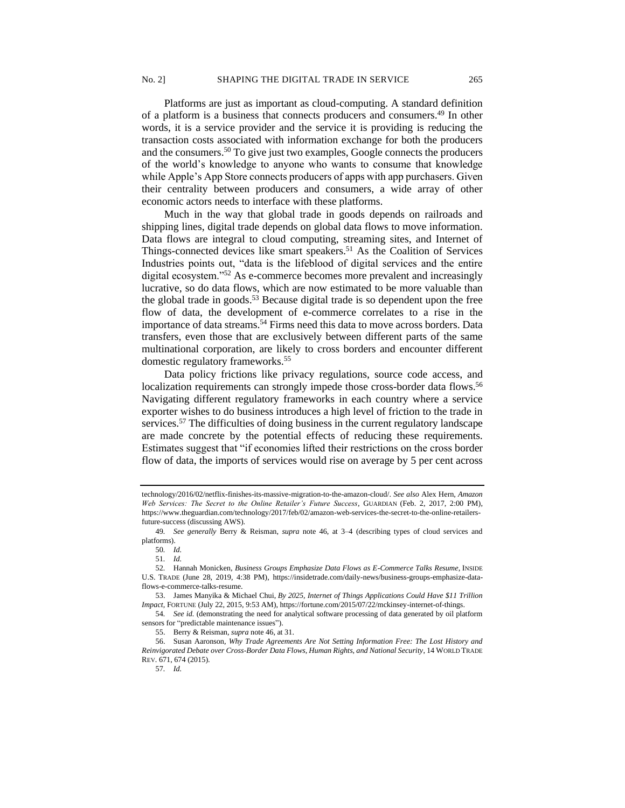Platforms are just as important as cloud-computing. A standard definition of a platform is a business that connects producers and consumers.<sup>49</sup> In other words, it is a service provider and the service it is providing is reducing the transaction costs associated with information exchange for both the producers and the consumers.<sup>50</sup> To give just two examples, Google connects the producers of the world's knowledge to anyone who wants to consume that knowledge while Apple's App Store connects producers of apps with app purchasers. Given their centrality between producers and consumers, a wide array of other economic actors needs to interface with these platforms.

Much in the way that global trade in goods depends on railroads and shipping lines, digital trade depends on global data flows to move information. Data flows are integral to cloud computing, streaming sites, and Internet of Things-connected devices like smart speakers.<sup>51</sup> As the Coalition of Services Industries points out, "data is the lifeblood of digital services and the entire digital ecosystem."<sup>52</sup> As e-commerce becomes more prevalent and increasingly lucrative, so do data flows, which are now estimated to be more valuable than the global trade in goods.<sup>53</sup> Because digital trade is so dependent upon the free flow of data, the development of e-commerce correlates to a rise in the importance of data streams.<sup>54</sup> Firms need this data to move across borders. Data transfers, even those that are exclusively between different parts of the same multinational corporation, are likely to cross borders and encounter different domestic regulatory frameworks.<sup>55</sup>

Data policy frictions like privacy regulations, source code access, and localization requirements can strongly impede those cross-border data flows.<sup>56</sup> Navigating different regulatory frameworks in each country where a service exporter wishes to do business introduces a high level of friction to the trade in services.<sup>57</sup> The difficulties of doing business in the current regulatory landscape are made concrete by the potential effects of reducing these requirements. Estimates suggest that "if economies lifted their restrictions on the cross border flow of data, the imports of services would rise on average by 5 per cent across

54*. See id.* (demonstrating the need for analytical software processing of data generated by oil platform sensors for "predictable maintenance issues").

55. Berry & Reisman, *supra* note 46, at 31.

technology/2016/02/netflix-finishes-its-massive-migration-to-the-amazon-cloud/. *See also* Alex Hern, *Amazon Web Services: The Secret to the Online Retailer's Future Success*, GUARDIAN (Feb. 2, 2017, 2:00 PM), https://www.theguardian.com/technology/2017/feb/02/amazon-web-services-the-secret-to-the-online-retailersfuture-success (discussing AWS).

<sup>49</sup>*. See generally* Berry & Reisman, *supra* note 46, at 3–4 (describing types of cloud services and platforms).

<sup>50</sup>*. Id.*

<sup>51</sup>*. Id.*

<sup>52</sup>*.* Hannah Monicken, *Business Groups Emphasize Data Flows as E-Commerce Talks Resume*, INSIDE U.S. TRADE (June 28, 2019, 4:38 PM), https://insidetrade.com/daily-news/business-groups-emphasize-dataflows-e-commerce-talks-resume.

<sup>53.</sup> James Manyika & Michael Chui, *By 2025, Internet of Things Applications Could Have \$11 Trillion Impact,* FORTUNE (July 22, 2015, 9:53 AM), https://fortune.com/2015/07/22/mckinsey-internet-of-things.

<sup>56.</sup> Susan Aaronson, *Why Trade Agreements Are Not Setting Information Free: The Lost History and Reinvigorated Debate over Cross-Border Data Flows, Human Rights, and National Security*, 14 WORLD TRADE REV. 671, 674 (2015).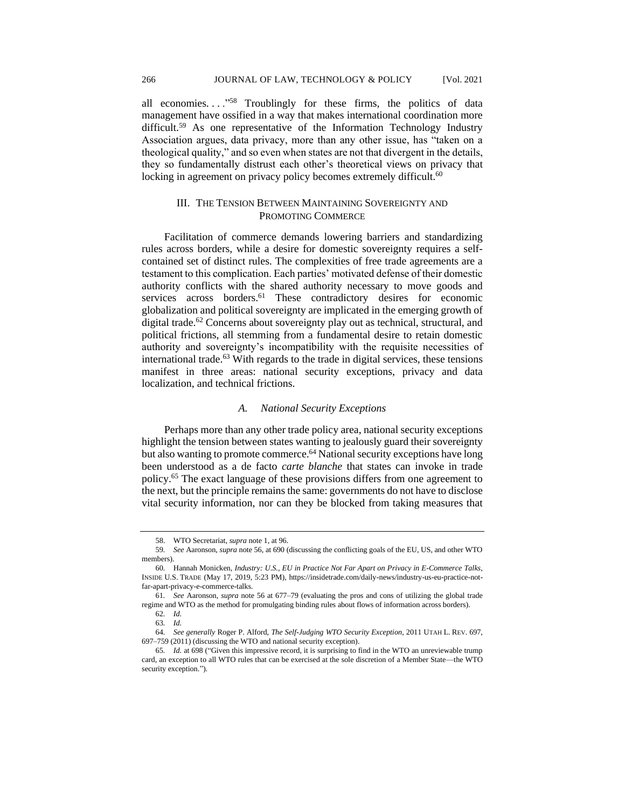all economies. . . . "<sup>58</sup> Troublingly for these firms, the politics of data management have ossified in a way that makes international coordination more difficult.<sup>59</sup> As one representative of the Information Technology Industry Association argues, data privacy, more than any other issue, has "taken on a theological quality," and so even when states are not that divergent in the details, they so fundamentally distrust each other's theoretical views on privacy that locking in agreement on privacy policy becomes extremely difficult.<sup>60</sup>

# III. THE TENSION BETWEEN MAINTAINING SOVEREIGNTY AND PROMOTING COMMERCE

Facilitation of commerce demands lowering barriers and standardizing rules across borders, while a desire for domestic sovereignty requires a selfcontained set of distinct rules. The complexities of free trade agreements are a testament to this complication. Each parties' motivated defense of their domestic authority conflicts with the shared authority necessary to move goods and services across borders.<sup>61</sup> These contradictory desires for economic globalization and political sovereignty are implicated in the emerging growth of digital trade.<sup>62</sup> Concerns about sovereignty play out as technical, structural, and political frictions, all stemming from a fundamental desire to retain domestic authority and sovereignty's incompatibility with the requisite necessities of international trade.<sup>63</sup> With regards to the trade in digital services, these tensions manifest in three areas: national security exceptions, privacy and data localization, and technical frictions.

#### *A. National Security Exceptions*

Perhaps more than any other trade policy area, national security exceptions highlight the tension between states wanting to jealously guard their sovereignty but also wanting to promote commerce.<sup>64</sup> National security exceptions have long been understood as a de facto *carte blanche* that states can invoke in trade policy.<sup>65</sup> The exact language of these provisions differs from one agreement to the next, but the principle remains the same: governments do not have to disclose vital security information, nor can they be blocked from taking measures that

<sup>58.</sup> WTO Secretariat, *supra* note 1, at 96.

<sup>59</sup>*. See* Aaronson, *supra* note 56, at 690 (discussing the conflicting goals of the EU, US, and other WTO members).

<sup>60</sup>*.* Hannah Monicken, *Industry: U.S., EU in Practice Not Far Apart on Privacy in E-Commerce Talks*, INSIDE U.S. TRADE (May 17, 2019, 5:23 PM), https://insidetrade.com/daily-news/industry-us-eu-practice-notfar-apart-privacy-e-commerce-talks.

<sup>61</sup>*. See* Aaronson, *supra* note 56 at 677–79 (evaluating the pros and cons of utilizing the global trade regime and WTO as the method for promulgating binding rules about flows of information across borders).

<sup>62</sup>*. Id.* 63*. Id.*

<sup>64</sup>*. See generally* Roger P. Alford, *The Self-Judging WTO Security Exception*, 2011 UTAH L. REV. 697, 697–759 (2011) (discussing the WTO and national security exception).

<sup>65</sup>*. Id.* at 698 ("Given this impressive record, it is surprising to find in the WTO an unreviewable trump card, an exception to all WTO rules that can be exercised at the sole discretion of a Member State—the WTO security exception.").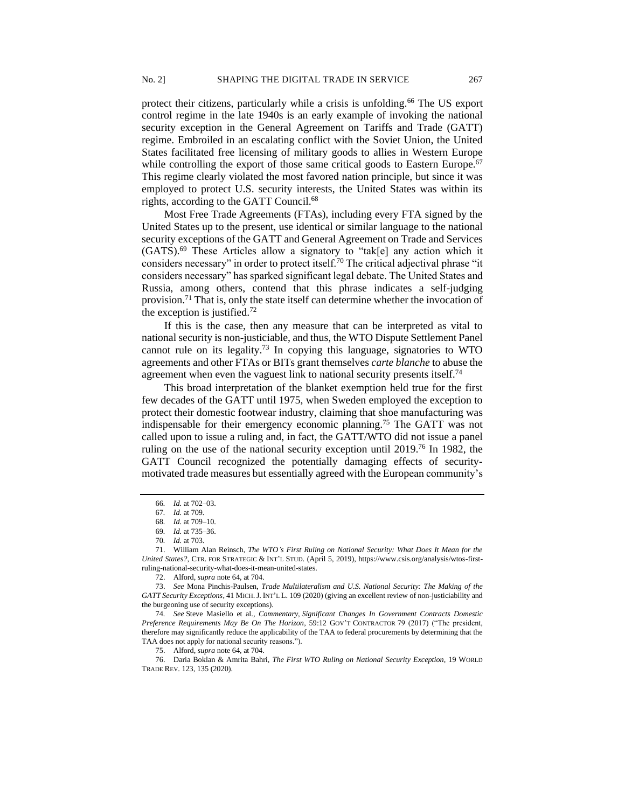protect their citizens, particularly while a crisis is unfolding.<sup>66</sup> The US export control regime in the late 1940s is an early example of invoking the national security exception in the General Agreement on Tariffs and Trade (GATT) regime. Embroiled in an escalating conflict with the Soviet Union, the United States facilitated free licensing of military goods to allies in Western Europe while controlling the export of those same critical goods to Eastern Europe.<sup>67</sup> This regime clearly violated the most favored nation principle, but since it was employed to protect U.S. security interests, the United States was within its rights, according to the GATT Council.<sup>68</sup>

Most Free Trade Agreements (FTAs), including every FTA signed by the United States up to the present, use identical or similar language to the national security exceptions of the GATT and General Agreement on Trade and Services (GATS).<sup>69</sup> These Articles allow a signatory to "tak[e] any action which it considers necessary" in order to protect itself.<sup>70</sup> The critical adjectival phrase "it considers necessary" has sparked significant legal debate. The United States and Russia, among others, contend that this phrase indicates a self-judging provision.<sup>71</sup> That is, only the state itself can determine whether the invocation of the exception is justified.<sup>72</sup>

If this is the case, then any measure that can be interpreted as vital to national security is non-justiciable, and thus, the WTO Dispute Settlement Panel cannot rule on its legality.<sup>73</sup> In copying this language, signatories to WTO agreements and other FTAs or BITs grant themselves *carte blanche* to abuse the agreement when even the vaguest link to national security presents itself.<sup>74</sup>

This broad interpretation of the blanket exemption held true for the first few decades of the GATT until 1975, when Sweden employed the exception to protect their domestic footwear industry, claiming that shoe manufacturing was indispensable for their emergency economic planning.<sup>75</sup> The GATT was not called upon to issue a ruling and, in fact, the GATT/WTO did not issue a panel ruling on the use of the national security exception until 2019.<sup>76</sup> In 1982, the GATT Council recognized the potentially damaging effects of securitymotivated trade measures but essentially agreed with the European community's

<sup>66</sup>*. Id.* at 702–03.

<sup>67</sup>*. Id.* at 709.

<sup>68</sup>*. Id.* at 709–10.

<sup>69</sup>*. Id.* at 735–36.

<sup>70</sup>*. Id.* at 703.

<sup>71.</sup> William Alan Reinsch, *The WTO's First Ruling on National Security: What Does It Mean for the United States?*, CTR. FOR STRATEGIC & INT'L STUD. (April 5, 2019), https://www.csis.org/analysis/wtos-firstruling-national-security-what-does-it-mean-united-states.

<sup>72.</sup> Alford, *supra* note 64, at 704.

<sup>73.</sup> *See* Mona Pinchis-Paulsen, *Trade Multilateralism and U.S. National Security: The Making of the GATT Security Exceptions*, 41 MICH.J. INT'L L. 109 (2020) (giving an excellent review of non-justiciability and the burgeoning use of security exceptions).

<sup>74</sup>*. See* Steve Masiello et al.*, Commentary, Significant Changes In Government Contracts Domestic Preference Requirements May Be On The Horizon*, 59:12 GOV'T CONTRACTOR 79 (2017) ("The president, therefore may significantly reduce the applicability of the TAA to federal procurements by determining that the TAA does not apply for national security reasons.")*.*

<sup>75.</sup> Alford, *supra* note 64, at 704.

<sup>76.</sup> Daria Boklan & Amrita Bahri, *The First WTO Ruling on National Security Exception,* 19 WORLD TRADE REV. 123, 135 (2020).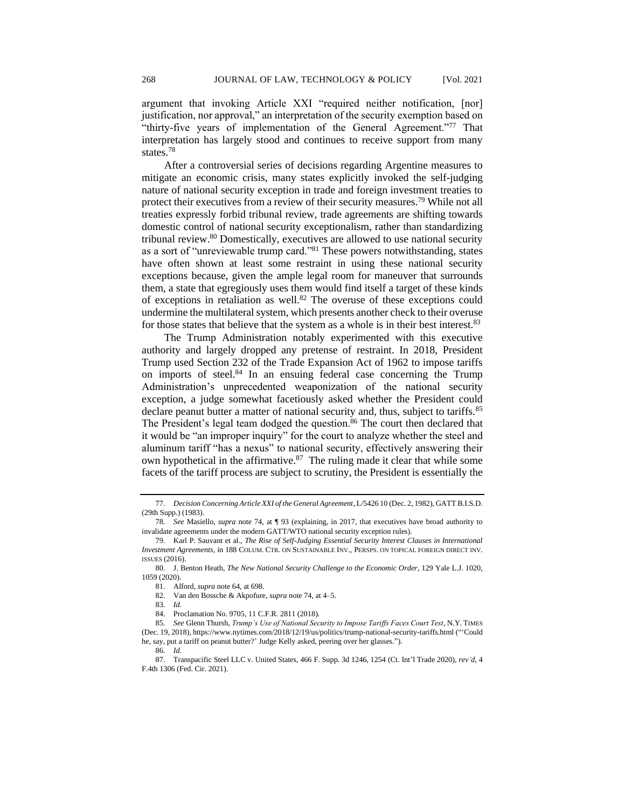argument that invoking Article XXI "required neither notification, [nor] justification, nor approval," an interpretation of the security exemption based on "thirty-five years of implementation of the General Agreement."<sup>77</sup> That interpretation has largely stood and continues to receive support from many states.<sup>78</sup>

After a controversial series of decisions regarding Argentine measures to mitigate an economic crisis, many states explicitly invoked the self-judging nature of national security exception in trade and foreign investment treaties to protect their executives from a review of their security measures.<sup>79</sup> While not all treaties expressly forbid tribunal review, trade agreements are shifting towards domestic control of national security exceptionalism, rather than standardizing tribunal review.<sup>80</sup> Domestically, executives are allowed to use national security as a sort of "unreviewable trump card."<sup>81</sup> These powers notwithstanding, states have often shown at least some restraint in using these national security exceptions because, given the ample legal room for maneuver that surrounds them, a state that egregiously uses them would find itself a target of these kinds of exceptions in retaliation as well.<sup>82</sup> The overuse of these exceptions could undermine the multilateral system, which presents another check to their overuse for those states that believe that the system as a whole is in their best interest.<sup>83</sup>

The Trump Administration notably experimented with this executive authority and largely dropped any pretense of restraint. In 2018, President Trump used Section 232 of the Trade Expansion Act of 1962 to impose tariffs on imports of steel. $84$  In an ensuing federal case concerning the Trump Administration's unprecedented weaponization of the national security exception, a judge somewhat facetiously asked whether the President could declare peanut butter a matter of national security and, thus, subject to tariffs.<sup>85</sup> The President's legal team dodged the question.<sup>86</sup> The court then declared that it would be "an improper inquiry" for the court to analyze whether the steel and aluminum tariff "has a nexus" to national security, effectively answering their own hypothetical in the affirmative.<sup>87</sup> The ruling made it clear that while some facets of the tariff process are subject to scrutiny, the President is essentially the

86*. Id.* 

<sup>77.</sup> Decision Concerning Article XXI of the General Agreement, L/5426 10 (Dec. 2, 1982), GATT B.I.S.D. (29th Supp.) (1983).

<sup>78</sup>*. See* Masiello, *supra* note 74, at ¶ 93 (explaining, in 2017, that executives have broad authority to invalidate agreements under the modern GATT/WTO national security exception rules).

<sup>79.</sup> Karl P. Sauvant et al., *The Rise of Self-Judging Essential Security Interest Clauses in International Investment Agreements*, in 188 COLUM. CTR. ON SUSTAINABLE INV., PERSPS. ON TOPICAL FOREIGN DIRECT INV. ISSUES (2016).

<sup>80.</sup> J. Benton Heath, *The New National Security Challenge to the Economic Order*, 129 Yale L.J. 1020, 1059 (2020).

<sup>81.</sup> Alford, *supra* note 64, at 698.

<sup>82.</sup> Van den Bossche & Akpofure, *supra* note 74, at 4–5.

<sup>83</sup>*. Id.*

<sup>84.</sup> Proclamation No. 9705, 11 C.F.R. 2811 (2018).

<sup>85</sup>*. See* Glenn Thursh, *Trump's Use of National Security to Impose Tariffs Faces Court Test*, N.Y. TIMES (Dec. 19, 2018), https://www.nytimes.com/2018/12/19/us/politics/trump-national-security-tariffs.html ("'Could he, say, put a tariff on peanut butter?' Judge Kelly asked, peering over her glasses.").

<sup>87.</sup> Transpacific Steel LLC v. United States, 466 F. Supp. 3d 1246, 1254 (Ct. Int'l Trade 2020), *rev'd*, 4 F.4th 1306 (Fed. Cir. 2021).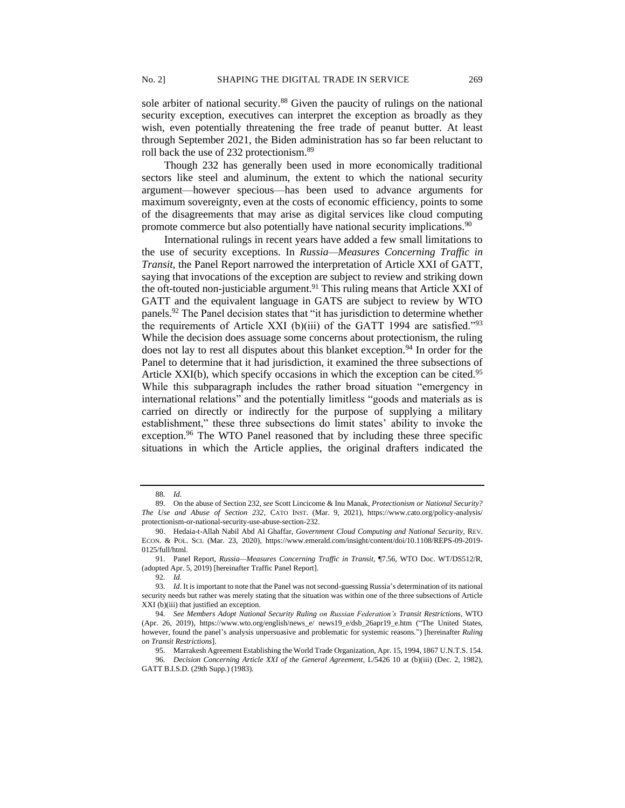sole arbiter of national security.<sup>88</sup> Given the paucity of rulings on the national security exception, executives can interpret the exception as broadly as they wish, even potentially threatening the free trade of peanut butter. At least through September 2021, the Biden administration has so far been reluctant to roll back the use of 232 protectionism.<sup>89</sup>

Though 232 has generally been used in more economically traditional sectors like steel and aluminum, the extent to which the national security argument—however specious—has been used to advance arguments for maximum sovereignty, even at the costs of economic efficiency, points to some of the disagreements that may arise as digital services like cloud computing promote commerce but also potentially have national security implications.<sup>90</sup>

International rulings in recent years have added a few small limitations to the use of security exceptions. In *Russia—Measures Concerning Traffic in Transit,* the Panel Report narrowed the interpretation of Article XXI of GATT, saying that invocations of the exception are subject to review and striking down the oft-touted non-justiciable argument.<sup>91</sup> This ruling means that Article XXI of GATT and the equivalent language in GATS are subject to review by WTO panels.<sup>92</sup> The Panel decision states that "it has jurisdiction to determine whether the requirements of Article XXI (b)(iii) of the GATT 1994 are satisfied."<sup>93</sup> While the decision does assuage some concerns about protectionism, the ruling does not lay to rest all disputes about this blanket exception.<sup>94</sup> In order for the Panel to determine that it had jurisdiction, it examined the three subsections of Article  $XXI(b)$ , which specify occasions in which the exception can be cited.<sup>95</sup> While this subparagraph includes the rather broad situation "emergency in international relations" and the potentially limitless "goods and materials as is carried on directly or indirectly for the purpose of supplying a military establishment," these three subsections do limit states' ability to invoke the exception.<sup>96</sup> The WTO Panel reasoned that by including these three specific situations in which the Article applies, the original drafters indicated the

<sup>88</sup>*. Id.* 

<sup>89.</sup> On the abuse of Section 232, *see* Scott Lincicome & Inu Manak, *Protectionism or National Security? The Use and Abuse of Section 232*, CATO INST. (Mar. 9, 2021), https://www.cato.org/policy-analysis/ protectionism-or-national-security-use-abuse-section-232.

<sup>90.</sup> Hedaia-t-Allah Nabil Abd Al Ghaffar, *Government Cloud Computing and National Security*, REV. ECON. & POL. SCI. (Mar. 23, 2020), https://www.emerald.com/insight/content/doi/10.1108/REPS-09-2019- 0125/full/html.

<sup>91.</sup> Panel Report, *Russia—Measures Concerning Traffic in Transit*, ¶7.56, WTO Doc. WT/DS512/R, (adopted Apr. 5, 2019) [hereinafter Traffic Panel Report].

<sup>92</sup>*. Id.* 

<sup>93</sup>*. Id*. It is important to note that the Panel was not second-guessing Russia's determination of its national security needs but rather was merely stating that the situation was within one of the three subsections of Article XXI (b)(iii) that justified an exception.

<sup>94</sup>*. See Members Adopt National Security Ruling on Russian Federation's Transit Restrictions*, WTO (Apr. 26, 2019), https://www.wto.org/english/news\_e/ news19\_e/dsb\_26apr19\_e.htm ("The United States, however, found the panel's analysis unpersuasive and problematic for systemic reasons.") [hereinafter *Ruling on Transit Restrictions*].

<sup>95.</sup> Marrakesh Agreement Establishing the World Trade Organization, Apr. 15, 1994, 1867 U.N.T.S. 154.

<sup>96</sup>*. Decision Concerning Article XXI of the General Agreement*, L/5426 10 at (b)(iii) (Dec. 2, 1982), GATT B.I.S.D. (29th Supp.) (1983).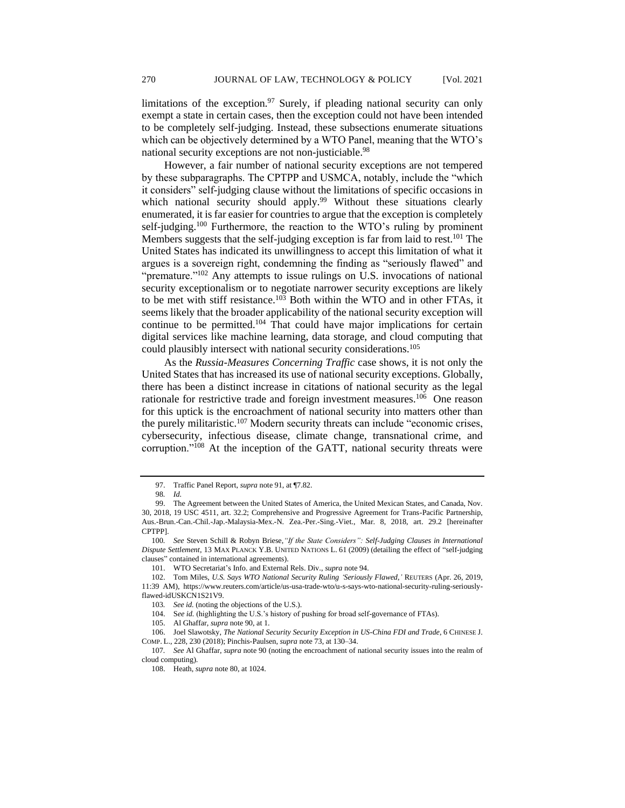limitations of the exception. $97$  Surely, if pleading national security can only exempt a state in certain cases, then the exception could not have been intended to be completely self-judging. Instead, these subsections enumerate situations which can be objectively determined by a WTO Panel, meaning that the WTO's national security exceptions are not non-justiciable.<sup>98</sup>

However, a fair number of national security exceptions are not tempered by these subparagraphs. The CPTPP and USMCA, notably, include the "which it considers" self-judging clause without the limitations of specific occasions in which national security should apply.<sup>99</sup> Without these situations clearly enumerated, it is far easier for countries to argue that the exception is completely self-judging.<sup>100</sup> Furthermore, the reaction to the WTO's ruling by prominent Members suggests that the self-judging exception is far from laid to rest.<sup>101</sup> The United States has indicated its unwillingness to accept this limitation of what it argues is a sovereign right, condemning the finding as "seriously flawed" and "premature."<sup>102</sup> Any attempts to issue rulings on U.S. invocations of national security exceptionalism or to negotiate narrower security exceptions are likely to be met with stiff resistance.<sup>103</sup> Both within the WTO and in other FTAs, it seems likely that the broader applicability of the national security exception will continue to be permitted.<sup>104</sup> That could have major implications for certain digital services like machine learning, data storage, and cloud computing that could plausibly intersect with national security considerations.<sup>105</sup>

As the *Russia-Measures Concerning Traffic* case shows, it is not only the United States that has increased its use of national security exceptions. Globally, there has been a distinct increase in citations of national security as the legal rationale for restrictive trade and foreign investment measures.<sup>106</sup> One reason for this uptick is the encroachment of national security into matters other than the purely militaristic.<sup>107</sup> Modern security threats can include "economic crises, cybersecurity, infectious disease, climate change, transnational crime, and corruption."<sup>108</sup> At the inception of the GATT, national security threats were

<sup>97.</sup> Traffic Panel Report, *supra* note 91, at ¶7.82.

<sup>98</sup>*. Id.* 

<sup>99.</sup> The Agreement between the United States of America, the United Mexican States, and Canada, Nov. 30, 2018, 19 USC 4511, art. 32.2; Comprehensive and Progressive Agreement for Trans-Pacific Partnership, Aus.-Brun.-Can.-Chil.-Jap.-Malaysia-Mex.-N. Zea.-Per.-Sing.-Viet., Mar. 8, 2018, art. 29.2 [hereinafter CPTPP].

<sup>100</sup>*. See* Steven Schill & Robyn Briese,*"If the State Considers": Self-Judging Clauses in International Dispute Settlement*, 13 MAX PLANCK Y.B. UNITED NATIONS L. 61 (2009) (detailing the effect of "self-judging clauses" contained in international agreements).

<sup>101.</sup> WTO Secretariat's Info. and External Rels. Div., *supra* note 94.

<sup>102.</sup> Tom Miles, *U.S. Says WTO National Security Ruling 'Seriously Flawed*,*'* REUTERS (Apr. 26, 2019, 11:39 AM), https://www.reuters.com/article/us-usa-trade-wto/u-s-says-wto-national-security-ruling-seriouslyflawed-idUSKCN1S21V9.

<sup>103</sup>*. See id.* (noting the objections of the U.S.).

<sup>104.</sup> S*ee id.* (highlighting the U.S.'s history of pushing for broad self-governance of FTAs).

<sup>105.</sup> Al Ghaffar, *supra* note 90, at 1.

<sup>106.</sup> Joel Slawotsky, *The National Security Security Exception in US-China FDI and Trade*, 6 CHINESE J. COMP. L., 228, 230 (2018); Pinchis-Paulsen, *supra* note 73, at 130–34.

<sup>107</sup>*. See* Al Ghaffar, *supra* note 90 (noting the encroachment of national security issues into the realm of cloud computing).

<sup>108.</sup> Heath, *supra* note 80, at 1024.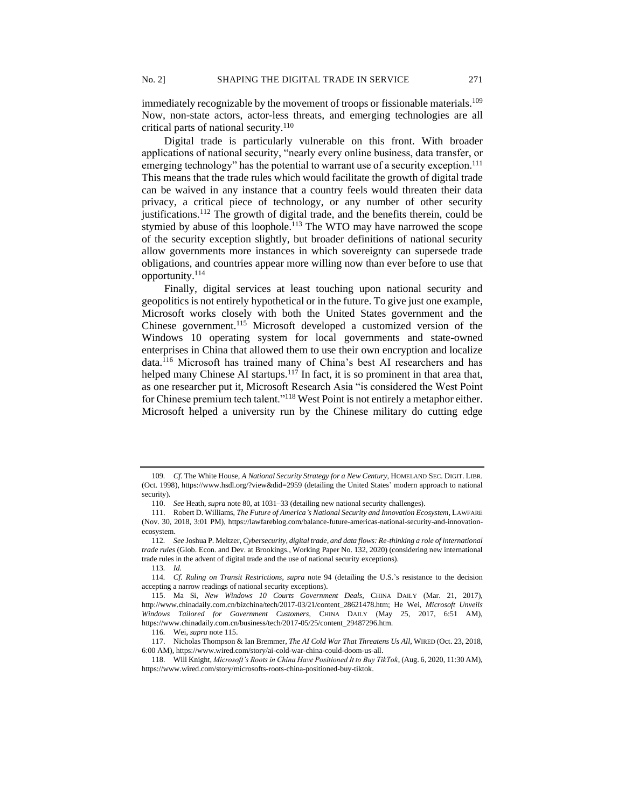immediately recognizable by the movement of troops or fissionable materials.<sup>109</sup> Now, non-state actors, actor-less threats, and emerging technologies are all critical parts of national security.<sup>110</sup>

Digital trade is particularly vulnerable on this front. With broader applications of national security, "nearly every online business, data transfer, or emerging technology" has the potential to warrant use of a security exception.<sup>111</sup> This means that the trade rules which would facilitate the growth of digital trade can be waived in any instance that a country feels would threaten their data privacy, a critical piece of technology, or any number of other security justifications.<sup>112</sup> The growth of digital trade, and the benefits therein, could be stymied by abuse of this loophole.<sup>113</sup> The WTO may have narrowed the scope of the security exception slightly, but broader definitions of national security allow governments more instances in which sovereignty can supersede trade obligations, and countries appear more willing now than ever before to use that opportunity.<sup>114</sup>

Finally, digital services at least touching upon national security and geopolitics is not entirely hypothetical or in the future. To give just one example, Microsoft works closely with both the United States government and the Chinese government.<sup>115</sup> Microsoft developed a customized version of the Windows 10 operating system for local governments and state-owned enterprises in China that allowed them to use their own encryption and localize data.<sup>116</sup> Microsoft has trained many of China's best AI researchers and has helped many Chinese AI startups.<sup>117</sup> In fact, it is so prominent in that area that, as one researcher put it, Microsoft Research Asia "is considered the West Point for Chinese premium tech talent."<sup>118</sup> West Point is not entirely a metaphor either. Microsoft helped a university run by the Chinese military do cutting edge

<sup>109</sup>*. Cf.* The White House, *A National Security Strategy for a New Century*, HOMELAND SEC. DIGIT. LIBR. (Oct. 1998), https://www.hsdl.org/?view&did=2959 (detailing the United States' modern approach to national security).

<sup>110.</sup> *See* Heath, *supra* note 80, at 1031–33 (detailing new national security challenges).

<sup>111.</sup> Robert D. Williams, *The Future of America's National Security and Innovation Ecosystem*, LAWFARE (Nov. 30, 2018, 3:01 PM), https://lawfareblog.com/balance-future-americas-national-security-and-innovationecosystem.

<sup>112</sup>*. See* Joshua P. Meltzer, *Cybersecurity, digital trade, and data flows: Re-thinking a role of international trade rules* (Glob. Econ. and Dev. at Brookings., Working Paper No. 132, 2020) (considering new international trade rules in the advent of digital trade and the use of national security exceptions).

<sup>113</sup>*. Id.* 

<sup>114</sup>*. Cf. Ruling on Transit Restrictions*, *supra* note 94 (detailing the U.S.'s resistance to the decision accepting a narrow readings of national security exceptions).

<sup>115.</sup> Ma Si, *New Windows 10 Courts Government Deals,* CHINA DAILY (Mar. 21, 2017), http://www.chinadaily.com.cn/bizchina/tech/2017-03/21/content\_28621478.htm; He Wei, *Microsoft Unveils Windows Tailored for Government Customers,* CHINA DAILY (May 25, 2017, 6:51 AM), https://www.chinadaily.com.cn/business/tech/2017-05/25/content\_29487296.htm.

<sup>116</sup>*.* Wei, *supra* note 115.

<sup>117.</sup> Nicholas Thompson & Ian Bremmer, *The AI Cold War That Threatens Us All*, WIRED (Oct. 23, 2018, 6:00 AM), https://www.wired.com/story/ai-cold-war-china-could-doom-us-all.

<sup>118.</sup> Will Knight, *Microsoft's Roots in China Have Positioned It to Buy TikTok*, (Aug. 6, 2020, 11:30 AM), https://www.wired.com/story/microsofts-roots-china-positioned-buy-tiktok.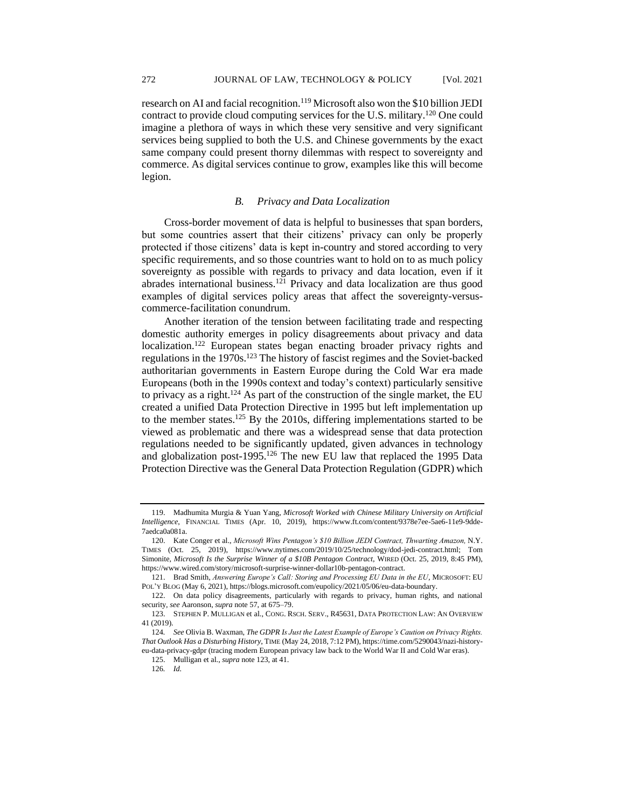research on AI and facial recognition.<sup>119</sup> Microsoft also won the \$10 billion JEDI contract to provide cloud computing services for the U.S. military.<sup>120</sup> One could imagine a plethora of ways in which these very sensitive and very significant services being supplied to both the U.S. and Chinese governments by the exact same company could present thorny dilemmas with respect to sovereignty and commerce. As digital services continue to grow, examples like this will become legion.

## *B. Privacy and Data Localization*

Cross-border movement of data is helpful to businesses that span borders, but some countries assert that their citizens' privacy can only be properly protected if those citizens' data is kept in-country and stored according to very specific requirements, and so those countries want to hold on to as much policy sovereignty as possible with regards to privacy and data location, even if it abrades international business.<sup>121</sup> Privacy and data localization are thus good examples of digital services policy areas that affect the sovereignty-versuscommerce-facilitation conundrum.

Another iteration of the tension between facilitating trade and respecting domestic authority emerges in policy disagreements about privacy and data localization.<sup>122</sup> European states began enacting broader privacy rights and regulations in the 1970s.<sup>123</sup> The history of fascist regimes and the Soviet-backed authoritarian governments in Eastern Europe during the Cold War era made Europeans (both in the 1990s context and today's context) particularly sensitive to privacy as a right.<sup>124</sup> As part of the construction of the single market, the EU created a unified Data Protection Directive in 1995 but left implementation up to the member states.<sup>125</sup> By the 2010s, differing implementations started to be viewed as problematic and there was a widespread sense that data protection regulations needed to be significantly updated, given advances in technology and globalization post-1995.<sup>126</sup> The new EU law that replaced the 1995 Data Protection Directive was the General Data Protection Regulation (GDPR) which

<sup>119.</sup> Madhumita Murgia & Yuan Yang, *Microsoft Worked with Chinese Military University on Artificial Intelligence*, FINANCIAL TIMES (Apr. 10, 2019), https://www.ft.com/content/9378e7ee-5ae6-11e9-9dde-7aedca0a081a.

<sup>120.</sup> Kate Conger et al., *Microsoft Wins Pentagon's \$10 Billion JEDI Contract, Thwarting Amazon,* N.Y. TIMES (Oct. 25, 2019), https://www.nytimes.com/2019/10/25/technology/dod-jedi-contract.html; Tom Simonite, *Microsoft Is the Surprise Winner of a \$10B Pentagon Contract*, WIRED (Oct. 25, 2019, 8:45 PM), https://www.wired.com/story/microsoft-surprise-winner-dollar10b-pentagon-contract.

<sup>121.</sup> Brad Smith, *Answering Europe's Call: Storing and Processing EU Data in the EU*, MICROSOFT: EU POL'Y BLOG (May 6, 2021), https://blogs.microsoft.com/eupolicy/2021/05/06/eu-data-boundary.

<sup>122.</sup> On data policy disagreements, particularly with regards to privacy, human rights, and national security, *see* Aaronson, *supra* note 57, at 675–79.

<sup>123.</sup> STEPHEN P. MULLIGAN et al., CONG. RSCH. SERV., R45631, DATA PROTECTION LAW: AN OVERVIEW 41 (2019).

<sup>124</sup>*. See* Olivia B. Waxman, *The GDPR Is Just the Latest Example of Europe's Caution on Privacy Rights. That Outlook Has a Disturbing History*, TIME (May 24, 2018, 7:12 PM), https://time.com/5290043/nazi-historyeu-data-privacy-gdpr (tracing modern European privacy law back to the World War II and Cold War eras).

<sup>125.</sup> Mulligan et al., *supra* note 123, at 41.

<sup>126</sup>*. Id.*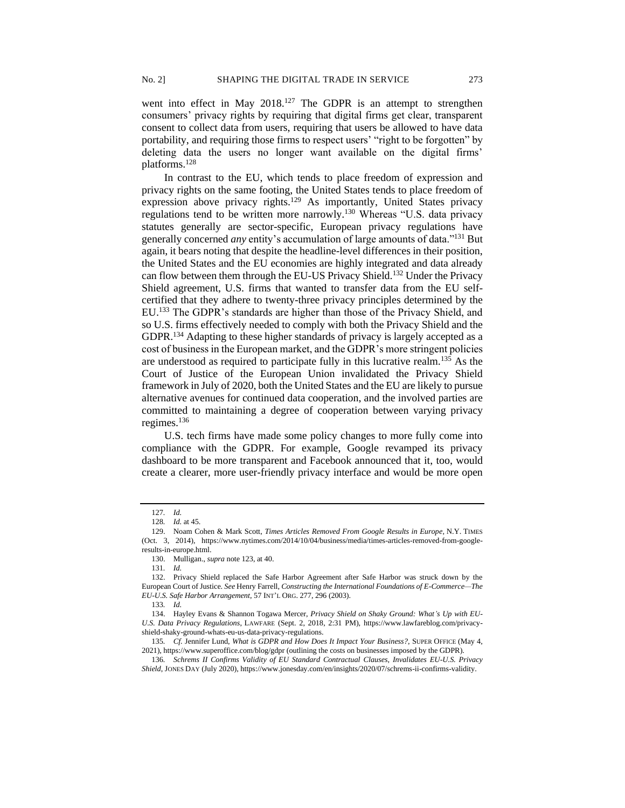went into effect in May 2018.<sup>127</sup> The GDPR is an attempt to strengthen consumers' privacy rights by requiring that digital firms get clear, transparent consent to collect data from users, requiring that users be allowed to have data portability, and requiring those firms to respect users' "right to be forgotten" by deleting data the users no longer want available on the digital firms' platforms.<sup>128</sup>

In contrast to the EU, which tends to place freedom of expression and privacy rights on the same footing, the United States tends to place freedom of expression above privacy rights.<sup>129</sup> As importantly, United States privacy regulations tend to be written more narrowly.<sup>130</sup> Whereas "U.S. data privacy statutes generally are sector-specific, European privacy regulations have generally concerned *any* entity's accumulation of large amounts of data."<sup>131</sup> But again, it bears noting that despite the headline-level differences in their position, the United States and the EU economies are highly integrated and data already can flow between them through the EU-US Privacy Shield.<sup>132</sup> Under the Privacy Shield agreement, U.S. firms that wanted to transfer data from the EU selfcertified that they adhere to twenty-three privacy principles determined by the EU.<sup>133</sup> The GDPR's standards are higher than those of the Privacy Shield, and so U.S. firms effectively needed to comply with both the Privacy Shield and the GDPR.<sup>134</sup> Adapting to these higher standards of privacy is largely accepted as a cost of business in the European market, and the GDPR's more stringent policies are understood as required to participate fully in this lucrative realm.<sup>135</sup> As the Court of Justice of the European Union invalidated the Privacy Shield framework in July of 2020, both the United States and the EU are likely to pursue alternative avenues for continued data cooperation, and the involved parties are committed to maintaining a degree of cooperation between varying privacy regimes.<sup>136</sup>

U.S. tech firms have made some policy changes to more fully come into compliance with the GDPR. For example, Google revamped its privacy dashboard to be more transparent and Facebook announced that it, too, would create a clearer, more user-friendly privacy interface and would be more open

<sup>127</sup>*. Id.*

<sup>128</sup>*. Id.* at 45.

<sup>129.</sup> Noam Cohen & Mark Scott, *Times Articles Removed From Google Results in Europe*, N.Y. TIMES (Oct. 3, 2014), https://www.nytimes.com/2014/10/04/business/media/times-articles-removed-from-googleresults-in-europe.html.

<sup>130.</sup> Mulligan., *supra* note 123, at 40.

<sup>131</sup>*. Id.*

<sup>132.</sup> Privacy Shield replaced the Safe Harbor Agreement after Safe Harbor was struck down by the European Court of Justice. *See* Henry Farrell, *Constructing the International Foundations of E-Commerce—The EU-U.S. Safe Harbor Arrangement*, 57 INT'L ORG. 277, 296 (2003).

<sup>133</sup>*. Id.* 

<sup>134.</sup> Hayley Evans & Shannon Togawa Mercer, *Privacy Shield on Shaky Ground: What's Up with EU-U.S. Data Privacy Regulations*, LAWFARE (Sept. 2, 2018, 2:31 PM), [https://www.lawfareblog.com/privacy](https://www.lawfareblog.com/privacy-shield-shaky-ground-whats-eu-us-data-privacy-regulations)[shield-shaky-ground-whats-eu-us-data-privacy-regulations.](https://www.lawfareblog.com/privacy-shield-shaky-ground-whats-eu-us-data-privacy-regulations)

<sup>135</sup>*. Cf.* Jennifer Lund, *What is GDPR and How Does It Impact Your Business?*, SUPER OFFICE (May 4, 2021), https://www.superoffice.com/blog/gdpr (outlining the costs on businesses imposed by the GDPR).

<sup>136</sup>*. Schrems II Confirms Validity of EU Standard Contractual Clauses, Invalidates EU-U.S. Privacy Shield*, JONES DAY (July 2020), https://www.jonesday.com/en/insights/2020/07/schrems-ii-confirms-validity.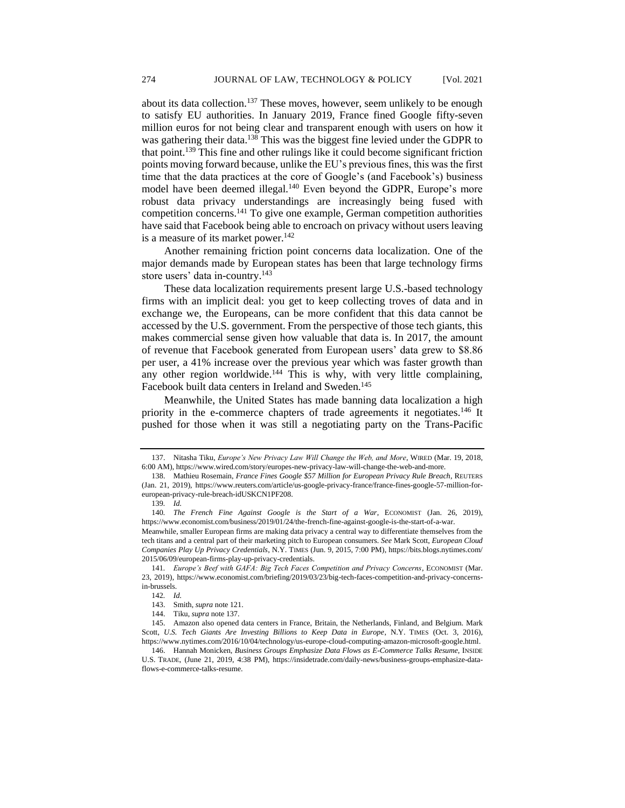about its data collection.<sup>137</sup> These moves, however, seem unlikely to be enough to satisfy EU authorities. In January 2019, France fined Google fifty-seven million euros for not being clear and transparent enough with users on how it was gathering their data.<sup>138</sup> This was the biggest fine levied under the GDPR to that point.<sup>139</sup> This fine and other rulings like it could become significant friction points moving forward because, unlike the EU's previous fines, this was the first time that the data practices at the core of Google's (and Facebook's) business model have been deemed illegal.<sup>140</sup> Even beyond the GDPR, Europe's more robust data privacy understandings are increasingly being fused with competition concerns.<sup>141</sup> To give one example, German competition authorities have said that Facebook being able to encroach on privacy without users leaving is a measure of its market power.<sup>142</sup>

Another remaining friction point concerns data localization. One of the major demands made by European states has been that large technology firms store users' data in-country.<sup>143</sup>

These data localization requirements present large U.S.-based technology firms with an implicit deal: you get to keep collecting troves of data and in exchange we, the Europeans, can be more confident that this data cannot be accessed by the U.S. government. From the perspective of those tech giants, this makes commercial sense given how valuable that data is. In 2017, the amount of revenue that Facebook generated from European users' data grew to \$8.86 per user, a 41% increase over the previous year which was faster growth than any other region worldwide.<sup>144</sup> This is why, with very little complaining, Facebook built data centers in Ireland and Sweden.<sup>145</sup>

Meanwhile, the United States has made banning data localization a high priority in the e-commerce chapters of trade agreements it negotiates.<sup>146</sup> It pushed for those when it was still a negotiating party on the Trans-Pacific

<sup>137.</sup> Nitasha Tiku, *Europe's New Privacy Law Will Change the Web, and More*, WIRED (Mar. 19, 2018, 6:00 AM), https://www.wired.com/story/europes-new-privacy-law-will-change-the-web-and-more.

<sup>138.</sup> Mathieu Rosemain, *France Fines Google \$57 Million for European Privacy Rule Breach*, REUTERS (Jan. 21, 2019), https://www.reuters.com/article/us-google-privacy-france/france-fines-google-57-million-foreuropean-privacy-rule-breach-idUSKCN1PF208.

<sup>139</sup>*. Id.* 

<sup>140</sup>*. The French Fine Against Google is the Start of a War*, ECONOMIST (Jan. 26, 2019), https://www.economist.com/business/2019/01/24/the-french-fine-against-google-is-the-start-of-a-war.

Meanwhile, smaller European firms are making data privacy a central way to differentiate themselves from the tech titans and a central part of their marketing pitch to European consumers. *See* Mark Scott, *European Cloud Companies Play Up Privacy Credentials*, N.Y. TIMES (Jun. 9, 2015, 7:00 PM), https://bits.blogs.nytimes.com/ 2015/06/09/european-firms-play-up-privacy-credentials.

<sup>141</sup>*. Europe's Beef with GAFA: Big Tech Faces Competition and Privacy Concerns*, ECONOMIST (Mar. 23, 2019), https://www.economist.com/briefing/2019/03/23/big-tech-faces-competition-and-privacy-concernsin-brussels.

<sup>142</sup>*. Id.*

<sup>143.</sup> Smith, *supra* note 121.

<sup>144.</sup> Tiku, *supra* note 137.

<sup>145.</sup> Amazon also opened data centers in France, Britain, the Netherlands, Finland, and Belgium. Mark Scott, U.S. Tech Giants Are Investing Billions to Keep Data in Europe, N.Y. TIMES (Oct. 3, 2016), https://www.nytimes.com/2016/10/04/technology/us-europe-cloud-computing-amazon-microsoft-google.html.

<sup>146.</sup> Hannah Monicken, *Business Groups Emphasize Data Flows as E-Commerce Talks Resume*, INSIDE U.S. TRADE, (June 21, 2019, 4:38 PM), https://insidetrade.com/daily-news/business-groups-emphasize-dataflows-e-commerce-talks-resume.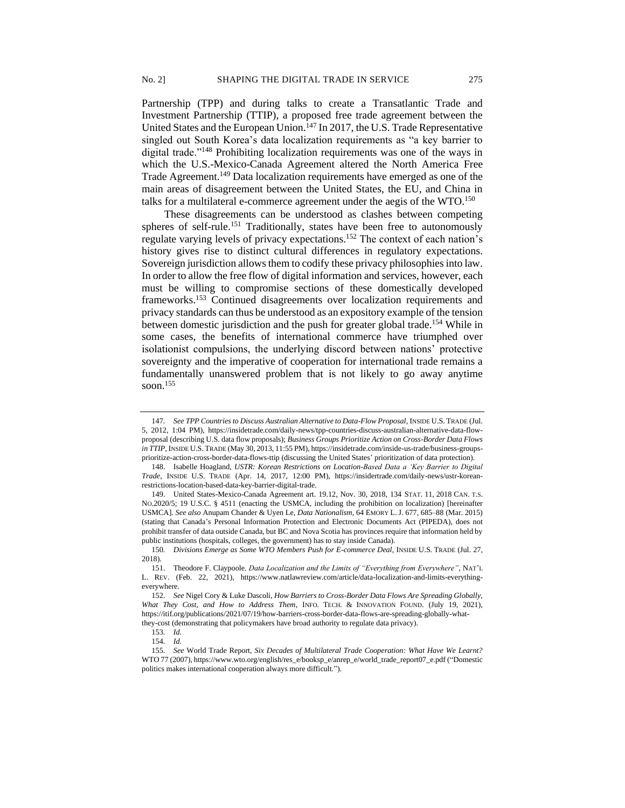Partnership (TPP) and during talks to create a Transatlantic Trade and Investment Partnership (TTIP), a proposed free trade agreement between the United States and the European Union.<sup>147</sup> In 2017, the U.S. Trade Representative singled out South Korea's data localization requirements as "a key barrier to digital trade."<sup>148</sup> Prohibiting localization requirements was one of the ways in which the U.S.-Mexico-Canada Agreement altered the North America Free Trade Agreement.<sup>149</sup> Data localization requirements have emerged as one of the main areas of disagreement between the United States, the EU, and China in talks for a multilateral e-commerce agreement under the aegis of the WTO.<sup>150</sup>

These disagreements can be understood as clashes between competing spheres of self-rule.<sup>151</sup> Traditionally, states have been free to autonomously regulate varying levels of privacy expectations.<sup>152</sup> The context of each nation's history gives rise to distinct cultural differences in regulatory expectations. Sovereign jurisdiction allows them to codify these privacy philosophies into law. In order to allow the free flow of digital information and services, however, each must be willing to compromise sections of these domestically developed frameworks.<sup>153</sup> Continued disagreements over localization requirements and privacy standards can thus be understood as an expository example of the tension between domestic jurisdiction and the push for greater global trade.<sup>154</sup> While in some cases, the benefits of international commerce have triumphed over isolationist compulsions, the underlying discord between nations' protective sovereignty and the imperative of cooperation for international trade remains a fundamentally unanswered problem that is not likely to go away anytime soon.<sup>155</sup>

<sup>147</sup>*. See TPP Countries to Discuss Australian Alternative to Data-Flow Proposal*, INSIDE U.S. TRADE (Jul. 5, 2012, 1:04 PM), https://insidetrade.com/daily-news/tpp-countries-discuss-australian-alternative-data-flowproposal (describing U.S. data flow proposals); *Business Groups Prioritize Action on Cross-Border Data Flows in TTIP*, INSIDE U.S.TRADE (May 30, 2013, 11:55 PM), https://insidetrade.com/inside-us-trade/business-groupsprioritize-action-cross-border-data-flows-ttip (discussing the United States' prioritization of data protection).

<sup>148.</sup> Isabelle Hoagland, *USTR: Korean Restrictions on Location-Based Data a 'Key Barrier to Digital Trade*, INSIDE U.S. TRADE (Apr. 14, 2017, 12:00 PM), https://insidertrade.com/daily-news/ustr-koreanrestrictions-location-based-data-key-barrier-digital-trade.

<sup>149.</sup> United States-Mexico-Canada Agreement art. 19.12, Nov. 30, 2018, 134 STAT. 11, 2018 CAN. T.S. NO.2020/5; 19 U.S.C. § 4511 (enacting the USMCA, including the prohibition on localization) [hereinafter USMCA]. *See also* Anupam Chander & Uyen Le, *Data Nationalism*, 64 EMORY L.J. 677, 685–88 (Mar. 2015) (stating that Canada's Personal Information Protection and Electronic Documents Act (PIPEDA), does not prohibit transfer of data outside Canada, but BC and Nova Scotia has provinces require that information held by public institutions (hospitals, colleges, the government) has to stay inside Canada).

<sup>150</sup>*. Divisions Emerge as Some WTO Members Push for E-commerce Deal*, INSIDE U.S. TRADE (Jul. 27, 2018).

<sup>151.</sup> Theodore F. Claypoole*, Data Localization and the Limits of "Everything from Everywhere"*, NAT'L L. REV. (Feb. 22, 2021), https://www.natlawreview.com/article/data-localization-and-limits-everythingeverywhere.

<sup>152.</sup> *See* Nigel Cory & Luke Dascoli, *How Barriers to Cross-Border Data Flows Are Spreading Globally, What They Cost, and How to Address Them*, INFO. TECH. & INNOVATION FOUND. (July 19, 2021), https://itif.org/publications/2021/07/19/how-barriers-cross-border-data-flows-are-spreading-globally-whatthey-cost (demonstrating that policymakers have broad authority to regulate data privacy).

<sup>153</sup>*. Id.*

<sup>154</sup>*. Id.*

<sup>155</sup>*. See* World Trade Report, *Six Decades of Multilateral Trade Cooperation: What Have We Learnt?* WTO 77 (2007), https://www.wto.org/english/res\_e/booksp\_e/anrep\_e/world\_trade\_report07\_e.pdf ("Domestic politics makes international cooperation always more difficult.").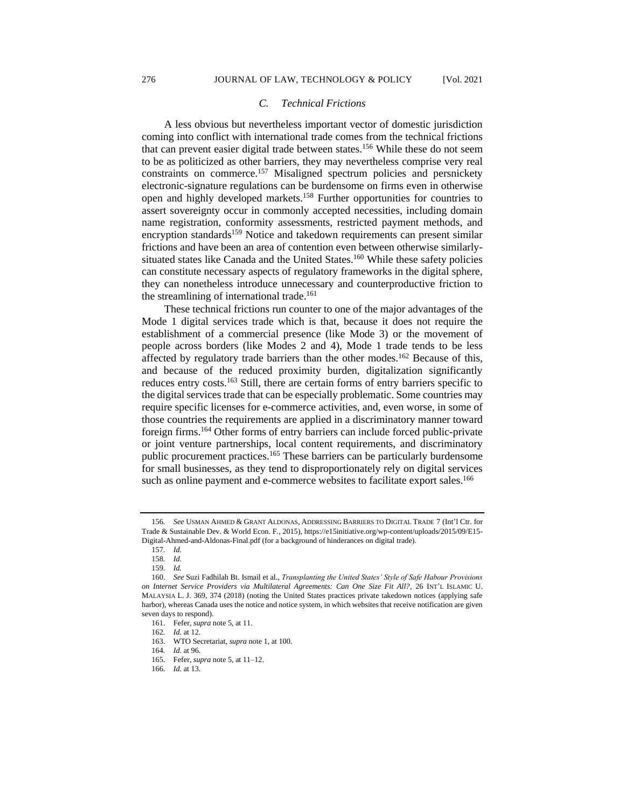## *C. Technical Frictions*

A less obvious but nevertheless important vector of domestic jurisdiction coming into conflict with international trade comes from the technical frictions that can prevent easier digital trade between states.<sup>156</sup> While these do not seem to be as politicized as other barriers, they may nevertheless comprise very real constraints on commerce.<sup>157</sup> Misaligned spectrum policies and persnickety electronic-signature regulations can be burdensome on firms even in otherwise open and highly developed markets.<sup>158</sup> Further opportunities for countries to assert sovereignty occur in commonly accepted necessities, including domain name registration, conformity assessments, restricted payment methods, and encryption standards<sup>159</sup> Notice and takedown requirements can present similar frictions and have been an area of contention even between otherwise similarlysituated states like Canada and the United States.<sup>160</sup> While these safety policies can constitute necessary aspects of regulatory frameworks in the digital sphere, they can nonetheless introduce unnecessary and counterproductive friction to the streamlining of international trade.<sup>161</sup>

These technical frictions run counter to one of the major advantages of the Mode 1 digital services trade which is that, because it does not require the establishment of a commercial presence (like Mode 3) or the movement of people across borders (like Modes 2 and 4), Mode 1 trade tends to be less affected by regulatory trade barriers than the other modes.<sup>162</sup> Because of this, and because of the reduced proximity burden, digitalization significantly reduces entry costs.<sup>163</sup> Still, there are certain forms of entry barriers specific to the digital services trade that can be especially problematic. Some countries may require specific licenses for e-commerce activities, and, even worse, in some of those countries the requirements are applied in a discriminatory manner toward foreign firms.<sup>164</sup> Other forms of entry barriers can include forced public-private or joint venture partnerships, local content requirements, and discriminatory public procurement practices.<sup>165</sup> These barriers can be particularly burdensome for small businesses, as they tend to disproportionately rely on digital services such as online payment and e-commerce websites to facilitate export sales.<sup>166</sup>

<sup>156</sup>*. See* USMAN AHMED & GRANT ALDONAS, ADDRESSING BARRIERS TO DIGITAL TRADE 7 (Int'l Ctr. for Trade & Sustainable Dev. & World Econ. F., 2015), https://e15initiative.org/wp-content/uploads/2015/09/E15- Digital-Ahmed-and-Aldonas-Final.pdf (for a background of hinderances on digital trade).

<sup>157</sup>*. Id.*

<sup>158</sup>*. Id.*

<sup>159</sup>*. Id.*

<sup>160.</sup> *See* Suzi Fadhilah Bt. Ismail et al., *Transplanting the United States' Style of Safe Habour Provisions on Internet Service Providers via Multilateral Agreements: Can One Size Fit All?*, 26 INT'L ISLAMIC U. MALAYSIA L. J. 369, 374 (2018) (noting the United States practices private takedown notices (applying safe harbor), whereas Canada uses the notice and notice system, in which websites that receive notification are given seven days to respond).

<sup>161.</sup> Fefer, *supra* note 5, at 11.

<sup>162</sup>*. Id.* at 12.

<sup>163.</sup> WTO Secretariat, *supra* note 1, at 100.

<sup>164</sup>*. Id.* at 96.

<sup>165.</sup> Fefer, *supra* note 5, at 11–12.

<sup>166</sup>*. Id.* at 13.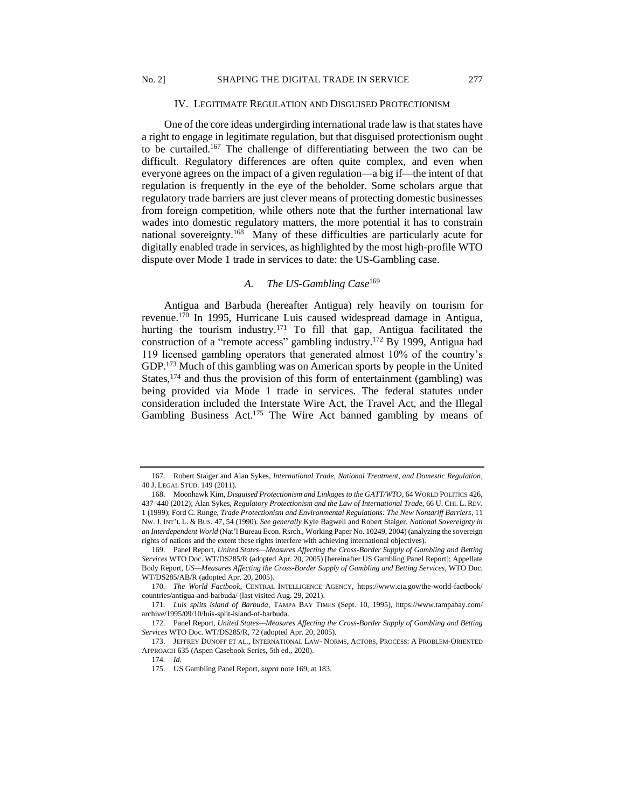#### IV. LEGITIMATE REGULATION AND DISGUISED PROTECTIONISM

One of the core ideas undergirding international trade law is that states have a right to engage in legitimate regulation, but that disguised protectionism ought to be curtailed.<sup>167</sup> The challenge of differentiating between the two can be difficult. Regulatory differences are often quite complex, and even when everyone agrees on the impact of a given regulation—a big if—the intent of that regulation is frequently in the eye of the beholder. Some scholars argue that regulatory trade barriers are just clever means of protecting domestic businesses from foreign competition, while others note that the further international law wades into domestic regulatory matters, the more potential it has to constrain national sovereignty.<sup>168</sup> Many of these difficulties are particularly acute for digitally enabled trade in services, as highlighted by the most high-profile WTO dispute over Mode 1 trade in services to date: the US-Gambling case.

# *A. The US-Gambling Case*<sup>169</sup>

Antigua and Barbuda (hereafter Antigua) rely heavily on tourism for revenue.<sup>170</sup> In 1995, Hurricane Luis caused widespread damage in Antigua, hurting the tourism industry.<sup>171</sup> To fill that gap, Antigua facilitated the construction of a "remote access" gambling industry.<sup>172</sup> By 1999, Antigua had 119 licensed gambling operators that generated almost 10% of the country's GDP.<sup>173</sup> Much of this gambling was on American sports by people in the United States,  $174$  and thus the provision of this form of entertainment (gambling) was being provided via Mode 1 trade in services. The federal statutes under consideration included the Interstate Wire Act, the Travel Act, and the Illegal Gambling Business Act.<sup>175</sup> The Wire Act banned gambling by means of

<sup>167.</sup> Robert Staiger and Alan Sykes, *International Trade, National Treatment, and Domestic Regulation*, 40 J. LEGAL STUD. 149 (2011).

<sup>168.</sup> Moonhawk Kim, *Disguised Protectionism and Linkages to the GATT/WTO*, 64 WORLD POLITICS 426, 437–440 (2012); Alan Sykes, *Regulatory Protectionism and the Law of International Trade*, 66 U. CHI. L. REV. 1 (1999); Ford C. Runge, *Trade Protectionism and Environmental Regulations: The New Nontariff Barriers*, 11 NW. J. INT'L L. & BUS. 47, 54 (1990). *See generally* Kyle Bagwell and Robert Staiger, *National Sovereignty in an Interdependent World* (Nat'l Bureau Econ. Rsrch., Working Paper No. 10249, 2004) (analyzing the sovereign rights of nations and the extent these rights interfere with achieving international objectives).

<sup>169.</sup> Panel Report, *United States—Measures Affecting the Cross-Border Supply of Gambling and Betting Services* WTO Doc. WT/DS285/R (adopted Apr. 20, 2005) [hereinafter US Gambling Panel Report]; Appellate Body Report, *US—Measures Affecting the Cross-Border Supply of Gambling and Betting Services*, WTO Doc. WT/DS285/AB/R (adopted Apr. 20, 2005).

<sup>170</sup>*. The World Factbook*, CENTRAL INTELLIGENCE AGENCY, https://www.cia.gov/the-world-factbook/ countries/antigua-and-barbuda/ (last visited Aug. 29, 2021).

<sup>171.</sup> *Luis splits island of Barbuda*, TAMPA BAY TIMES (Sept. 10, 1995), https://www.tampabay.com/ archive/1995/09/10/luis-split-island-of-barbuda.

<sup>172.</sup> Panel Report, *United States—Measures Affecting the Cross-Border Supply of Gambling and Betting Services* WTO Doc. WT/DS285/R, 72 (adopted Apr. 20, 2005).

<sup>173.</sup> JEFFREY DUNOFF ET AL., INTERNATIONAL LAW- NORMS, ACTORS, PROCESS: A PROBLEM-ORIENTED APPROACH 635 (Aspen Casebook Series, 5th ed., 2020).

<sup>174</sup>*. Id.*

<sup>175.</sup> US Gambling Panel Report, *supra* note 169, at 183.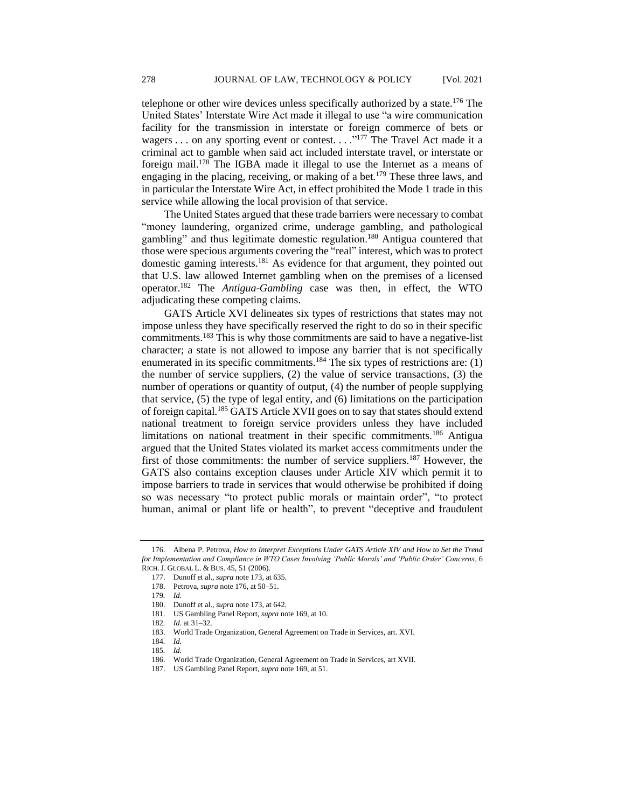telephone or other wire devices unless specifically authorized by a state.<sup>176</sup> The United States' Interstate Wire Act made it illegal to use "a wire communication facility for the transmission in interstate or foreign commerce of bets or wagers . . . on any sporting event or contest. . . .<sup>"177</sup> The Travel Act made it a criminal act to gamble when said act included interstate travel, or interstate or foreign mail.<sup>178</sup> The IGBA made it illegal to use the Internet as a means of engaging in the placing, receiving, or making of a bet.<sup>179</sup> These three laws, and in particular the Interstate Wire Act, in effect prohibited the Mode 1 trade in this service while allowing the local provision of that service.

The United States argued that these trade barriers were necessary to combat "money laundering, organized crime, underage gambling, and pathological gambling" and thus legitimate domestic regulation.<sup>180</sup> Antigua countered that those were specious arguments covering the "real" interest, which was to protect domestic gaming interests.<sup>181</sup> As evidence for that argument, they pointed out that U.S. law allowed Internet gambling when on the premises of a licensed operator.<sup>182</sup> The *Antigua-Gambling* case was then, in effect, the WTO adjudicating these competing claims.

GATS Article XVI delineates six types of restrictions that states may not impose unless they have specifically reserved the right to do so in their specific commitments.<sup>183</sup> This is why those commitments are said to have a negative-list character; a state is not allowed to impose any barrier that is not specifically enumerated in its specific commitments.<sup>184</sup> The six types of restrictions are:  $(1)$ the number of service suppliers, (2) the value of service transactions, (3) the number of operations or quantity of output, (4) the number of people supplying that service, (5) the type of legal entity, and (6) limitations on the participation of foreign capital.<sup>185</sup> GATS Article XVII goes on to say that states should extend national treatment to foreign service providers unless they have included limitations on national treatment in their specific commitments.<sup>186</sup> Antigua argued that the United States violated its market access commitments under the first of those commitments: the number of service suppliers.<sup>187</sup> However, the GATS also contains exception clauses under Article XIV which permit it to impose barriers to trade in services that would otherwise be prohibited if doing so was necessary "to protect public morals or maintain order", "to protect human, animal or plant life or health", to prevent "deceptive and fraudulent

<sup>176.</sup> Albena P. Petrova, *How to Interpret Exceptions Under GATS Article XIV and How to Set the Trend for Implementation and Compliance in WTO Cases Involving 'Public Morals' and 'Public Order' Concerns*, 6 RICH.J. GLOBAL L. & BUS. 45, 51 (2006).

<sup>177.</sup> Dunoff et al., *supra* note 173, at 635.

<sup>178.</sup> Petrova, *supra* note 176, at 50–51.

<sup>179</sup>*. Id.*

<sup>180.</sup> Dunoff et al., *supra* note 173, at 642.

<sup>181.</sup> US Gambling Panel Report, *supra* note 169, at 10.

<sup>182</sup>*. Id.* at 31–32.

<sup>183.</sup> World Trade Organization, General Agreement on Trade in Services, art. XVI.

<sup>184</sup>*. Id.*

<sup>185</sup>*. Id.*

<sup>186.</sup> World Trade Organization, General Agreement on Trade in Services, art XVII.

<sup>187.</sup> US Gambling Panel Report, *supra* note 169, at 51.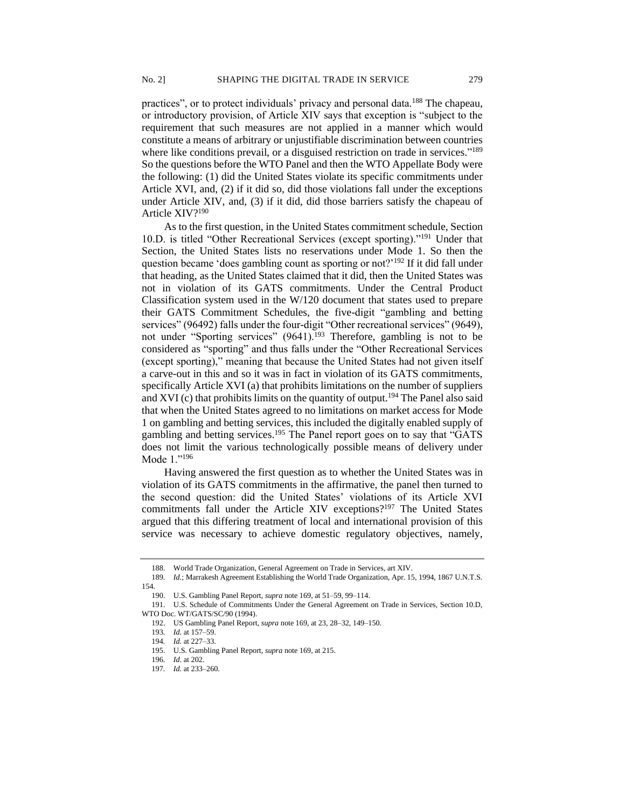practices", or to protect individuals' privacy and personal data.<sup>188</sup> The chapeau, or introductory provision, of Article XIV says that exception is "subject to the requirement that such measures are not applied in a manner which would constitute a means of arbitrary or unjustifiable discrimination between countries where like conditions prevail, or a disguised restriction on trade in services."<sup>189</sup> So the questions before the WTO Panel and then the WTO Appellate Body were the following: (1) did the United States violate its specific commitments under Article XVI, and, (2) if it did so, did those violations fall under the exceptions under Article XIV, and, (3) if it did, did those barriers satisfy the chapeau of Article XIV?<sup>190</sup>

As to the first question, in the United States commitment schedule, Section 10.D. is titled "Other Recreational Services (except sporting)."<sup>191</sup> Under that Section, the United States lists no reservations under Mode 1. So then the question became 'does gambling count as sporting or not?'<sup>192</sup> If it did fall under that heading, as the United States claimed that it did, then the United States was not in violation of its GATS commitments. Under the Central Product Classification system used in the W/120 document that states used to prepare their GATS Commitment Schedules, the five-digit "gambling and betting services" (96492) falls under the four-digit "Other recreational services" (9649), not under "Sporting services" (9641).<sup>193</sup> Therefore, gambling is not to be considered as "sporting" and thus falls under the "Other Recreational Services (except sporting)," meaning that because the United States had not given itself a carve-out in this and so it was in fact in violation of its GATS commitments, specifically Article XVI (a) that prohibits limitations on the number of suppliers and XVI (c) that prohibits limits on the quantity of output.<sup>194</sup> The Panel also said that when the United States agreed to no limitations on market access for Mode 1 on gambling and betting services, this included the digitally enabled supply of gambling and betting services.<sup>195</sup> The Panel report goes on to say that "GATS" does not limit the various technologically possible means of delivery under Mode 1."<sup>196</sup>

Having answered the first question as to whether the United States was in violation of its GATS commitments in the affirmative, the panel then turned to the second question: did the United States' violations of its Article XVI commitments fall under the Article XIV exceptions?<sup>197</sup> The United States argued that this differing treatment of local and international provision of this service was necessary to achieve domestic regulatory objectives, namely,

<sup>188.</sup> World Trade Organization, General Agreement on Trade in Services, art XIV.

<sup>189</sup>*. Id.*; Marrakesh Agreement Establishing the World Trade Organization, Apr. 15, 1994, 1867 U.N.T.S. 154.

<sup>190.</sup> U.S. Gambling Panel Report, *supra* note 169, at 51–59, 99–114.

<sup>191.</sup> U.S. Schedule of Commitments Under the General Agreement on Trade in Services, Section 10.D, WTO Doc. WT/GATS/SC/90 (1994).

<sup>192.</sup> US Gambling Panel Report, *supra* note 169, at 23, 28–32, 149–150.

<sup>193</sup>*. Id.* at 157–59.

<sup>194</sup>*. Id.* at 227–33.

<sup>195.</sup> U.S. Gambling Panel Report, *supra* note 169, at 215.

<sup>196</sup>*. Id*. at 202.

<sup>197</sup>*. Id.* at 233–260.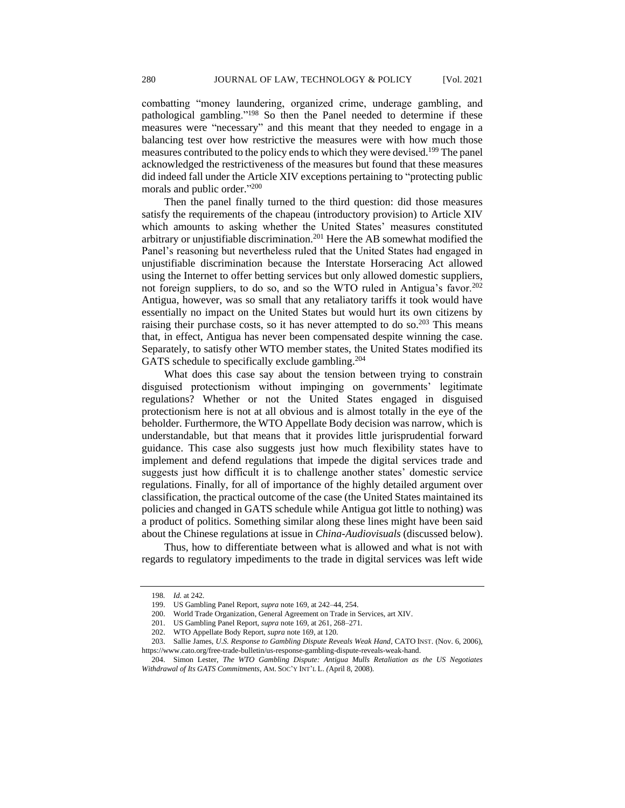combatting "money laundering, organized crime, underage gambling, and pathological gambling."<sup>198</sup> So then the Panel needed to determine if these measures were "necessary" and this meant that they needed to engage in a balancing test over how restrictive the measures were with how much those measures contributed to the policy ends to which they were devised.<sup>199</sup> The panel acknowledged the restrictiveness of the measures but found that these measures did indeed fall under the Article XIV exceptions pertaining to "protecting public morals and public order." 200

Then the panel finally turned to the third question: did those measures satisfy the requirements of the chapeau (introductory provision) to Article XIV which amounts to asking whether the United States' measures constituted arbitrary or unjustifiable discrimination.<sup>201</sup> Here the AB somewhat modified the Panel's reasoning but nevertheless ruled that the United States had engaged in unjustifiable discrimination because the Interstate Horseracing Act allowed using the Internet to offer betting services but only allowed domestic suppliers, not foreign suppliers, to do so, and so the WTO ruled in Antigua's favor.<sup>202</sup> Antigua, however, was so small that any retaliatory tariffs it took would have essentially no impact on the United States but would hurt its own citizens by raising their purchase costs, so it has never attempted to do so.<sup>203</sup> This means that, in effect, Antigua has never been compensated despite winning the case. Separately, to satisfy other WTO member states, the United States modified its GATS schedule to specifically exclude gambling.<sup>204</sup>

What does this case say about the tension between trying to constrain disguised protectionism without impinging on governments' legitimate regulations? Whether or not the United States engaged in disguised protectionism here is not at all obvious and is almost totally in the eye of the beholder. Furthermore, the WTO Appellate Body decision was narrow, which is understandable, but that means that it provides little jurisprudential forward guidance. This case also suggests just how much flexibility states have to implement and defend regulations that impede the digital services trade and suggests just how difficult it is to challenge another states' domestic service regulations. Finally, for all of importance of the highly detailed argument over classification, the practical outcome of the case (the United States maintained its policies and changed in GATS schedule while Antigua got little to nothing) was a product of politics. Something similar along these lines might have been said about the Chinese regulations at issue in *China-Audiovisuals* (discussed below).

Thus, how to differentiate between what is allowed and what is not with regards to regulatory impediments to the trade in digital services was left wide

<sup>198</sup>*. Id.* at 242.

<sup>199.</sup> US Gambling Panel Report, *supra* note 169, at 242–44, 254.

<sup>200.</sup> World Trade Organization, General Agreement on Trade in Services, art XIV.

<sup>201.</sup> US Gambling Panel Report, *supra* note 169, at 261, 268–271.

<sup>202.</sup> WTO Appellate Body Report, *supra* note 169, at 120.

<sup>203.</sup> Sallie James, *U.S. Response to Gambling Dispute Reveals Weak Hand*, CATO INST. (Nov. 6, 2006),

https://www.cato.org/free-trade-bulletin/us-response-gambling-dispute-reveals-weak-hand.

<sup>204.</sup> Simon Lester, *The WTO Gambling Dispute: Antigua Mulls Retaliation as the US Negotiates Withdrawal of Its GATS Commitments*, AM. SOC'Y INT'L L. *(*April 8, 2008).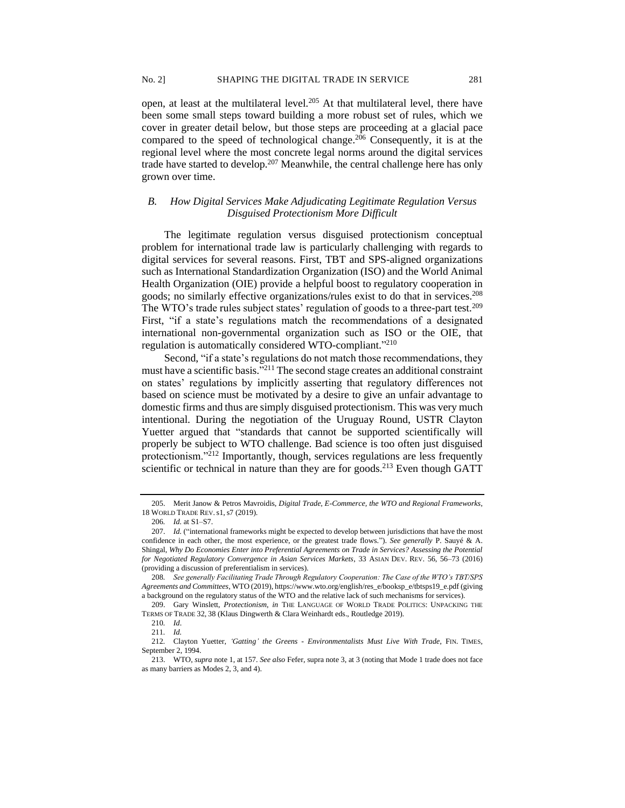open, at least at the multilateral level.<sup>205</sup> At that multilateral level, there have been some small steps toward building a more robust set of rules, which we cover in greater detail below, but those steps are proceeding at a glacial pace compared to the speed of technological change.<sup>206</sup> Consequently, it is at the regional level where the most concrete legal norms around the digital services trade have started to develop.<sup>207</sup> Meanwhile, the central challenge here has only grown over time.

# *B. How Digital Services Make Adjudicating Legitimate Regulation Versus Disguised Protectionism More Difficult*

The legitimate regulation versus disguised protectionism conceptual problem for international trade law is particularly challenging with regards to digital services for several reasons. First, TBT and SPS-aligned organizations such as International Standardization Organization (ISO) and the World Animal Health Organization (OIE) provide a helpful boost to regulatory cooperation in goods; no similarly effective organizations/rules exist to do that in services.<sup>208</sup> The WTO's trade rules subject states' regulation of goods to a three-part test.<sup>209</sup> First, "if a state's regulations match the recommendations of a designated international non-governmental organization such as ISO or the OIE, that regulation is automatically considered WTO-compliant."<sup>210</sup>

Second, "if a state's regulations do not match those recommendations, they must have a scientific basis."<sup>211</sup> The second stage creates an additional constraint on states' regulations by implicitly asserting that regulatory differences not based on science must be motivated by a desire to give an unfair advantage to domestic firms and thus are simply disguised protectionism. This was very much intentional. During the negotiation of the Uruguay Round, USTR Clayton Yuetter argued that "standards that cannot be supported scientifically will properly be subject to WTO challenge. Bad science is too often just disguised protectionism."<sup>212</sup> Importantly, though, services regulations are less frequently scientific or technical in nature than they are for goods.<sup>213</sup> Even though GATT

<sup>205.</sup> Merit Janow & Petros Mavroidis, *Digital Trade, E-Commerce, the WTO and Regional Frameworks*, 18 WORLD TRADE REV.s1,s7 (2019).

<sup>206</sup>*. Id.* at S1–S7.

<sup>207.</sup> *Id.* ("international frameworks might be expected to develop between jurisdictions that have the most confidence in each other, the most experience, or the greatest trade flows."). *See generally* P. Sauyé & A. Shingal, *Why Do Economies Enter into Preferential Agreements on Trade in Services? Assessing the Potential for Negotiated Regulatory Convergence in Asian Services Markets*, 33 ASIAN DEV. REV. 56, 56–73 (2016) (providing a discussion of preferentialism in services).

<sup>208</sup>*. See generally Facilitating Trade Through Regulatory Cooperation: The Case of the WTO's TBT/SPS Agreements and Committees*, WTO (2019), https://www.wto.org/english/res\_e/booksp\_e/tbtsps19\_e.pdf (giving a background on the regulatory status of the WTO and the relative lack of such mechanisms for services).

<sup>209.</sup> Gary Winslett, *Protectionism*, *in* THE LANGUAGE OF WORLD TRADE POLITICS: UNPACKING THE TERMS OF TRADE 32, 38 (Klaus Dingwerth & Clara Weinhardt eds., Routledge 2019).

<sup>210</sup>*. Id*.

<sup>211</sup>*. Id.*

<sup>212</sup>*.* Clayton Yuetter, *'Gatting' the Greens - Environmentalists Must Live With Trade*, FIN. TIMES*,* September 2, 1994.

<sup>213.</sup> WTO, *supra* note 1, at 157. *See also* Fefer, supra note 3, at 3 (noting that Mode 1 trade does not face as many barriers as Modes 2, 3, and 4).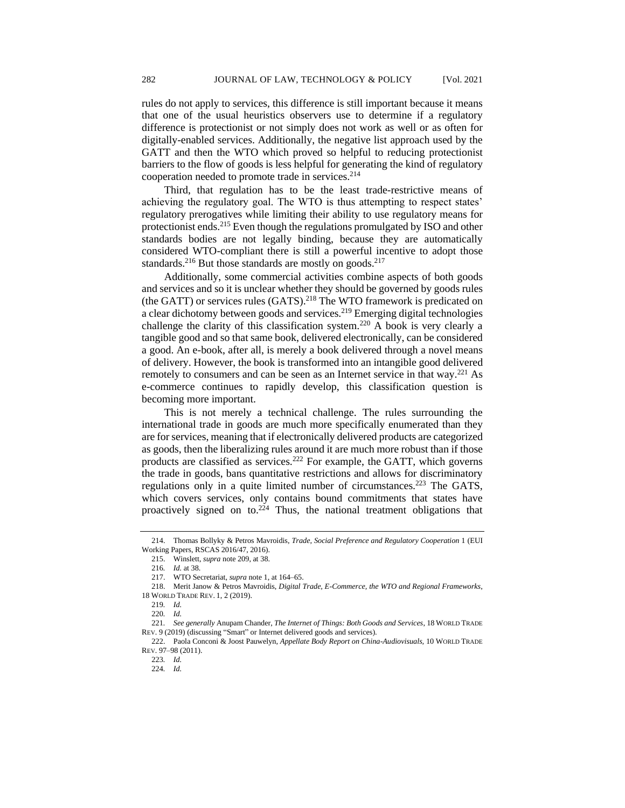rules do not apply to services, this difference is still important because it means that one of the usual heuristics observers use to determine if a regulatory difference is protectionist or not simply does not work as well or as often for digitally-enabled services. Additionally, the negative list approach used by the GATT and then the WTO which proved so helpful to reducing protectionist barriers to the flow of goods is less helpful for generating the kind of regulatory cooperation needed to promote trade in services.<sup>214</sup>

Third, that regulation has to be the least trade-restrictive means of achieving the regulatory goal. The WTO is thus attempting to respect states' regulatory prerogatives while limiting their ability to use regulatory means for protectionist ends.<sup>215</sup> Even though the regulations promulgated by ISO and other standards bodies are not legally binding, because they are automatically considered WTO-compliant there is still a powerful incentive to adopt those standards.<sup>216</sup> But those standards are mostly on goods.<sup>217</sup>

Additionally, some commercial activities combine aspects of both goods and services and so it is unclear whether they should be governed by goods rules (the GATT) or services rules (GATS).<sup>218</sup> The WTO framework is predicated on a clear dichotomy between goods and services.<sup>219</sup> Emerging digital technologies challenge the clarity of this classification system.<sup>220</sup> A book is very clearly a tangible good and so that same book, delivered electronically, can be considered a good. An e-book, after all, is merely a book delivered through a novel means of delivery. However, the book is transformed into an intangible good delivered remotely to consumers and can be seen as an Internet service in that way.<sup>221</sup> As e-commerce continues to rapidly develop, this classification question is becoming more important.

This is not merely a technical challenge. The rules surrounding the international trade in goods are much more specifically enumerated than they are for services, meaning that if electronically delivered products are categorized as goods, then the liberalizing rules around it are much more robust than if those products are classified as services.<sup>222</sup> For example, the GATT, which governs the trade in goods, bans quantitative restrictions and allows for discriminatory regulations only in a quite limited number of circumstances.<sup>223</sup> The GATS, which covers services, only contains bound commitments that states have proactively signed on to.<sup>224</sup> Thus, the national treatment obligations that

<sup>214.</sup> Thomas Bollyky & Petros Mavroidis, *Trade, Social Preference and Regulatory Cooperation* 1 (EUI Working Papers, RSCAS 2016/47, 2016).

<sup>215.</sup> Winslett, *supra* note 209, at 38.

<sup>216</sup>*. Id.* at 38.

<sup>217.</sup> WTO Secretariat, *supra* note 1, at 164–65.

<sup>218.</sup> Merit Janow & Petros Mavroidis, *Digital Trade, E-Commerce, the WTO and Regional Frameworks*, 18 WORLD TRADE REV. 1, 2 (2019).

<sup>219</sup>*. Id.*

<sup>220</sup>*. Id.*

<sup>221</sup>*. See generally* Anupam Chander, *The Internet of Things: Both Goods and Services*, 18 WORLD TRADE REV. 9 (2019) (discussing "Smart" or Internet delivered goods and services).

<sup>222.</sup> Paola Conconi & Joost Pauwelyn, *Appellate Body Report on China-Audiovisuals,* 10 WORLD TRADE REV. 97–98 (2011).

<sup>223</sup>*. Id.*

<sup>224</sup>*. Id.*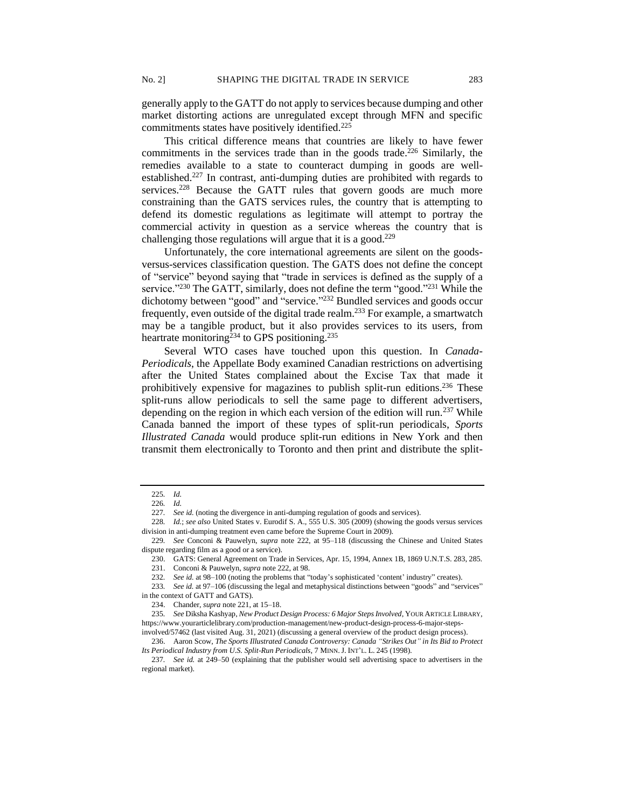generally apply to the GATT do not apply to services because dumping and other market distorting actions are unregulated except through MFN and specific commitments states have positively identified.<sup>225</sup>

This critical difference means that countries are likely to have fewer commitments in the services trade than in the goods trade.<sup>226</sup> Similarly, the remedies available to a state to counteract dumping in goods are wellestablished.<sup>227</sup> In contrast, anti-dumping duties are prohibited with regards to services.<sup>228</sup> Because the GATT rules that govern goods are much more constraining than the GATS services rules, the country that is attempting to defend its domestic regulations as legitimate will attempt to portray the commercial activity in question as a service whereas the country that is challenging those regulations will argue that it is a good.<sup>229</sup>

Unfortunately, the core international agreements are silent on the goodsversus-services classification question. The GATS does not define the concept of "service" beyond saying that "trade in services is defined as the supply of a service."<sup>230</sup> The GATT, similarly, does not define the term "good."<sup>231</sup> While the dichotomy between "good" and "service." <sup>232</sup> Bundled services and goods occur frequently, even outside of the digital trade realm.<sup>233</sup> For example, a smartwatch may be a tangible product, but it also provides services to its users, from heartrate monitoring<sup>234</sup> to GPS positioning.<sup>235</sup>

Several WTO cases have touched upon this question. In *Canada-Periodicals*, the Appellate Body examined Canadian restrictions on advertising after the United States complained about the Excise Tax that made it prohibitively expensive for magazines to publish split-run editions.<sup>236</sup> These split-runs allow periodicals to sell the same page to different advertisers, depending on the region in which each version of the edition will run.<sup>237</sup> While Canada banned the import of these types of split-run periodicals, *Sports Illustrated Canada* would produce split-run editions in New York and then transmit them electronically to Toronto and then print and distribute the split-

228*. Id.*; *see also* United States v. Eurodif S. A.*,* 555 U.S. 305 (2009) (showing the goods versus services division in anti-dumping treatment even came before the Supreme Court in 2009).

<sup>225</sup>*. Id.*

<sup>226</sup>*. Id.*

<sup>227</sup>*. See id.* (noting the divergence in anti-dumping regulation of goods and services).

<sup>229</sup>*. See* Conconi & Pauwelyn, *supra* note 222, at 95–118 (discussing the Chinese and United States dispute regarding film as a good or a service).

<sup>230.</sup> GATS: General Agreement on Trade in Services, Apr. 15, 1994, Annex 1B, 1869 U.N.T.S. 283, 285. 231. Conconi & Pauwelyn, *supra* note 222, at 98.

<sup>232</sup>*. See id.* at 98–100 (noting the problems that "today's sophisticated 'content' industry" creates).

<sup>233</sup>*. See id.* at 97–106 (discussing the legal and metaphysical distinctions between "goods" and "services" in the context of GATT and GATS).

<sup>234.</sup> Chander, *supra* note 221, at 15–18.

<sup>235</sup>*. See* Diksha Kashyap, *New Product Design Process: 6 Major Steps Involved*, YOUR ARTICLE LIBRARY, https://www.yourarticlelibrary.com/production-management/new-product-design-process-6-major-steps-

involved/57462 (last visited Aug. 31, 2021) (discussing a general overview of the product design process).

<sup>236.</sup> Aaron Scow, *The Sports Illustrated Canada Controversy: Canada "Strikes Out" in Its Bid to Protect Its Periodical Industry from U.S. Split-Run Periodicals*, 7 MINN.J. INT'L. L. 245 (1998).

<sup>237</sup>*. See id.* at 249–50 (explaining that the publisher would sell advertising space to advertisers in the regional market).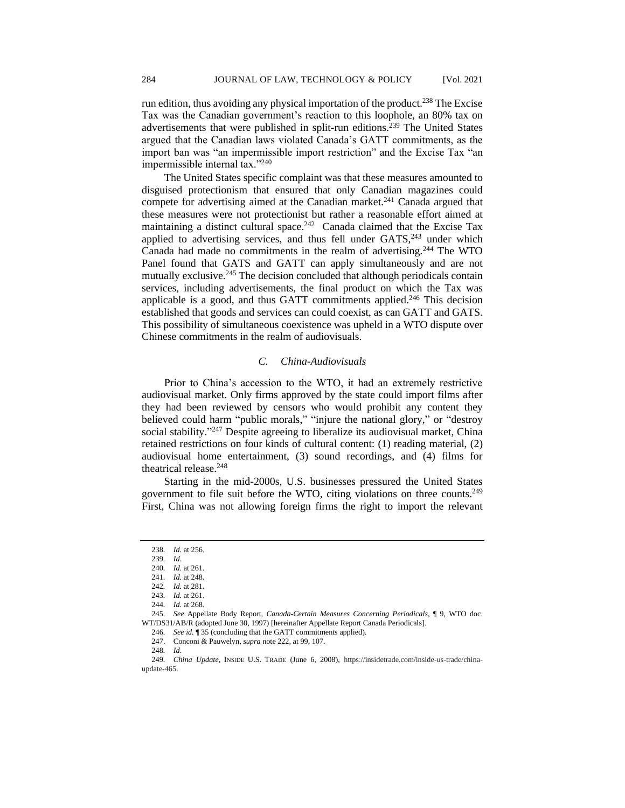run edition, thus avoiding any physical importation of the product.<sup>238</sup> The Excise Tax was the Canadian government's reaction to this loophole, an 80% tax on advertisements that were published in split-run editions.<sup>239</sup> The United States argued that the Canadian laws violated Canada's GATT commitments, as the import ban was "an impermissible import restriction" and the Excise Tax "an impermissible internal tax."<sup>240</sup>

The United States specific complaint was that these measures amounted to disguised protectionism that ensured that only Canadian magazines could compete for advertising aimed at the Canadian market.<sup>241</sup> Canada argued that these measures were not protectionist but rather a reasonable effort aimed at maintaining a distinct cultural space.<sup>242</sup> Canada claimed that the Excise Tax applied to advertising services, and thus fell under  $GATS$ ,  $243$  under which Canada had made no commitments in the realm of advertising.<sup>244</sup> The WTO Panel found that GATS and GATT can apply simultaneously and are not mutually exclusive.<sup>245</sup> The decision concluded that although periodicals contain services, including advertisements, the final product on which the Tax was applicable is a good, and thus GATT commitments applied.<sup>246</sup> This decision established that goods and services can could coexist, as can GATT and GATS. This possibility of simultaneous coexistence was upheld in a WTO dispute over Chinese commitments in the realm of audiovisuals.

#### *C. China-Audiovisuals*

Prior to China's accession to the WTO, it had an extremely restrictive audiovisual market. Only firms approved by the state could import films after they had been reviewed by censors who would prohibit any content they believed could harm "public morals," "injure the national glory," or "destroy social stability."<sup>247</sup> Despite agreeing to liberalize its audiovisual market, China retained restrictions on four kinds of cultural content: (1) reading material, (2) audiovisual home entertainment, (3) sound recordings, and (4) films for theatrical release.<sup>248</sup>

Starting in the mid-2000s, U.S. businesses pressured the United States government to file suit before the WTO, citing violations on three counts.<sup>249</sup> First, China was not allowing foreign firms the right to import the relevant

<sup>238</sup>*. Id.* at 256.

<sup>239</sup>*. Id*.

<sup>240</sup>*. Id.* at 261.

<sup>241</sup>*. Id.* at 248.

<sup>242</sup>*. Id.* at 281.

<sup>243</sup>*. Id.* at 261.

<sup>244</sup>*. Id.* at 268.

<sup>245</sup>*. See* Appellate Body Report, *Canada-Certain Measures Concerning Periodicals*, ¶ 9, WTO doc. WT/DS31/AB/R (adopted June 30, 1997) [hereinafter Appellate Report Canada Periodicals].

<sup>246</sup>*. See id.* ¶ 35 (concluding that the GATT commitments applied).

<sup>247.</sup> Conconi & Pauwelyn, *supra* note 222, at 99, 107.

<sup>248</sup>*. Id*.

<sup>249</sup>*. China Update*, INSIDE U.S. TRADE (June 6, 2008), https://insidetrade.com/inside-us-trade/chinaupdate-465.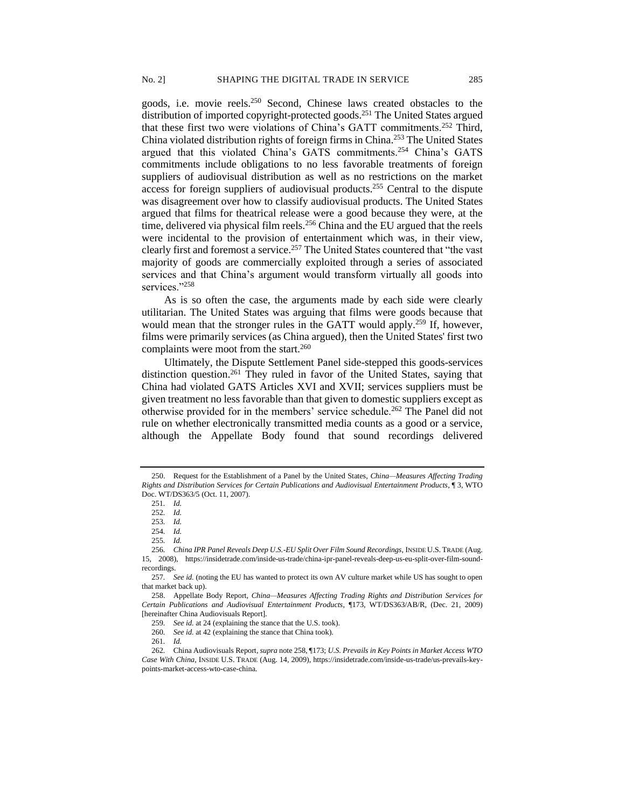goods, i.e. movie reels.<sup>250</sup> Second, Chinese laws created obstacles to the distribution of imported copyright-protected goods.<sup>251</sup> The United States argued that these first two were violations of China's GATT commitments.<sup>252</sup> Third, China violated distribution rights of foreign firms in China.<sup>253</sup> The United States argued that this violated China's GATS commitments.<sup>254</sup> China's GATS commitments include obligations to no less favorable treatments of foreign suppliers of audiovisual distribution as well as no restrictions on the market access for foreign suppliers of audiovisual products.<sup>255</sup> Central to the dispute was disagreement over how to classify audiovisual products. The United States argued that films for theatrical release were a good because they were, at the time, delivered via physical film reels.<sup>256</sup> China and the EU argued that the reels were incidental to the provision of entertainment which was, in their view, clearly first and foremost a service.<sup>257</sup> The United States countered that "the vast majority of goods are commercially exploited through a series of associated services and that China's argument would transform virtually all goods into services."258

As is so often the case, the arguments made by each side were clearly utilitarian. The United States was arguing that films were goods because that would mean that the stronger rules in the GATT would apply.<sup>259</sup> If, however, films were primarily services (as China argued), then the United States' first two complaints were moot from the start.<sup>260</sup>

Ultimately, the Dispute Settlement Panel side-stepped this goods-services distinction question.<sup>261</sup> They ruled in favor of the United States, saying that China had violated GATS Articles XVI and XVII; services suppliers must be given treatment no less favorable than that given to domestic suppliers except as otherwise provided for in the members' service schedule.<sup>262</sup> The Panel did not rule on whether electronically transmitted media counts as a good or a service, although the Appellate Body found that sound recordings delivered

<sup>250.</sup> Request for the Establishment of a Panel by the United States, *China—Measures Affecting Trading Rights and Distribution Services for Certain Publications and Audiovisual Entertainment Products*, ¶ 3, WTO Doc. WT/DS363/5 (Oct. 11, 2007).

<sup>251</sup>*. Id.*

<sup>252</sup>*. Id.*

<sup>253</sup>*. Id.*

<sup>254</sup>*. Id.*

<sup>255</sup>*. Id.*

<sup>256</sup>*. China IPR Panel Reveals Deep U.S.-EU Split Over Film Sound Recordings,* INSIDE U.S. TRADE (Aug. 15, 2008), https://insidetrade.com/inside-us-trade/china-ipr-panel-reveals-deep-us-eu-split-over-film-soundrecordings.

<sup>257</sup>*. See id.* (noting the EU has wanted to protect its own AV culture market while US has sought to open that market back up).

<sup>258.</sup> Appellate Body Report, *China—Measures Affecting Trading Rights and Distribution Services for Certain Publications and Audiovisual Entertainment Products*, ¶173, WT/DS363/AB/R, (Dec. 21, 2009) [hereinafter China Audiovisuals Report].

<sup>259</sup>*. See id.* at 24 (explaining the stance that the U.S. took).

<sup>260</sup>*. See id.* at 42 (explaining the stance that China took).

<sup>261</sup>*. Id.*

<sup>262</sup>*.* China Audiovisuals Report, *supra* note 258, ¶173; *U.S. Prevails in Key Points in Market Access WTO Case With China,* INSIDE U.S. TRADE (Aug. 14, 2009), https://insidetrade.com/inside-us-trade/us-prevails-keypoints-market-access-wto-case-china.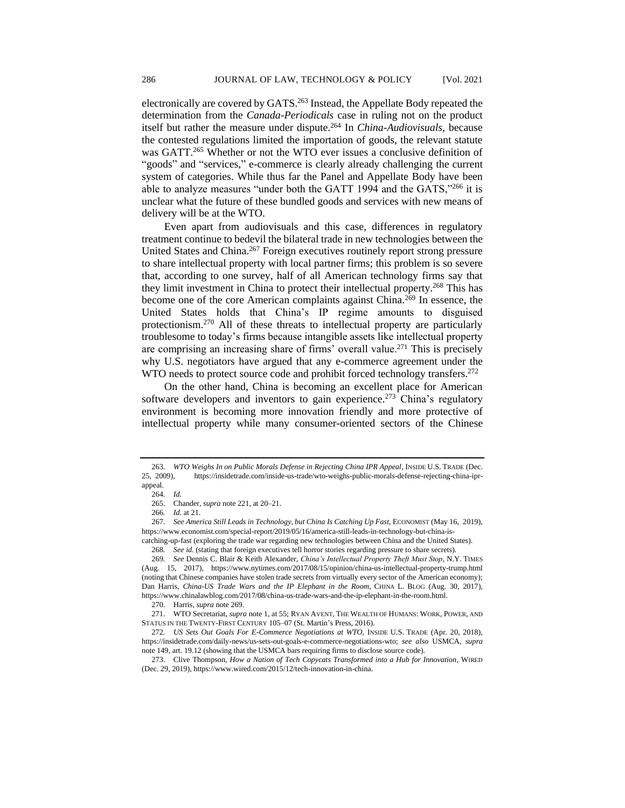electronically are covered by GATS.<sup>263</sup> Instead, the Appellate Body repeated the determination from the *Canada-Periodicals* case in ruling not on the product itself but rather the measure under dispute.<sup>264</sup> In *China-Audiovisuals*, because the contested regulations limited the importation of goods, the relevant statute was GATT.<sup>265</sup> Whether or not the WTO ever issues a conclusive definition of "goods" and "services," e-commerce is clearly already challenging the current system of categories. While thus far the Panel and Appellate Body have been able to analyze measures "under both the GATT 1994 and the GATS,"<sup>266</sup> it is unclear what the future of these bundled goods and services with new means of delivery will be at the WTO.

Even apart from audiovisuals and this case, differences in regulatory treatment continue to bedevil the bilateral trade in new technologies between the United States and China.<sup>267</sup> Foreign executives routinely report strong pressure to share intellectual property with local partner firms; this problem is so severe that, according to one survey, half of all American technology firms say that they limit investment in China to protect their intellectual property.<sup>268</sup> This has become one of the core American complaints against China.<sup>269</sup> In essence, the United States holds that China's IP regime amounts to disguised protectionism.<sup>270</sup> All of these threats to intellectual property are particularly troublesome to today's firms because intangible assets like intellectual property are comprising an increasing share of firms' overall value.<sup>271</sup> This is precisely why U.S. negotiators have argued that any e-commerce agreement under the WTO needs to protect source code and prohibit forced technology transfers.<sup>272</sup>

On the other hand, China is becoming an excellent place for American software developers and inventors to gain experience.<sup>273</sup> China's regulatory environment is becoming more innovation friendly and more protective of intellectual property while many consumer-oriented sectors of the Chinese

<sup>263</sup>*. WTO Weighs In on Public Morals Defense in Rejecting China IPR Appeal*, INSIDE U.S. TRADE (Dec. 25, 2009), https://insidetrade.com/inside-us-trade/wto-weighs-public-morals-defense-rejecting-china-iprappeal.

<sup>264</sup>*. Id.*

<sup>265.</sup> Chander, *supra* note 221, at 20–21.

<sup>266</sup>*. Id.* at 21.

<sup>267.</sup> *See America Still Leads in Technology, but China Is Catching Up Fast*, ECONOMIST (May 16, 2019), https://www.economist.com/special-report/2019/05/16/america-still-leads-in-technology-but-china-is-

catching-up-fast (exploring the trade war regarding new technologies between China and the United States).

<sup>268</sup>*. See id.* (stating that foreign executives tell horror stories regarding pressure to share secrets).

<sup>269</sup>*. See* Dennis C. Blair & Keith Alexander, *China's Intellectual Property Theft Must Stop*, N.Y. TIMES (Aug. 15, 2017), https://www.nytimes.com/2017/08/15/opinion/china-us-intellectual-property-trump.html (noting that Chinese companies have stolen trade secrets from virtually every sector of the American economy); Dan Harris, *China-US Trade Wars and the IP Elephant in the Room*, CHINA L. BLOG (Aug. 30, 2017), https://www.chinalawblog.com/2017/08/china-us-trade-wars-and-the-ip-elephant-in-the-room.html.

<sup>270.</sup> Harris, *supra* note 269.

<sup>271.</sup> WTO Secretariat, *supra* note 1, at 55; RYAN AVENT, THE WEALTH OF HUMANS: WORK, POWER, AND STATUS IN THE TWENTY-FIRST CENTURY 105–07 (St. Martin's Press, 2016).

<sup>272</sup>*. US Sets Out Goals For E-Commerce Negotiations at WTO*, INSIDE U.S. TRADE (Apr. 20, 2018), https://insidetrade.com/daily-news/us-sets-out-goals-e-commerce-negotiations-wto; *see also* USMCA, *supra*  note 149, art. 19.12 (showing that the USMCA bars requiring firms to disclose source code).

<sup>273.</sup> Clive Thompson, *How a Nation of Tech Copycats Transformed into a Hub for Innovation*, WIRED (Dec. 29, 2019), https://www.wired.com/2015/12/tech-innovation-in-china.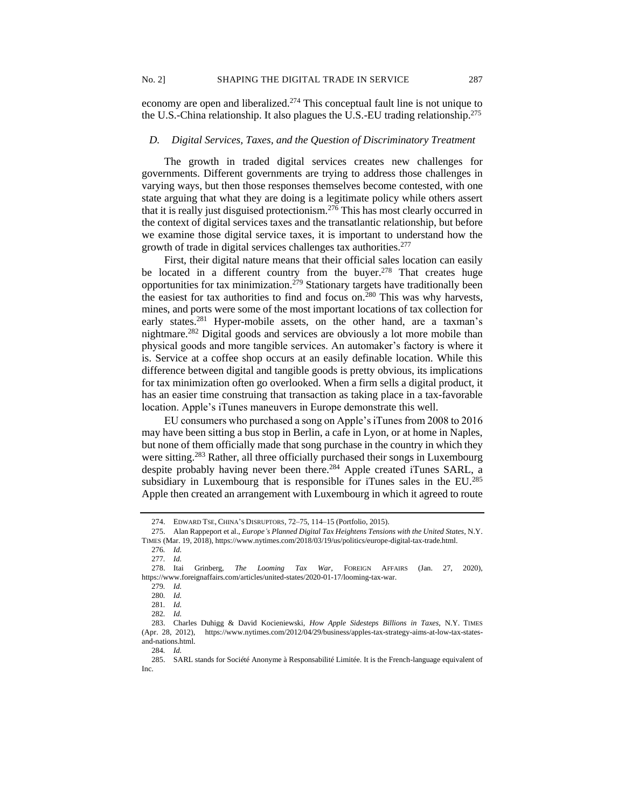economy are open and liberalized.<sup>274</sup> This conceptual fault line is not unique to the U.S.-China relationship. It also plagues the U.S.-EU trading relationship.<sup>275</sup>

## *D. Digital Services, Taxes, and the Question of Discriminatory Treatment*

The growth in traded digital services creates new challenges for governments. Different governments are trying to address those challenges in varying ways, but then those responses themselves become contested, with one state arguing that what they are doing is a legitimate policy while others assert that it is really just disguised protectionism.<sup>276</sup> This has most clearly occurred in the context of digital services taxes and the transatlantic relationship, but before we examine those digital service taxes, it is important to understand how the growth of trade in digital services challenges tax authorities.<sup>277</sup>

First, their digital nature means that their official sales location can easily be located in a different country from the buyer.<sup>278</sup> That creates huge opportunities for tax minimization.<sup>279</sup> Stationary targets have traditionally been the easiest for tax authorities to find and focus on.<sup>280</sup> This was why harvests, mines, and ports were some of the most important locations of tax collection for early states.<sup>281</sup> Hyper-mobile assets, on the other hand, are a taxman's nightmare.<sup>282</sup> Digital goods and services are obviously a lot more mobile than physical goods and more tangible services. An automaker's factory is where it is. Service at a coffee shop occurs at an easily definable location. While this difference between digital and tangible goods is pretty obvious, its implications for tax minimization often go overlooked. When a firm sells a digital product, it has an easier time construing that transaction as taking place in a tax-favorable location. Apple's iTunes maneuvers in Europe demonstrate this well.

EU consumers who purchased a song on Apple's iTunes from 2008 to 2016 may have been sitting a bus stop in Berlin, a cafe in Lyon, or at home in Naples, but none of them officially made that song purchase in the country in which they were sitting.<sup>283</sup> Rather, all three officially purchased their songs in Luxembourg despite probably having never been there.<sup>284</sup> Apple created iTunes SARL, a subsidiary in Luxembourg that is responsible for iTunes sales in the EU.<sup>285</sup> Apple then created an arrangement with Luxembourg in which it agreed to route

276*. Id.* 277*. Id.*

<sup>274.</sup> EDWARD TSE, CHINA'S DISRUPTORS, 72–75, 114–15 (Portfolio, 2015).

<sup>275.</sup> Alan Rappeport et al., *Europe's Planned Digital Tax Heightens Tensions with the United States*, N.Y.

TIMES (Mar. 19, 2018), https://www.nytimes.com/2018/03/19/us/politics/europe-digital-tax-trade.html.

<sup>278.</sup> Itai Grinberg, *The Looming Tax War,* FOREIGN AFFAIRS (Jan. 27, 2020), https://www.foreignaffairs.com/articles/united-states/2020-01-17/looming-tax-war.

<sup>279</sup>*. Id.*

<sup>280</sup>*. Id.*

<sup>281</sup>*. Id.*  282*. Id.*

<sup>283.</sup> Charles Duhigg & David Kocieniewski, *How Apple Sidesteps Billions in Taxes,* N.Y. TIMES (Apr. 28, 2012), https://www.nytimes.com/2012/04/29/business/apples-tax-strategy-aims-at-low-tax-statesand-nations.html.

<sup>284</sup>*. Id.*

<sup>285.</sup> SARL stands for Société Anonyme à Responsabilité Limitée. It is the French-language equivalent of Inc.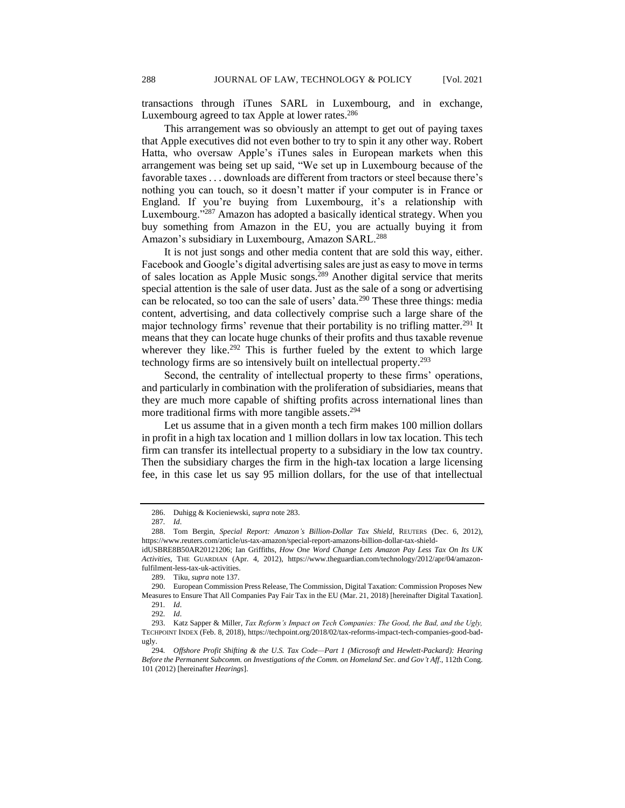transactions through iTunes SARL in Luxembourg, and in exchange, Luxembourg agreed to tax Apple at lower rates.<sup>286</sup>

This arrangement was so obviously an attempt to get out of paying taxes that Apple executives did not even bother to try to spin it any other way. Robert Hatta, who oversaw Apple's iTunes sales in European markets when this arrangement was being set up said, "We set up in Luxembourg because of the favorable taxes . . . downloads are different from tractors or steel because there's nothing you can touch, so it doesn't matter if your computer is in France or England. If you're buying from Luxembourg, it's a relationship with Luxembourg."<sup>287</sup> Amazon has adopted a basically identical strategy. When you buy something from Amazon in the EU, you are actually buying it from Amazon's subsidiary in Luxembourg, Amazon SARL.<sup>288</sup>

It is not just songs and other media content that are sold this way, either. Facebook and Google's digital advertising sales are just as easy to move in terms of sales location as Apple Music songs.<sup>289</sup> Another digital service that merits special attention is the sale of user data. Just as the sale of a song or advertising can be relocated, so too can the sale of users' data.<sup>290</sup> These three things: media content, advertising, and data collectively comprise such a large share of the major technology firms' revenue that their portability is no trifling matter.<sup>291</sup> It means that they can locate huge chunks of their profits and thus taxable revenue wherever they like.<sup>292</sup> This is further fueled by the extent to which large technology firms are so intensively built on intellectual property.<sup>293</sup>

Second, the centrality of intellectual property to these firms' operations, and particularly in combination with the proliferation of subsidiaries, means that they are much more capable of shifting profits across international lines than more traditional firms with more tangible assets.<sup>294</sup>

Let us assume that in a given month a tech firm makes 100 million dollars in profit in a high tax location and 1 million dollars in low tax location. This tech firm can transfer its intellectual property to a subsidiary in the low tax country. Then the subsidiary charges the firm in the high-tax location a large licensing fee, in this case let us say 95 million dollars, for the use of that intellectual

<sup>286.</sup> Duhigg & Kocieniewski, *supra* note 283.

<sup>287</sup>*. Id*.

<sup>288.</sup> Tom Bergin, *Special Report: Amazon's Billion-Dollar Tax Shield*, REUTERS (Dec. 6, 2012), https://www.reuters.com/article/us-tax-amazon/special-report-amazons-billion-dollar-tax-shield-

idUSBRE8B50AR20121206; Ian Griffiths, *How One Word Change Lets Amazon Pay Less Tax On Its UK Activities*, THE GUARDIAN (Apr. 4, 2012), https://www.theguardian.com/technology/2012/apr/04/amazonfulfilment-less-tax-uk-activities.

<sup>289.</sup> Tiku, *supra* note 137.

<sup>290.</sup> European Commission Press Release, The Commission, Digital Taxation: Commission Proposes New Measures to Ensure That All Companies Pay Fair Tax in the EU (Mar. 21, 2018) [hereinafter Digital Taxation].

<sup>291</sup>*. Id*. 292*. Id*.

<sup>293.</sup> Katz Sapper & Miller, *Tax Reform's Impact on Tech Companies: The Good, the Bad, and the Ugly,*  TECHPOINT INDEX (Feb. 8, 2018), https://techpoint.org/2018/02/tax-reforms-impact-tech-companies-good-badugly.

<sup>294</sup>*. Offshore Profit Shifting & the U.S. Tax Code—Part 1 (Microsoft and Hewlett-Packard): Hearing Before the Permanent Subcomm. on Investigations of the Comm. on Homeland Sec. and Gov't Aff*., 112th Cong. 101 (2012) [hereinafter *Hearings*].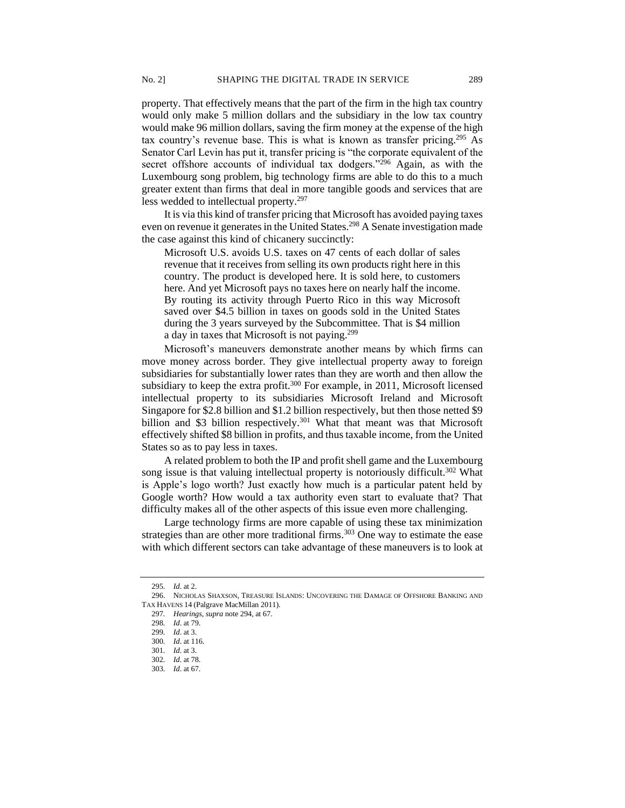property. That effectively means that the part of the firm in the high tax country would only make 5 million dollars and the subsidiary in the low tax country would make 96 million dollars, saving the firm money at the expense of the high tax country's revenue base. This is what is known as transfer pricing.<sup>295</sup> As Senator Carl Levin has put it, transfer pricing is "the corporate equivalent of the secret offshore accounts of individual tax dodgers."<sup>296</sup> Again, as with the Luxembourg song problem, big technology firms are able to do this to a much greater extent than firms that deal in more tangible goods and services that are less wedded to intellectual property.<sup>297</sup>

It is via this kind of transfer pricing that Microsoft has avoided paying taxes even on revenue it generates in the United States.<sup>298</sup> A Senate investigation made the case against this kind of chicanery succinctly:

Microsoft U.S. avoids U.S. taxes on 47 cents of each dollar of sales revenue that it receives from selling its own products right here in this country. The product is developed here. It is sold here, to customers here. And yet Microsoft pays no taxes here on nearly half the income. By routing its activity through Puerto Rico in this way Microsoft saved over \$4.5 billion in taxes on goods sold in the United States during the 3 years surveyed by the Subcommittee. That is \$4 million a day in taxes that Microsoft is not paying.<sup>299</sup>

Microsoft's maneuvers demonstrate another means by which firms can move money across border. They give intellectual property away to foreign subsidiaries for substantially lower rates than they are worth and then allow the subsidiary to keep the extra profit.<sup>300</sup> For example, in 2011, Microsoft licensed intellectual property to its subsidiaries Microsoft Ireland and Microsoft Singapore for \$2.8 billion and \$1.2 billion respectively, but then those netted \$9 billion and \$3 billion respectively.<sup>301</sup> What that meant was that Microsoft effectively shifted \$8 billion in profits, and thus taxable income, from the United States so as to pay less in taxes.

A related problem to both the IP and profit shell game and the Luxembourg song issue is that valuing intellectual property is notoriously difficult.<sup>302</sup> What is Apple's logo worth? Just exactly how much is a particular patent held by Google worth? How would a tax authority even start to evaluate that? That difficulty makes all of the other aspects of this issue even more challenging.

Large technology firms are more capable of using these tax minimization strategies than are other more traditional firms.<sup>303</sup> One way to estimate the ease with which different sectors can take advantage of these maneuvers is to look at

<sup>295</sup>*. Id*. at 2.

<sup>296.</sup> NICHOLAS SHAXSON, TREASURE ISLANDS: UNCOVERING THE DAMAGE OF OFFSHORE BANKING AND TAX HAVENS 14 (Palgrave MacMillan 2011).

<sup>297</sup>*. Hearings*, *supra* note 294, at 67.

<sup>298</sup>*. Id*. at 79.

<sup>299</sup>*. Id*. at 3.

<sup>300</sup>*. Id*. at 116.

<sup>301</sup>*. Id*. at 3.

<sup>302</sup>*. Id*. at 78.

<sup>303</sup>*. Id*. at 67.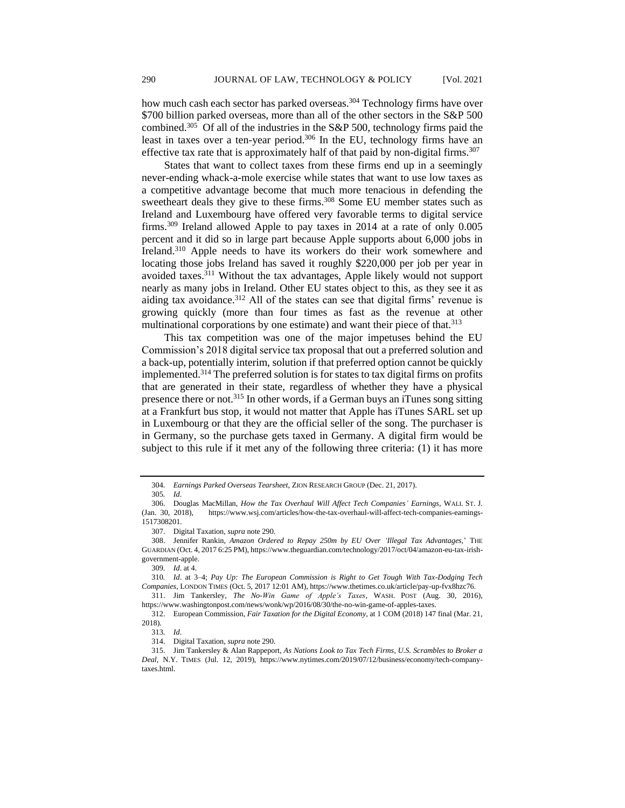how much cash each sector has parked overseas.<sup>304</sup> Technology firms have over \$700 billion parked overseas, more than all of the other sectors in the S&P 500 combined.<sup>305</sup> Of all of the industries in the S&P 500, technology firms paid the least in taxes over a ten-year period.<sup>306</sup> In the EU, technology firms have an effective tax rate that is approximately half of that paid by non-digital firms.<sup>307</sup>

States that want to collect taxes from these firms end up in a seemingly never-ending whack-a-mole exercise while states that want to use low taxes as a competitive advantage become that much more tenacious in defending the sweetheart deals they give to these firms.<sup>308</sup> Some EU member states such as Ireland and Luxembourg have offered very favorable terms to digital service firms.<sup>309</sup> Ireland allowed Apple to pay taxes in 2014 at a rate of only 0.005 percent and it did so in large part because Apple supports about 6,000 jobs in Ireland.<sup>310</sup> Apple needs to have its workers do their work somewhere and locating those jobs Ireland has saved it roughly \$220,000 per job per year in avoided taxes.<sup>311</sup> Without the tax advantages, Apple likely would not support nearly as many jobs in Ireland. Other EU states object to this, as they see it as aiding tax avoidance.<sup>312</sup> All of the states can see that digital firms' revenue is growing quickly (more than four times as fast as the revenue at other multinational corporations by one estimate) and want their piece of that.<sup>313</sup>

This tax competition was one of the major impetuses behind the EU Commission's 2018 digital service tax proposal that out a preferred solution and a back-up, potentially interim, solution if that preferred option cannot be quickly implemented.<sup>314</sup> The preferred solution is for states to tax digital firms on profits that are generated in their state, regardless of whether they have a physical presence there or not.<sup>315</sup> In other words, if a German buys an iTunes song sitting at a Frankfurt bus stop, it would not matter that Apple has iTunes SARL set up in Luxembourg or that they are the official seller of the song. The purchaser is in Germany, so the purchase gets taxed in Germany. A digital firm would be subject to this rule if it met any of the following three criteria: (1) it has more

<sup>304</sup>*. Earnings Parked Overseas Tearsheet*, ZION RESEARCH GROUP (Dec. 21, 2017).

<sup>305</sup>*. Id*.

<sup>306.</sup> Douglas MacMillan, *How the Tax Overhaul Will Affect Tech Companies' Earnings*, WALL ST. J*.* (Jan. 30, 2018), https://www.wsj.com/articles/how-the-tax-overhaul-will-affect-tech-companies-earnings-1517308201.

<sup>307.</sup> Digital Taxation, *supra* note 290.

<sup>308.</sup> Jennifer Rankin, *Amazon Ordered to Repay 250m by EU Over 'Illegal Tax Advantages*,' THE GUARDIAN (Oct. 4, 2017 6:25 PM), https://www.theguardian.com/technology/2017/oct/04/amazon-eu-tax-irishgovernment-apple.

<sup>309</sup>*. Id*. at 4.

<sup>310</sup>*. Id*. at 3–4; *Pay Up: The European Commission is Right to Get Tough With Tax-Dodging Tech Companies*, LONDON TIMES (Oct. 5, 2017 12:01 AM), https://www.thetimes.co.uk/article/pay-up-fvx8hzc76.

<sup>311.</sup> Jim Tankersley, *The No-Win Game of Apple's Taxes*, WASH. POST (Aug. 30, 2016), https://www.washingtonpost.com/news/wonk/wp/2016/08/30/the-no-win-game-of-apples-taxes.

<sup>312.</sup> European Commission, *Fair Taxation for the Digital Economy*, at 1 COM (2018) 147 final (Mar. 21, 2018).

<sup>313</sup>*. Id*.

<sup>314.</sup> Digital Taxation, *supra* note 290.

<sup>315.</sup> Jim Tankersley & Alan Rappeport, *As Nations Look to Tax Tech Firms, U.S. Scrambles to Broker a Deal*, N.Y. TIMES (Jul. 12, 2019), https://www.nytimes.com/2019/07/12/business/economy/tech-companytaxes.html.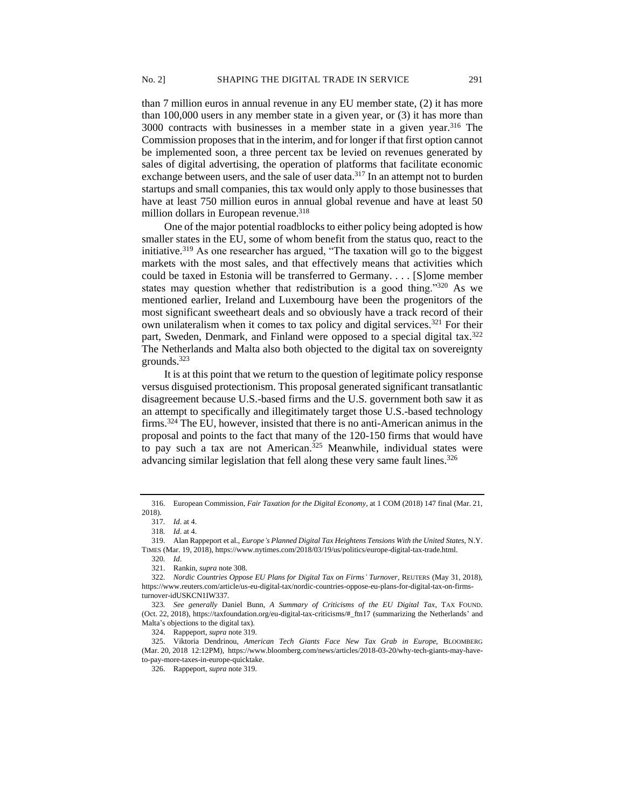than 7 million euros in annual revenue in any EU member state, (2) it has more than 100,000 users in any member state in a given year, or (3) it has more than 3000 contracts with businesses in a member state in a given year.<sup>316</sup> The Commission proposes that in the interim, and for longer if that first option cannot be implemented soon, a three percent tax be levied on revenues generated by sales of digital advertising, the operation of platforms that facilitate economic exchange between users, and the sale of user data.<sup>317</sup> In an attempt not to burden startups and small companies, this tax would only apply to those businesses that have at least 750 million euros in annual global revenue and have at least 50 million dollars in European revenue.<sup>318</sup>

One of the major potential roadblocks to either policy being adopted is how smaller states in the EU, some of whom benefit from the status quo, react to the initiative.<sup>319</sup> As one researcher has argued, "The taxation will go to the biggest markets with the most sales, and that effectively means that activities which could be taxed in Estonia will be transferred to Germany. . . . [S]ome member states may question whether that redistribution is a good thing."<sup>320</sup> As we mentioned earlier, Ireland and Luxembourg have been the progenitors of the most significant sweetheart deals and so obviously have a track record of their own unilateralism when it comes to tax policy and digital services.<sup>321</sup> For their part, Sweden, Denmark, and Finland were opposed to a special digital tax.<sup>322</sup> The Netherlands and Malta also both objected to the digital tax on sovereignty grounds.<sup>323</sup>

It is at this point that we return to the question of legitimate policy response versus disguised protectionism. This proposal generated significant transatlantic disagreement because U.S.-based firms and the U.S. government both saw it as an attempt to specifically and illegitimately target those U.S.-based technology firms.<sup>324</sup> The EU, however, insisted that there is no anti-American animus in the proposal and points to the fact that many of the 120-150 firms that would have to pay such a tax are not American.<sup>325</sup> Meanwhile, individual states were advancing similar legislation that fell along these very same fault lines.<sup>326</sup>

<sup>316.</sup> European Commission, *Fair Taxation for the Digital Economy*, at 1 COM (2018) 147 final (Mar. 21, 2018).

<sup>317</sup>*. Id*. at 4.

<sup>318</sup>*. Id*. at 4.

<sup>319.</sup> Alan Rappeport et al., *Europe's Planned Digital Tax Heightens Tensions With the United States*, N.Y. TIMES (Mar. 19, 2018), https://www.nytimes.com/2018/03/19/us/politics/europe-digital-tax-trade.html.

<sup>320</sup>*. Id*.

<sup>321.</sup> Rankin, *supra* note 308.

<sup>322</sup>*. Nordic Countries Oppose EU Plans for Digital Tax on Firms' Turnover*, REUTERS (May 31, 2018), https://www.reuters.com/article/us-eu-digital-tax/nordic-countries-oppose-eu-plans-for-digital-tax-on-firmsturnover-idUSKCN1IW337.

<sup>323</sup>*. See generally* Daniel Bunn, *A Summary of Criticisms of the EU Digital Tax*, TAX FOUND. (Oct. 22, 2018), https://taxfoundation.org/eu-digital-tax-criticisms/#\_ftn17 (summarizing the Netherlands' and Malta's objections to the digital tax).

<sup>324.</sup> Rappeport, *supra* note 319.

<sup>325.</sup> Viktoria Dendrinou, *American Tech Giants Face New Tax Grab in Europe*, BLOOMBERG (Mar. 20, 2018 12:12PM), https://www.bloomberg.com/news/articles/2018-03-20/why-tech-giants-may-haveto-pay-more-taxes-in-europe-quicktake.

<sup>326.</sup> Rappeport, *supra* note 319.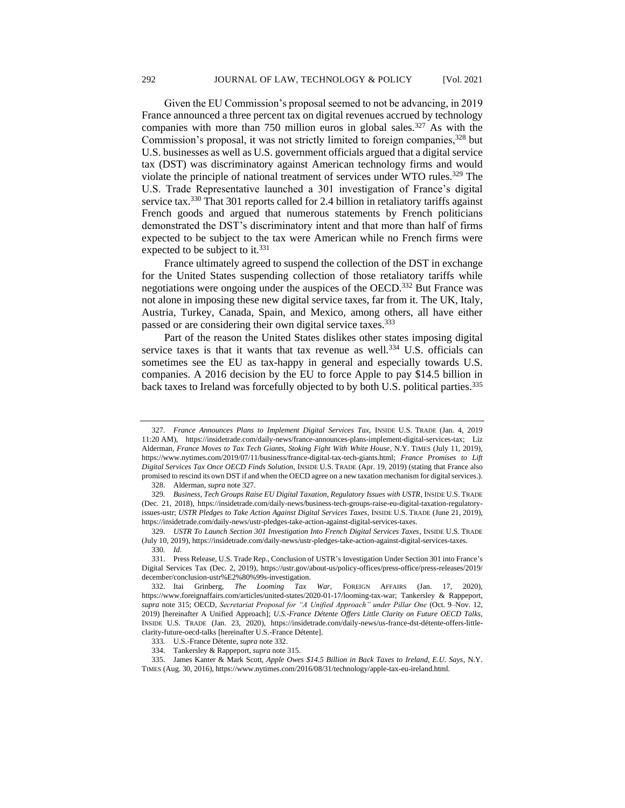Given the EU Commission's proposal seemed to not be advancing, in 2019 France announced a three percent tax on digital revenues accrued by technology companies with more than 750 million euros in global sales.<sup>327</sup> As with the Commission's proposal, it was not strictly limited to foreign companies,<sup>328</sup> but U.S. businesses as well as U.S. government officials argued that a digital service tax (DST) was discriminatory against American technology firms and would violate the principle of national treatment of services under WTO rules.<sup>329</sup> The U.S. Trade Representative launched a 301 investigation of France's digital service tax.<sup>330</sup> That 301 reports called for 2.4 billion in retaliatory tariffs against French goods and argued that numerous statements by French politicians demonstrated the DST's discriminatory intent and that more than half of firms expected to be subject to the tax were American while no French firms were expected to be subject to it.<sup>331</sup>

France ultimately agreed to suspend the collection of the DST in exchange for the United States suspending collection of those retaliatory tariffs while negotiations were ongoing under the auspices of the OECD.<sup>332</sup> But France was not alone in imposing these new digital service taxes, far from it. The UK, Italy, Austria, Turkey, Canada, Spain, and Mexico, among others, all have either passed or are considering their own digital service taxes.<sup>333</sup>

Part of the reason the United States dislikes other states imposing digital service taxes is that it wants that tax revenue as well.<sup>334</sup> U.S. officials can sometimes see the EU as tax-happy in general and especially towards U.S. companies. A 2016 decision by the EU to force Apple to pay \$14.5 billion in back taxes to Ireland was forcefully objected to by both U.S. political parties.<sup>335</sup>

<sup>327</sup>*. France Announces Plans to Implement Digital Services Tax,* INSIDE U.S. TRADE (Jan. 4, 2019 11:20 AM), https://insidetrade.com/daily-news/france-announces-plans-implement-digital-services-tax; Liz Alderman, *France Moves to Tax Tech Giants, Stoking Fight With White House*, N.Y. TIMES (July 11, 2019), https://www.nytimes.com/2019/07/11/business/france-digital-tax-tech-giants.html; *France Promises to Lift Digital Services Tax Once OECD Finds Solution*, INSIDE U.S. TRADE (Apr. 19, 2019) (stating that France also promised to rescind its own DST if and when the OECD agree on a new taxation mechanism for digital services.).

<sup>328.</sup> Alderman, *supra* note 327.

<sup>329</sup>*. Business, Tech Groups Raise EU Digital Taxation, Regulatory Issues with USTR*, INSIDE U.S. TRADE (Dec. 21, 2018), https://insidetrade.com/daily-news/business-tech-groups-raise-eu-digital-taxation-regulatoryissues-ustr; *USTR Pledges to Take Action Against Digital Services Taxes*, INSIDE U.S. TRADE (June 21, 2019), https://insidetrade.com/daily-news/ustr-pledges-take-action-against-digital-services-taxes.

<sup>329.</sup> *USTR To Launch Section 301 Investigation Into French Digital Services Taxes*, INSIDE U.S. TRADE (July 10, 2019), https://insidetrade.com/daily-news/ustr-pledges-take-action-against-digital-services-taxes. 330*. Id*.

<sup>331.</sup> Press Release, U.S. Trade Rep., Conclusion of USTR's Investigation Under Section 301 into France's Digital Services Tax (Dec. 2, 2019), https://ustr.gov/about-us/policy-offices/press-office/press-releases/2019/ december/conclusion-ustr%E2%80%99s-investigation.

<sup>332.</sup> Itai Grinberg, *The Looming Tax War*, FOREIGN AFFAIRS (Jan. 17, 2020), https://www.foreignaffairs.com/articles/united-states/2020-01-17/looming-tax-war; Tankersley & Rappeport, *supra* note 315; OECD, *Secretariat Proposal for "A Unified Approach" under Pillar One* (Oct. 9–Nov. 12, 2019) [hereinafter A Unified Approach]; *U.S.-France Détente Offers Little Clarity on Future OECD Talks,* INSIDE U.S. TRADE (Jan. 23, 2020), https://insidetrade.com/daily-news/us-france-dst-détente-offers-littleclarity-future-oecd-talks [hereinafter U.S.-France Détente].

<sup>333</sup>*.* U.S.-France Détente, *supra* note 332.

<sup>334.</sup> Tankersley & Rappeport, *supra* note 315.

<sup>335.</sup> James Kanter & Mark Scott, *Apple Owes \$14.5 Billion in Back Taxes to Ireland, E.U. Says*, N.Y. TIMES (Aug. 30, 2016), https://www.nytimes.com/2016/08/31/technology/apple-tax-eu-ireland.html.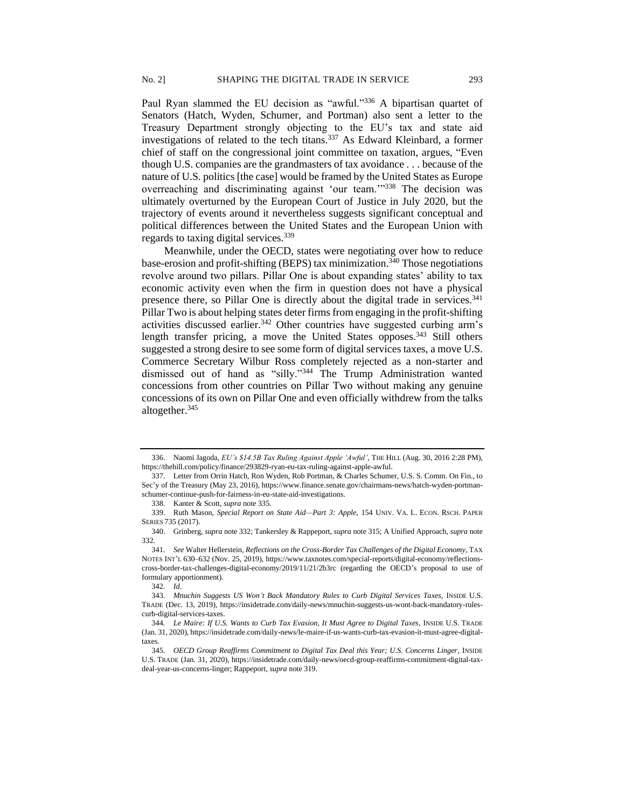Paul Ryan slammed the EU decision as "awful."<sup>336</sup> A bipartisan quartet of Senators (Hatch, Wyden, Schumer, and Portman) also sent a letter to the Treasury Department strongly objecting to the EU's tax and state aid investigations of related to the tech titans.<sup>337</sup> As Edward Kleinbard, a former chief of staff on the congressional joint committee on taxation, argues, "Even though U.S. companies are the grandmasters of tax avoidance . . . because of the nature of U.S. politics [the case] would be framed by the United States as Europe overreaching and discriminating against 'our team.'"<sup>338</sup> The decision was ultimately overturned by the European Court of Justice in July 2020, but the trajectory of events around it nevertheless suggests significant conceptual and political differences between the United States and the European Union with regards to taxing digital services.<sup>339</sup>

Meanwhile, under the OECD, states were negotiating over how to reduce base-erosion and profit-shifting (BEPS) tax minimization.<sup>340</sup> Those negotiations revolve around two pillars. Pillar One is about expanding states' ability to tax economic activity even when the firm in question does not have a physical presence there, so Pillar One is directly about the digital trade in services.<sup>341</sup> Pillar Two is about helping states deter firms from engaging in the profit-shifting activities discussed earlier.<sup>342</sup> Other countries have suggested curbing arm's length transfer pricing, a move the United States opposes. $343$  Still others suggested a strong desire to see some form of digital services taxes, a move U.S. Commerce Secretary Wilbur Ross completely rejected as a non-starter and dismissed out of hand as "silly."<sup>344</sup> The Trump Administration wanted concessions from other countries on Pillar Two without making any genuine concessions of its own on Pillar One and even officially withdrew from the talks altogether.<sup>345</sup>

<sup>336.</sup> Naomi Jagoda, *EU's \$14.5B Tax Ruling Against Apple 'Awful'*, THE HILL (Aug. 30, 2016 2:28 PM), https://thehill.com/policy/finance/293829-ryan-eu-tax-ruling-against-apple-awful.

<sup>337.</sup> Letter from Orrin Hatch, Ron Wyden, Rob Portman, & Charles Schumer, U.S. S. Comm. On Fin., to Sec'y of the Treasury (May 23, 2016), https://www.finance.senate.gov/chairmans-news/hatch-wyden-portmanschumer-continue-push-for-fairness-in-eu-state-aid-investigations.

<sup>338.</sup> Kanter & Scott, *supra* note 335.

<sup>339.</sup> Ruth Mason, *Special Report on State Aid—Part 3: Apple*, 154 UNIV. VA. L. ECON. RSCH. PAPER SERIES 735 (2017).

<sup>340.</sup> Grinberg, *supra* note 332; Tankersley & Rappeport, *supra* note 315; A Unified Approach, *supra* note 332.

<sup>341</sup>*. See* Walter Hellerstein, *Reflections on the Cross-Border Tax Challenges of the Digital Economy*, TAX NOTES INT'L 630–632 (Nov. 25, 2019), https://www.taxnotes.com/special-reports/digital-economy/reflectionscross-border-tax-challenges-digital-economy/2019/11/21/2b3rc (regarding the OECD's proposal to use of formulary apportionment).

<sup>342</sup>*. Id*.

<sup>343</sup>*. Mnuchin Suggests US Won't Back Mandatory Rules to Curb Digital Services Taxes*, INSIDE U.S. TRADE (Dec. 13, 2019), https://insidetrade.com/daily-news/mnuchin-suggests-us-wont-back-mandatory-rulescurb-digital-services-taxes.

<sup>344</sup>*. Le Maire: If U.S. Wants to Curb Tax Evasion, It Must Agree to Digital Taxes*, INSIDE U.S. TRADE (Jan. 31, 2020), https://insidetrade.com/daily-news/le-maire-if-us-wants-curb-tax-evasion-it-must-agree-digitaltaxes.

<sup>345</sup>*. OECD Group Reaffirms Commitment to Digital Tax Deal this Year; U.S. Concerns Linger*, INSIDE U.S. TRADE (Jan. 31, 2020), https://insidetrade.com/daily-news/oecd-group-reaffirms-commitment-digital-taxdeal-year-us-concerns-linger; Rappeport*, supra* note 319.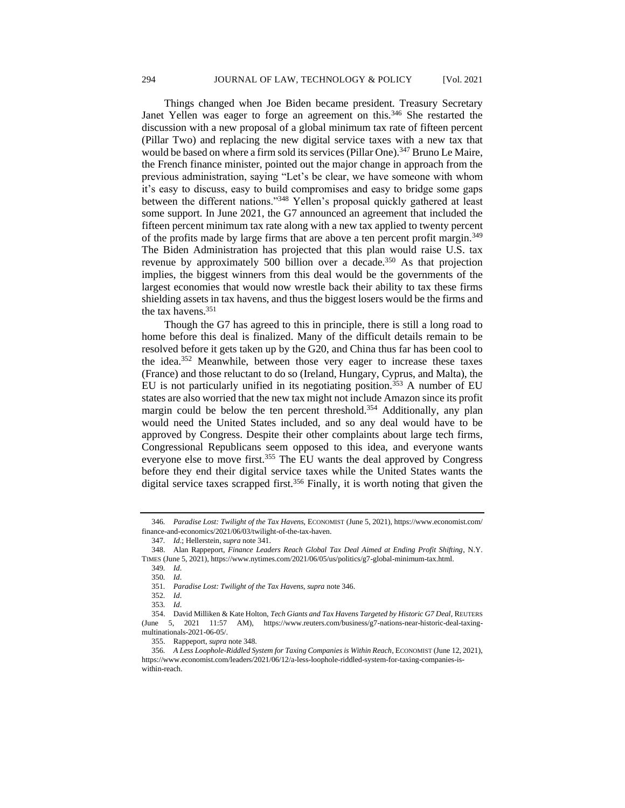Things changed when Joe Biden became president. Treasury Secretary Janet Yellen was eager to forge an agreement on this.<sup>346</sup> She restarted the discussion with a new proposal of a global minimum tax rate of fifteen percent (Pillar Two) and replacing the new digital service taxes with a new tax that would be based on where a firm sold its services (Pillar One).<sup>347</sup> Bruno Le Maire, the French finance minister, pointed out the major change in approach from the previous administration, saying "Let's be clear, we have someone with whom it's easy to discuss, easy to build compromises and easy to bridge some gaps between the different nations."<sup>348</sup> Yellen's proposal quickly gathered at least some support. In June 2021, the G7 announced an agreement that included the fifteen percent minimum tax rate along with a new tax applied to twenty percent of the profits made by large firms that are above a ten percent profit margin.<sup>349</sup> The Biden Administration has projected that this plan would raise U.S. tax revenue by approximately 500 billion over a decade.<sup>350</sup> As that projection implies, the biggest winners from this deal would be the governments of the largest economies that would now wrestle back their ability to tax these firms shielding assets in tax havens, and thus the biggest losers would be the firms and the tax havens.<sup>351</sup>

Though the G7 has agreed to this in principle, there is still a long road to home before this deal is finalized. Many of the difficult details remain to be resolved before it gets taken up by the G20, and China thus far has been cool to the idea.<sup>352</sup> Meanwhile, between those very eager to increase these taxes (France) and those reluctant to do so (Ireland, Hungary, Cyprus, and Malta), the EU is not particularly unified in its negotiating position.<sup>353</sup> A number of EU states are also worried that the new tax might not include Amazon since its profit margin could be below the ten percent threshold.<sup>354</sup> Additionally, any plan would need the United States included, and so any deal would have to be approved by Congress. Despite their other complaints about large tech firms, Congressional Republicans seem opposed to this idea, and everyone wants everyone else to move first.<sup>355</sup> The EU wants the deal approved by Congress before they end their digital service taxes while the United States wants the digital service taxes scrapped first.<sup>356</sup> Finally, it is worth noting that given the

<sup>346</sup>*. Paradise Lost: Twilight of the Tax Havens,* ECONOMIST (June 5, 2021), https://www.economist.com/ finance-and-economics/2021/06/03/twilight-of-the-tax-haven.

<sup>347</sup>*. Id*.; Hellerstein, *supra* note 341.

<sup>348.</sup> Alan Rappeport, *Finance Leaders Reach Global Tax Deal Aimed at Ending Profit Shifting*, N.Y. TIMES (June 5, 2021), https://www.nytimes.com/2021/06/05/us/politics/g7-global-minimum-tax.html.

<sup>349</sup>*. Id*.

<sup>350</sup>*. Id*.

<sup>351</sup>*. Paradise Lost: Twilight of the Tax Havens, supra* note 346.

<sup>352</sup>*. Id*.

<sup>353</sup>*. Id*.

<sup>354.</sup> David Milliken & Kate Holton, *Tech Giants and Tax Havens Targeted by Historic G7 Deal*, REUTERS (June 5, 2021 11:57 AM), https://www.reuters.com/business/g7-nations-near-historic-deal-taxingmultinationals-2021-06-05/.

<sup>355.</sup> Rappeport, *supra* note 348.

<sup>356</sup>*. A Less Loophole-Riddled System for Taxing Companies is Within Reach*, ECONOMIST (June 12, 2021), https://www.economist.com/leaders/2021/06/12/a-less-loophole-riddled-system-for-taxing-companies-iswithin-reach.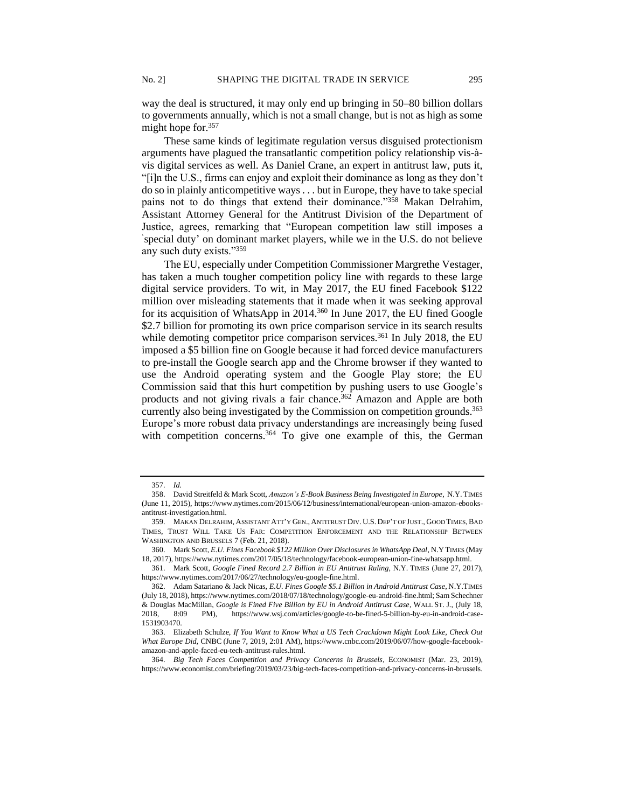way the deal is structured, it may only end up bringing in 50–80 billion dollars to governments annually, which is not a small change, but is not as high as some might hope for.<sup>357</sup>

These same kinds of legitimate regulation versus disguised protectionism arguments have plagued the transatlantic competition policy relationship vis-àvis digital services as well. As Daniel Crane, an expert in antitrust law, puts it, "[i]n the U.S., firms can enjoy and exploit their dominance as long as they don't do so in plainly anticompetitive ways . . . but in Europe, they have to take special pains not to do things that extend their dominance."358 Makan Delrahim, Assistant Attorney General for the Antitrust Division of the Department of Justice, agrees, remarking that "European competition law still imposes a ' special duty' on dominant market players, while we in the U.S. do not believe any such duty exists."<sup>359</sup>

The EU, especially under Competition Commissioner Margrethe Vestager, has taken a much tougher competition policy line with regards to these large digital service providers. To wit, in May 2017, the EU fined Facebook \$122 million over misleading statements that it made when it was seeking approval for its acquisition of WhatsApp in 2014.<sup>360</sup> In June 2017, the EU fined Google \$2.7 billion for promoting its own price comparison service in its search results while demoting competitor price comparison services.<sup>361</sup> In July 2018, the EU imposed a \$5 billion fine on Google because it had forced device manufacturers to pre-install the Google search app and the Chrome browser if they wanted to use the Android operating system and the Google Play store; the EU Commission said that this hurt competition by pushing users to use Google's products and not giving rivals a fair chance.<sup>362</sup> Amazon and Apple are both currently also being investigated by the Commission on competition grounds.<sup>363</sup> Europe's more robust data privacy understandings are increasingly being fused with competition concerns.<sup>364</sup> To give one example of this, the German

<sup>357.</sup> *Id.*

<sup>358.</sup> David Streitfeld & Mark Scott, *Amazon's E-Book Business Being Investigated in Europe*, N.Y. TIMES (June 11, 2015), https://www.nytimes.com/2015/06/12/business/international/european-union-amazon-ebooksantitrust-investigation.html.

<sup>359.</sup> MAKAN DELRAHIM, ASSISTANT ATT'Y GEN., ANTITRUST DIV. U.S. DEP'T OF JUST., GOOD TIMES,BAD TIMES, TRUST WILL TAKE US FAR: COMPETITION ENFORCEMENT AND THE RELATIONSHIP BETWEEN WASHINGTON AND BRUSSELS 7 (Feb. 21, 2018).

<sup>360.</sup> Mark Scott, *E.U. Fines Facebook \$122 Million Over Disclosures in WhatsApp Deal*, N.Y TIMES (May 18, 2017), https://www.nytimes.com/2017/05/18/technology/facebook-european-union-fine-whatsapp.html.

<sup>361.</sup> Mark Scott, *Google Fined Record 2.7 Billion in EU Antitrust Ruling*, N.Y. TIMES (June 27, 2017), https://www.nytimes.com/2017/06/27/technology/eu-google-fine.html.

<sup>362.</sup> Adam Satariano & Jack Nicas, *E.U. Fines Google \$5.1 Billion in Android Antitrust Case*, N.Y.TIMES (July 18, 2018), https://www.nytimes.com/2018/07/18/technology/google-eu-android-fine.html; Sam Schechner & Douglas MacMillan, *Google is Fined Five Billion by EU in Android Antitrust Case*, WALL ST. J., (July 18, 2018, 8:09 PM), https://www.wsj.com/articles/google-to-be-fined-5-billion-by-eu-in-android-case-1531903470.

<sup>363.</sup> Elizabeth Schulze, *If You Want to Know What a US Tech Crackdown Might Look Like, Check Out What Europe Did,* CNBC (June 7, 2019, 2:01 AM), https://www.cnbc.com/2019/06/07/how-google-facebookamazon-and-apple-faced-eu-tech-antitrust-rules.html.

<sup>364.</sup> *Big Tech Faces Competition and Privacy Concerns in Brussels*, ECONOMIST (Mar. 23, 2019), https://www.economist.com/briefing/2019/03/23/big-tech-faces-competition-and-privacy-concerns-in-brussels.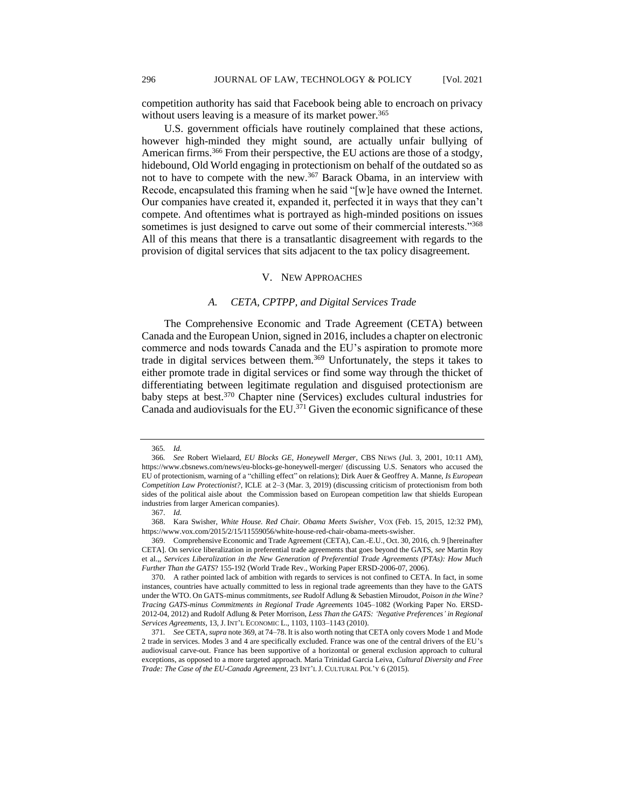competition authority has said that Facebook being able to encroach on privacy without users leaving is a measure of its market power.<sup>365</sup>

U.S. government officials have routinely complained that these actions, however high-minded they might sound, are actually unfair bullying of American firms.<sup>366</sup> From their perspective, the EU actions are those of a stodgy, hidebound, Old World engaging in protectionism on behalf of the outdated so as not to have to compete with the new.<sup>367</sup> Barack Obama, in an interview with Recode, encapsulated this framing when he said "[w]e have owned the Internet. Our companies have created it, expanded it, perfected it in ways that they can't compete. And oftentimes what is portrayed as high-minded positions on issues sometimes is just designed to carve out some of their commercial interests."<sup>368</sup> All of this means that there is a transatlantic disagreement with regards to the provision of digital services that sits adjacent to the tax policy disagreement.

#### V. NEW APPROACHES

## *A. CETA, CPTPP, and Digital Services Trade*

The Comprehensive Economic and Trade Agreement (CETA) between Canada and the European Union, signed in 2016, includes a chapter on electronic commerce and nods towards Canada and the EU's aspiration to promote more trade in digital services between them.<sup>369</sup> Unfortunately, the steps it takes to either promote trade in digital services or find some way through the thicket of differentiating between legitimate regulation and disguised protectionism are baby steps at best.<sup>370</sup> Chapter nine (Services) excludes cultural industries for Canada and audiovisuals for the EU.<sup>371</sup> Given the economic significance of these

<sup>365</sup>*. Id.* 

<sup>366</sup>*. See* Robert Wielaard, *EU Blocks GE, Honeywell Merger*, CBS NEWS (Jul. 3, 2001, 10:11 AM), https://www.cbsnews.com/news/eu-blocks-ge-honeywell-merger/ (discussing U.S. Senators who accused the EU of protectionism, warning of a "chilling effect" on relations); Dirk Auer & Geoffrey A. Manne, *Is European Competition Law Protectionist?*, ICLE at 2–3 (Mar. 3, 2019) (discussing criticism of protectionism from both sides of the political aisle about the Commission based on European competition law that shields European industries from larger American companies).

<sup>367.</sup> *Id.*

<sup>368.</sup> Kara Swisher, *White House. Red Chair. Obama Meets Swisher*, VOX (Feb. 15, 2015, 12:32 PM), https://www.vox.com/2015/2/15/11559056/white-house-red-chair-obama-meets-swisher.

<sup>369.</sup> Comprehensive Economic and Trade Agreement (CETA), Can.-E.U., Oct. 30, 2016, ch. 9 [hereinafter CETA]. On service liberalization in preferential trade agreements that goes beyond the GATS, *see* Martin Roy et al.,, *Services Liberalization in the New Generation of Preferential Trade Agreements (PTAs): How Much Further Than the GATS*? 155-192 (World Trade Rev., Working Paper ERSD-2006-07, 2006).

<sup>370.</sup> A rather pointed lack of ambition with regards to services is not confined to CETA. In fact, in some instances, countries have actually committed to less in regional trade agreements than they have to the GATS under the WTO. On GATS-minus commitments, *see* Rudolf Adlung & Sebastien Miroudot, *Poison in the Wine? Tracing GATS-minus Commitments in Regional Trade Agreements* 1045–1082 (Working Paper No. ERSD-2012-04, 2012) and Rudolf Adlung & Peter Morrison, *Less Than the GATS: 'Negative Preferences' in Regional Services Agreements*, 13, J. INT'L ECONOMIC L., 1103, 1103–1143 (2010).

<sup>371</sup>*. See* CETA, *supra* note 369, at 74–78. It is also worth noting that CETA only covers Mode 1 and Mode 2 trade in services. Modes 3 and 4 are specifically excluded. France was one of the central drivers of the EU's audiovisual carve-out. France has been supportive of a horizontal or general exclusion approach to cultural exceptions, as opposed to a more targeted approach. Maria Trinidad Garcia Leiva, *Cultural Diversity and Free Trade: The Case of the EU-Canada Agreement*, 23 INT'L J. CULTURAL POL'Y 6 (2015).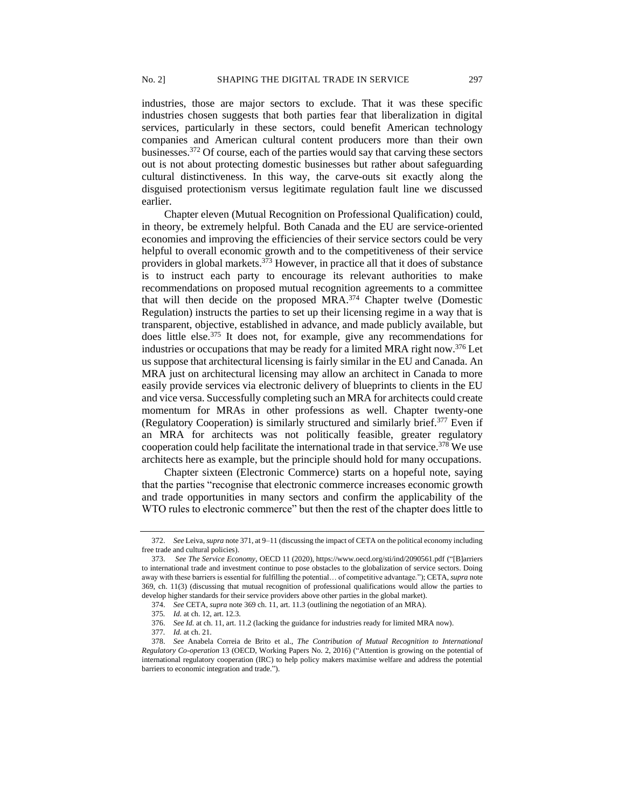industries, those are major sectors to exclude. That it was these specific industries chosen suggests that both parties fear that liberalization in digital services, particularly in these sectors, could benefit American technology companies and American cultural content producers more than their own businesses.<sup>372</sup> Of course, each of the parties would say that carving these sectors out is not about protecting domestic businesses but rather about safeguarding cultural distinctiveness. In this way, the carve-outs sit exactly along the disguised protectionism versus legitimate regulation fault line we discussed earlier.

Chapter eleven (Mutual Recognition on Professional Qualification) could, in theory, be extremely helpful. Both Canada and the EU are service-oriented economies and improving the efficiencies of their service sectors could be very helpful to overall economic growth and to the competitiveness of their service providers in global markets. $373$  However, in practice all that it does of substance is to instruct each party to encourage its relevant authorities to make recommendations on proposed mutual recognition agreements to a committee that will then decide on the proposed MRA.<sup>374</sup> Chapter twelve (Domestic Regulation) instructs the parties to set up their licensing regime in a way that is transparent, objective, established in advance, and made publicly available, but does little else.<sup>375</sup> It does not, for example, give any recommendations for industries or occupations that may be ready for a limited MRA right now.<sup>376</sup> Let us suppose that architectural licensing is fairly similar in the EU and Canada. An MRA just on architectural licensing may allow an architect in Canada to more easily provide services via electronic delivery of blueprints to clients in the EU and vice versa. Successfully completing such an MRA for architects could create momentum for MRAs in other professions as well. Chapter twenty-one (Regulatory Cooperation) is similarly structured and similarly brief.<sup>377</sup> Even if an MRA for architects was not politically feasible, greater regulatory cooperation could help facilitate the international trade in that service.<sup>378</sup> We use architects here as example, but the principle should hold for many occupations.

Chapter sixteen (Electronic Commerce) starts on a hopeful note, saying that the parties "recognise that electronic commerce increases economic growth and trade opportunities in many sectors and confirm the applicability of the WTO rules to electronic commerce" but then the rest of the chapter does little to

<sup>372.</sup> *See* Leiva, *supra* note 371, at 9–11 (discussing the impact of CETA on the political economy including free trade and cultural policies).

<sup>373.</sup> *See The Service Economy*, OECD 11 (2020), https://www.oecd.org/sti/ind/2090561.pdf ("[B]arriers to international trade and investment continue to pose obstacles to the globalization of service sectors. Doing away with these barriers is essential for fulfilling the potential… of competitive advantage."); CETA, *supra* note 369, ch. 11(3) (discussing that mutual recognition of professional qualifications would allow the parties to develop higher standards for their service providers above other parties in the global market).

<sup>374.</sup> *See* CETA, *supra* note 369 ch. 11, art. 11.3 (outlining the negotiation of an MRA).

<sup>375</sup>*. Id.* at ch. 12, art. 12.3.

<sup>376.</sup> *See Id.* at ch. 11, art. 11.2 (lacking the guidance for industries ready for limited MRA now).

<sup>377</sup>*. Id.* at ch. 21.

<sup>378.</sup> *See* Anabela Correia de Brito et al., *The Contribution of Mutual Recognition to International Regulatory Co-operation* 13 (OECD, Working Papers No. 2, 2016) ("Attention is growing on the potential of international regulatory cooperation (IRC) to help policy makers maximise welfare and address the potential barriers to economic integration and trade.").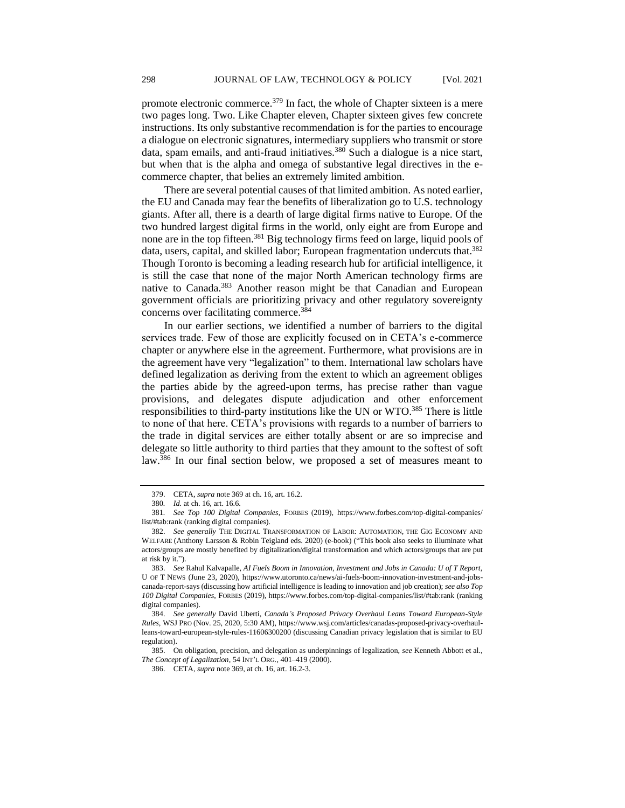promote electronic commerce.<sup>379</sup> In fact, the whole of Chapter sixteen is a mere two pages long. Two. Like Chapter eleven, Chapter sixteen gives few concrete instructions. Its only substantive recommendation is for the parties to encourage a dialogue on electronic signatures, intermediary suppliers who transmit or store data, spam emails, and anti-fraud initiatives.<sup>380</sup> Such a dialogue is a nice start, but when that is the alpha and omega of substantive legal directives in the ecommerce chapter, that belies an extremely limited ambition.

There are several potential causes of that limited ambition. As noted earlier, the EU and Canada may fear the benefits of liberalization go to U.S. technology giants. After all, there is a dearth of large digital firms native to Europe. Of the two hundred largest digital firms in the world, only eight are from Europe and none are in the top fifteen.<sup>381</sup> Big technology firms feed on large, liquid pools of data, users, capital, and skilled labor; European fragmentation undercuts that.<sup>382</sup> Though Toronto is becoming a leading research hub for artificial intelligence, it is still the case that none of the major North American technology firms are native to Canada.<sup>383</sup> Another reason might be that Canadian and European government officials are prioritizing privacy and other regulatory sovereignty concerns over facilitating commerce.<sup>384</sup>

In our earlier sections, we identified a number of barriers to the digital services trade. Few of those are explicitly focused on in CETA's e-commerce chapter or anywhere else in the agreement. Furthermore, what provisions are in the agreement have very "legalization" to them. International law scholars have defined legalization as deriving from the extent to which an agreement obliges the parties abide by the agreed-upon terms, has precise rather than vague provisions, and delegates dispute adjudication and other enforcement responsibilities to third-party institutions like the UN or WTO.<sup>385</sup> There is little to none of that here. CETA's provisions with regards to a number of barriers to the trade in digital services are either totally absent or are so imprecise and delegate so little authority to third parties that they amount to the softest of soft law.<sup>386</sup> In our final section below, we proposed a set of measures meant to

<sup>379.</sup> CETA, *supra* note 369 at ch. 16, art. 16.2.

<sup>380</sup>*. Id.* at ch. 16, art. 16.6.

<sup>381</sup>*. See Top 100 Digital Companies*, FORBES (2019), https://www.forbes.com/top-digital-companies/ list/#tab:rank (ranking digital companies).

<sup>382.</sup> *See generally* THE DIGITAL TRANSFORMATION OF LABOR: AUTOMATION, THE GIG ECONOMY AND WELFARE (Anthony Larsson & Robin Teigland eds. 2020) (e-book) ("This book also seeks to illuminate what actors/groups are mostly benefited by digitalization/digital transformation and which actors/groups that are put at risk by it.").

<sup>383.</sup> *See* Rahul Kalvapalle, *AI Fuels Boom in Innovation, Investment and Jobs in Canada: U of T Report,*  U OF T NEWS (June 23, 2020), https://www.utoronto.ca/news/ai-fuels-boom-innovation-investment-and-jobscanada-report-says (discussing how artificial intelligence is leading to innovation and job creation); *see also Top 100 Digital Companies*, FORBES (2019), https://www.forbes.com/top-digital-companies/list/#tab:rank (ranking digital companies).

<sup>384.</sup> *See generally* David Uberti, *Canada's Proposed Privacy Overhaul Leans Toward European-Style Rules*, WSJ PRO (Nov. 25, 2020, 5:30 AM), https://www.wsj.com/articles/canadas-proposed-privacy-overhaulleans-toward-european-style-rules-11606300200 (discussing Canadian privacy legislation that is similar to EU regulation).

<sup>385.</sup> On obligation, precision, and delegation as underpinnings of legalization, *see* Kenneth Abbott et al., *The Concept of Legalization*, 54 INT'L ORG*.*, 401–419 (2000).

<sup>386.</sup> CETA, *supra* note 369, at ch. 16, art. 16.2-3.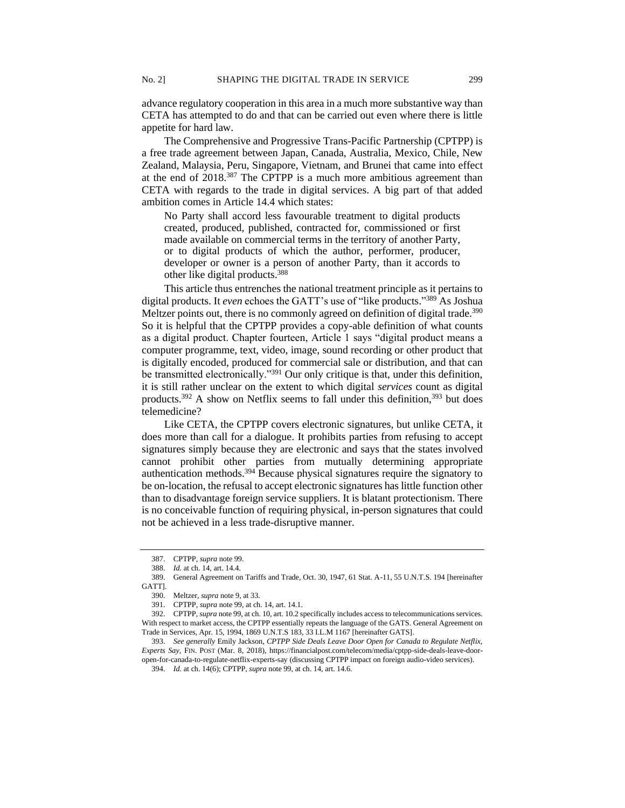advance regulatory cooperation in this area in a much more substantive way than CETA has attempted to do and that can be carried out even where there is little appetite for hard law.

The Comprehensive and Progressive Trans-Pacific Partnership (CPTPP) is a free trade agreement between Japan, Canada, Australia, Mexico, Chile, New Zealand, Malaysia, Peru, Singapore, Vietnam, and Brunei that came into effect at the end of 2018.<sup>387</sup> The CPTPP is a much more ambitious agreement than CETA with regards to the trade in digital services. A big part of that added ambition comes in Article 14.4 which states:

No Party shall accord less favourable treatment to digital products created, produced, published, contracted for, commissioned or first made available on commercial terms in the territory of another Party, or to digital products of which the author, performer, producer, developer or owner is a person of another Party, than it accords to other like digital products.<sup>388</sup>

This article thus entrenches the national treatment principle as it pertains to digital products. It *even* echoes the GATT's use of "like products." <sup>389</sup> As Joshua Meltzer points out, there is no commonly agreed on definition of digital trade.<sup>390</sup> So it is helpful that the CPTPP provides a copy-able definition of what counts as a digital product. Chapter fourteen, Article 1 says "digital product means a computer programme, text, video, image, sound recording or other product that is digitally encoded, produced for commercial sale or distribution, and that can be transmitted electronically."<sup>391</sup> Our only critique is that, under this definition, it is still rather unclear on the extent to which digital *services* count as digital products.<sup>392</sup> A show on Netflix seems to fall under this definition,<sup>393</sup> but does telemedicine?

Like CETA, the CPTPP covers electronic signatures, but unlike CETA, it does more than call for a dialogue. It prohibits parties from refusing to accept signatures simply because they are electronic and says that the states involved cannot prohibit other parties from mutually determining appropriate authentication methods.<sup>394</sup> Because physical signatures require the signatory to be on-location, the refusal to accept electronic signatures has little function other than to disadvantage foreign service suppliers. It is blatant protectionism. There is no conceivable function of requiring physical, in-person signatures that could not be achieved in a less trade-disruptive manner.

<sup>387.</sup> CPTPP, *supra* note 99.

<sup>388.</sup> *Id.* at ch. 14, art. 14.4.

<sup>389.</sup> General Agreement on Tariffs and Trade, Oct. 30, 1947, 61 Stat. A-11, 55 U.N.T.S. 194 [hereinafter GATT].

<sup>390.</sup> Meltzer, *supra* note 9, at 33.

<sup>391.</sup> CPTPP, *supra* note 99, at ch. 14, art. 14.1.

<sup>392.</sup> CPTPP, *supra* note 99, at ch. 10, art. 10.2 specifically includes access to telecommunications services. With respect to market access, the CPTPP essentially repeats the language of the GATS. General Agreement on Trade in Services, Apr. 15, 1994, 1869 U.N.T.S 183, 33 I.L.M 1167 [hereinafter GATS].

<sup>393.</sup> *See generally* Emily Jackson, *CPTPP Side Deals Leave Door Open for Canada to Regulate Netflix, Experts Say*, FIN. POST (Mar. 8, 2018), https://financialpost.com/telecom/media/cptpp-side-deals-leave-dooropen-for-canada-to-regulate-netflix-experts-say (discussing CPTPP impact on foreign audio-video services).

<sup>394.</sup> *Id.* at ch. 14(6); CPTPP, *supra* note 99, at ch. 14, art. 14.6.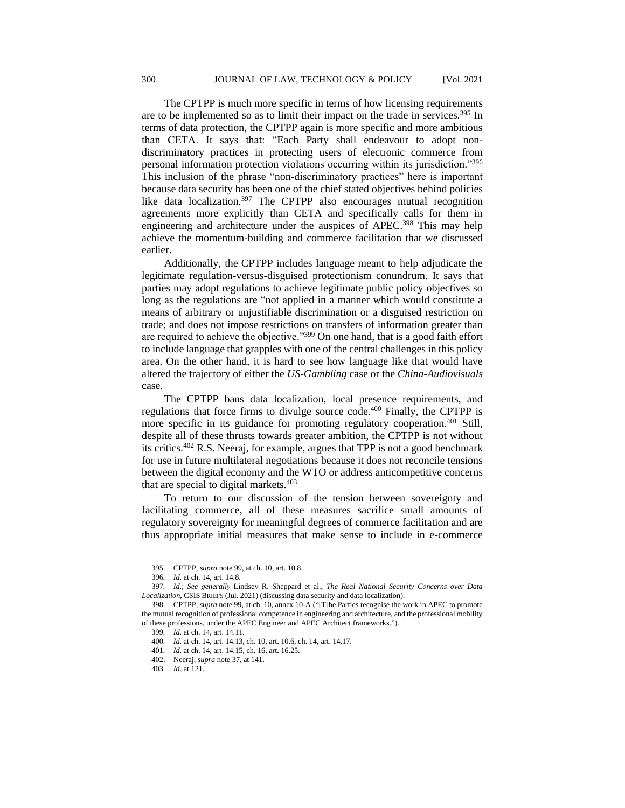The CPTPP is much more specific in terms of how licensing requirements are to be implemented so as to limit their impact on the trade in services.<sup>395</sup> In terms of data protection, the CPTPP again is more specific and more ambitious than CETA. It says that: "Each Party shall endeavour to adopt nondiscriminatory practices in protecting users of electronic commerce from personal information protection violations occurring within its jurisdiction."<sup>396</sup> This inclusion of the phrase "non-discriminatory practices" here is important because data security has been one of the chief stated objectives behind policies like data localization.<sup>397</sup> The CPTPP also encourages mutual recognition agreements more explicitly than CETA and specifically calls for them in engineering and architecture under the auspices of APEC.<sup>398</sup> This may help achieve the momentum-building and commerce facilitation that we discussed earlier.

Additionally, the CPTPP includes language meant to help adjudicate the legitimate regulation-versus-disguised protectionism conundrum. It says that parties may adopt regulations to achieve legitimate public policy objectives so long as the regulations are "not applied in a manner which would constitute a means of arbitrary or unjustifiable discrimination or a disguised restriction on trade; and does not impose restrictions on transfers of information greater than are required to achieve the objective."<sup>399</sup> On one hand, that is a good faith effort to include language that grapples with one of the central challenges in this policy area. On the other hand, it is hard to see how language like that would have altered the trajectory of either the *US-Gambling* case or the *China-Audiovisuals* case.

The CPTPP bans data localization, local presence requirements, and regulations that force firms to divulge source code.<sup>400</sup> Finally, the CPTPP is more specific in its guidance for promoting regulatory cooperation.<sup>401</sup> Still, despite all of these thrusts towards greater ambition, the CPTPP is not without its critics.<sup>402</sup> R.S. Neeraj, for example, argues that TPP is not a good benchmark for use in future multilateral negotiations because it does not reconcile tensions between the digital economy and the WTO or address anticompetitive concerns that are special to digital markets. $403$ 

To return to our discussion of the tension between sovereignty and facilitating commerce, all of these measures sacrifice small amounts of regulatory sovereignty for meaningful degrees of commerce facilitation and are thus appropriate initial measures that make sense to include in e-commerce

<sup>395.</sup> CPTPP, *supra* note 99, at ch. 10, art. 10.8.

<sup>396</sup>*. Id.* at ch. 14, art. 14.8.

<sup>397</sup>*. Id.*; *See generally* Lindsey R. Sheppard et al., *The Real National Security Concerns over Data Localization*, CSIS BRIEFS (Jul. 2021) (discussing data security and data localization).

<sup>398.</sup> CPTPP, *supra* note 99, at ch. 10, annex 10-A ("[T]he Parties recognise the work in APEC to promote the mutual recognition of professional competence in engineering and architecture, and the professional mobility of these professions, under the APEC Engineer and APEC Architect frameworks.").

<sup>399</sup>*. Id.* at ch. 14, art. 14.11.

<sup>400</sup>*. Id.* at ch. 14, art. 14.13, ch. 10, art. 10.6, ch. 14, art. 14.17.

<sup>401</sup>*. Id.* at ch. 14, art. 14.15, ch. 16, art. 16.25.

<sup>402.</sup> Neeraj, *supra* note 37, at 141.

<sup>403</sup>*. Id.* at 121.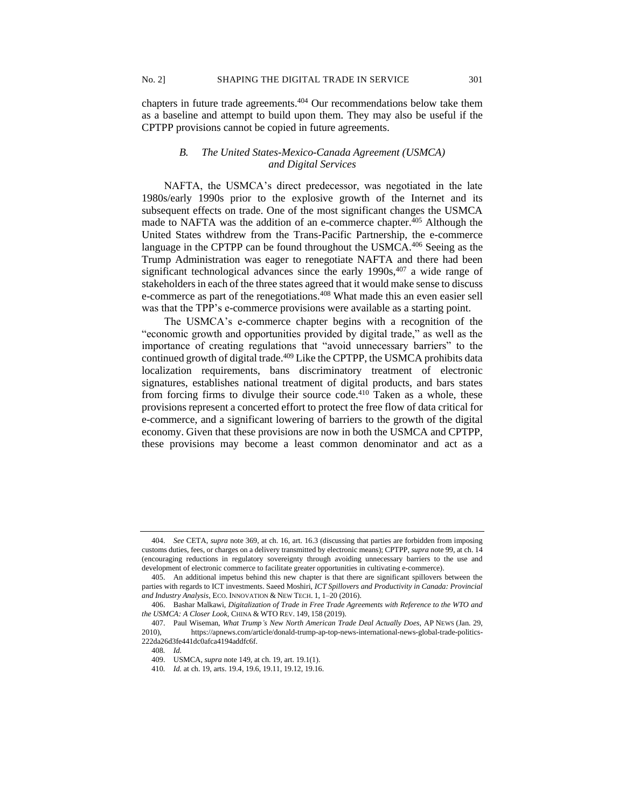chapters in future trade agreements.<sup>404</sup> Our recommendations below take them as a baseline and attempt to build upon them. They may also be useful if the CPTPP provisions cannot be copied in future agreements.

## *B. The United States-Mexico-Canada Agreement (USMCA) and Digital Services*

NAFTA, the USMCA's direct predecessor, was negotiated in the late 1980s/early 1990s prior to the explosive growth of the Internet and its subsequent effects on trade. One of the most significant changes the USMCA made to NAFTA was the addition of an e-commerce chapter.<sup>405</sup> Although the United States withdrew from the Trans-Pacific Partnership, the e-commerce language in the CPTPP can be found throughout the USMCA.<sup>406</sup> Seeing as the Trump Administration was eager to renegotiate NAFTA and there had been significant technological advances since the early  $1990s,407$  a wide range of stakeholders in each of the three states agreed that it would make sense to discuss e-commerce as part of the renegotiations.<sup>408</sup> What made this an even easier sell was that the TPP's e-commerce provisions were available as a starting point.

The USMCA's e-commerce chapter begins with a recognition of the "economic growth and opportunities provided by digital trade," as well as the importance of creating regulations that "avoid unnecessary barriers" to the continued growth of digital trade.<sup>409</sup> Like the CPTPP, the USMCA prohibits data localization requirements, bans discriminatory treatment of electronic signatures, establishes national treatment of digital products, and bars states from forcing firms to divulge their source code.<sup>410</sup> Taken as a whole, these provisions represent a concerted effort to protect the free flow of data critical for e-commerce, and a significant lowering of barriers to the growth of the digital economy. Given that these provisions are now in both the USMCA and CPTPP, these provisions may become a least common denominator and act as a

<sup>404.</sup> *See* CETA, *supra* note 369, at ch. 16, art. 16.3 (discussing that parties are forbidden from imposing customs duties, fees, or charges on a delivery transmitted by electronic means); CPTPP, *supra* note 99, at ch. 14 (encouraging reductions in regulatory sovereignty through avoiding unnecessary barriers to the use and development of electronic commerce to facilitate greater opportunities in cultivating e-commerce).

<sup>405.</sup> An additional impetus behind this new chapter is that there are significant spillovers between the parties with regards to ICT investments. Saeed Moshiri, *ICT Spillovers and Productivity in Canada: Provincial and Industry Analysis*, ECO. INNOVATION & NEW TECH. 1, 1–20 (2016).

<sup>406.</sup> Bashar Malkawi, *Digitalization of Trade in Free Trade Agreements with Reference to the WTO and the USMCA: A Closer Look,* CHINA & WTO REV. 149, 158 (2019).

<sup>407.</sup> Paul Wiseman, *What Trump's New North American Trade Deal Actually Does,* AP NEWS (Jan. 29, 2010), https://apnews.com/article/donald-trump-ap-top-news-international-news-global-trade-politics-222da26d3fe441dc0afca4194addfc6f.

<sup>408</sup>*. Id.* 

<sup>409.</sup> USMCA, *supra* note 149, at ch. 19, art. 19.1(1).

<sup>410</sup>*. Id.* at ch. 19, arts. 19.4, 19.6, 19.11, 19.12, 19.16.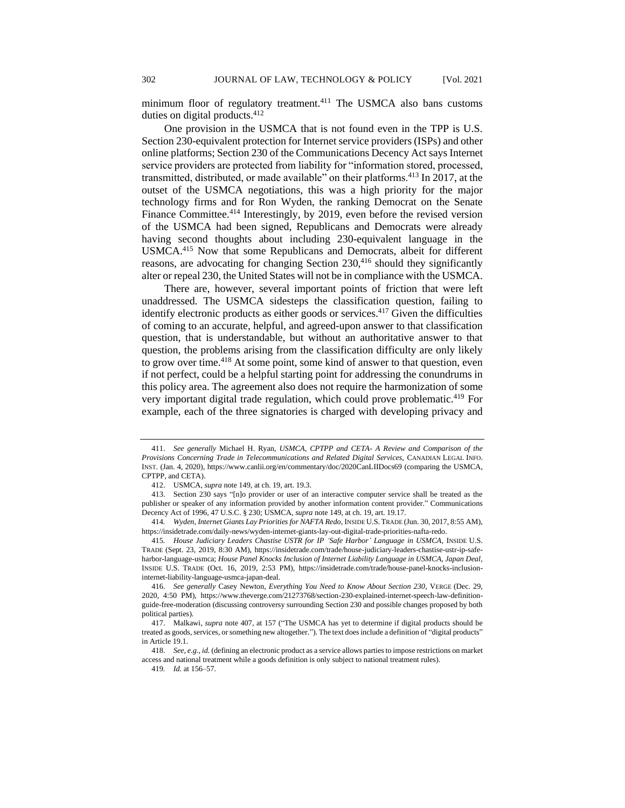minimum floor of regulatory treatment.<sup>411</sup> The USMCA also bans customs duties on digital products.<sup>412</sup>

One provision in the USMCA that is not found even in the TPP is U.S. Section 230-equivalent protection for Internet service providers (ISPs) and other online platforms; Section 230 of the Communications Decency Act says Internet service providers are protected from liability for "information stored, processed, transmitted, distributed, or made available" on their platforms.<sup>413</sup> In 2017, at the outset of the USMCA negotiations, this was a high priority for the major technology firms and for Ron Wyden, the ranking Democrat on the Senate Finance Committee.<sup>414</sup> Interestingly, by 2019, even before the revised version of the USMCA had been signed, Republicans and Democrats were already having second thoughts about including 230-equivalent language in the USMCA.<sup>415</sup> Now that some Republicans and Democrats, albeit for different reasons, are advocating for changing Section  $230$ ,<sup>416</sup> should they significantly alter or repeal 230, the United States will not be in compliance with the USMCA.

There are, however, several important points of friction that were left unaddressed. The USMCA sidesteps the classification question, failing to identify electronic products as either goods or services.<sup>417</sup> Given the difficulties of coming to an accurate, helpful, and agreed-upon answer to that classification question, that is understandable, but without an authoritative answer to that question, the problems arising from the classification difficulty are only likely to grow over time.<sup>418</sup> At some point, some kind of answer to that question, even if not perfect, could be a helpful starting point for addressing the conundrums in this policy area. The agreement also does not require the harmonization of some very important digital trade regulation, which could prove problematic.<sup>419</sup> For example, each of the three signatories is charged with developing privacy and

<sup>411.</sup> *See generally* Michael H. Ryan, *USMCA, CPTPP and CETA- A Review and Comparison of the Provisions Concerning Trade in Telecommunications and Related Digital Services,* CANADIAN LEGAL INFO. INST. (Jan. 4, 2020), https://www.canlii.org/en/commentary/doc/2020CanLIIDocs69 (comparing the USMCA, CPTPP, and CETA).

<sup>412.</sup> USMCA, *supra* note 149, at ch. 19, art. 19.3.

<sup>413.</sup> Section 230 says "[n]o provider or user of an interactive computer service shall be treated as the publisher or speaker of any information provided by another information content provider." Communications Decency Act of 1996, 47 U.S.C. § 230; USMCA, *supra* note 149, at ch. 19, art. 19.17.

<sup>414</sup>*. Wyden, Internet Giants Lay Priorities for NAFTA Redo*, INSIDE U.S. TRADE (Jun. 30, 2017, 8:55 AM), https://insidetrade.com/daily-news/wyden-internet-giants-lay-out-digital-trade-priorities-nafta-redo.

<sup>415</sup>*. House Judiciary Leaders Chastise USTR for IP 'Safe Harbor' Language in USMCA*, INSIDE U.S. TRADE (Sept. 23, 2019, 8:30 AM), https://insidetrade.com/trade/house-judiciary-leaders-chastise-ustr-ip-safeharbor-language-usmca; *House Panel Knocks Inclusion of Internet Liability Language in USMCA, Japan Deal*, INSIDE U.S. TRADE (Oct. 16, 2019, 2:53 PM), https://insidetrade.com/trade/house-panel-knocks-inclusioninternet-liability-language-usmca-japan-deal.

<sup>416.</sup> *See generally* Casey Newton, *Everything You Need to Know About Section 230*, VERGE (Dec. 29, 2020, 4:50 PM), https://www.theverge.com/21273768/section-230-explained-internet-speech-law-definitionguide-free-moderation (discussing controversy surrounding Section 230 and possible changes proposed by both political parties).

<sup>417.</sup> Malkawi, *supra* note 407, at 157 ("The USMCA has yet to determine if digital products should be treated as goods, services, or something new altogether."). The text does include a definition of "digital products" in Article 19.1.

<sup>418.</sup> *See, e.g., id.* (defining an electronic product as a service allows parties to impose restrictions on market access and national treatment while a goods definition is only subject to national treatment rules).

<sup>419</sup>*. Id.* at 156–57.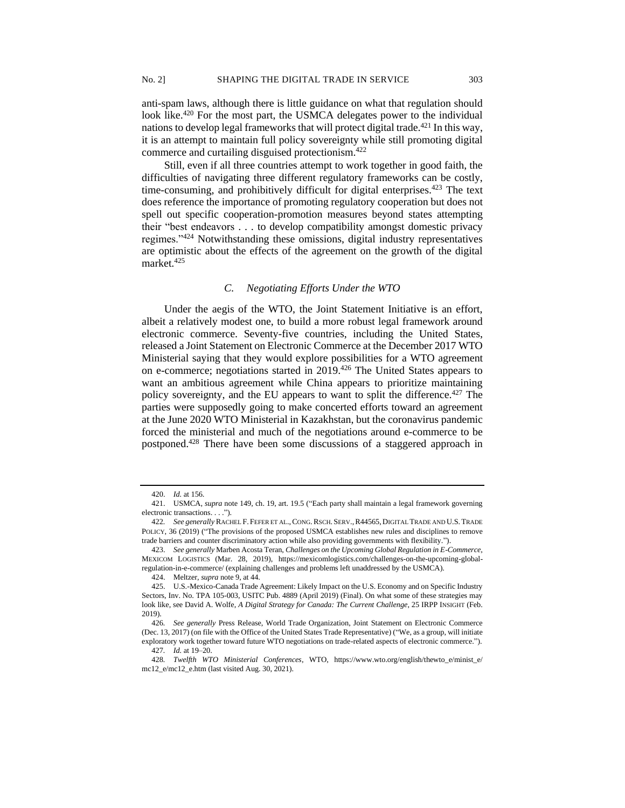anti-spam laws, although there is little guidance on what that regulation should look like.<sup>420</sup> For the most part, the USMCA delegates power to the individual nations to develop legal frameworks that will protect digital trade.<sup>421</sup> In this way, it is an attempt to maintain full policy sovereignty while still promoting digital commerce and curtailing disguised protectionism.<sup>422</sup>

Still, even if all three countries attempt to work together in good faith, the difficulties of navigating three different regulatory frameworks can be costly, time-consuming, and prohibitively difficult for digital enterprises.<sup> $423$ </sup> The text does reference the importance of promoting regulatory cooperation but does not spell out specific cooperation-promotion measures beyond states attempting their "best endeavors . . . to develop compatibility amongst domestic privacy regimes."<sup>424</sup> Notwithstanding these omissions, digital industry representatives are optimistic about the effects of the agreement on the growth of the digital market.<sup>425</sup>

# *C. Negotiating Efforts Under the WTO*

Under the aegis of the WTO, the Joint Statement Initiative is an effort, albeit a relatively modest one, to build a more robust legal framework around electronic commerce. Seventy-five countries, including the United States, released a Joint Statement on Electronic Commerce at the December 2017 WTO Ministerial saying that they would explore possibilities for a WTO agreement on e-commerce; negotiations started in 2019.<sup>426</sup> The United States appears to want an ambitious agreement while China appears to prioritize maintaining policy sovereignty, and the EU appears to want to split the difference.<sup>427</sup> The parties were supposedly going to make concerted efforts toward an agreement at the June 2020 WTO Ministerial in Kazakhstan, but the coronavirus pandemic forced the ministerial and much of the negotiations around e-commerce to be postponed.<sup>428</sup> There have been some discussions of a staggered approach in

<sup>420.</sup> *Id.* at 156.

<sup>421.</sup> USMCA, *supra* note 149, ch. 19, art. 19.5 ("Each party shall maintain a legal framework governing electronic transactions. . . .").

<sup>422</sup>*. See generally* RACHEL F. FEFER ET AL.,CONG.RSCH. SERV.,R44565,DIGITAL TRADE AND U.S.TRADE POLICY, 36 (2019) ("The provisions of the proposed USMCA establishes new rules and disciplines to remove trade barriers and counter discriminatory action while also providing governments with flexibility.").

<sup>423.</sup> *See generally* Marben Acosta Teran, *Challenges on the Upcoming Global Regulation in E-Commerce*, MEXICOM LOGISTICS (Mar. 28, 2019), https://mexicomlogistics.com/challenges-on-the-upcoming-globalregulation-in-e-commerce/ (explaining challenges and problems left unaddressed by the USMCA).

<sup>424.</sup> Meltzer, *supra* note 9, at 44.

<sup>425.</sup> U.S.-Mexico-Canada Trade Agreement: Likely Impact on the U.S. Economy and on Specific Industry Sectors, Inv. No. TPA 105-003, USITC Pub. 4889 (April 2019) (Final). On what some of these strategies may look like, see David A. Wolfe, *A Digital Strategy for Canada: The Current Challenge*, 25 IRPP INSIGHT (Feb. 2019).

<sup>426</sup>*. See generally* Press Release, World Trade Organization, Joint Statement on Electronic Commerce (Dec. 13, 2017) (on file with the Office of the United States Trade Representative) ("We, as a group, will initiate exploratory work together toward future WTO negotiations on trade-related aspects of electronic commerce.").

<sup>427</sup>*. Id.* at 19–20.

<sup>428</sup>*. Twelfth WTO Ministerial Conferences*, WTO, https://www.wto.org/english/thewto\_e/minist\_e/ mc12\_e/mc12\_e.htm (last visited Aug. 30, 2021).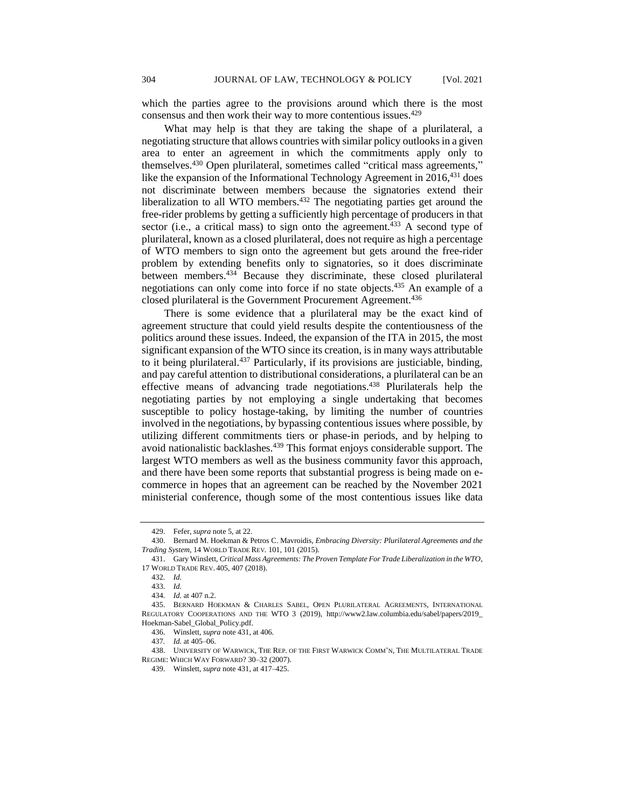which the parties agree to the provisions around which there is the most consensus and then work their way to more contentious issues.<sup>429</sup>

What may help is that they are taking the shape of a plurilateral, a negotiating structure that allows countries with similar policy outlooks in a given area to enter an agreement in which the commitments apply only to themselves.<sup>430</sup> Open plurilateral, sometimes called "critical mass agreements," like the expansion of the Informational Technology Agreement in  $2016$ <sup>431</sup> does not discriminate between members because the signatories extend their liberalization to all WTO members. $432$  The negotiating parties get around the free-rider problems by getting a sufficiently high percentage of producers in that sector (i.e., a critical mass) to sign onto the agreement.<sup>433</sup> A second type of plurilateral, known as a closed plurilateral, does not require as high a percentage of WTO members to sign onto the agreement but gets around the free-rider problem by extending benefits only to signatories, so it does discriminate between members.<sup>434</sup> Because they discriminate, these closed plurilateral negotiations can only come into force if no state objects. <sup>435</sup> An example of a closed plurilateral is the Government Procurement Agreement.<sup>436</sup>

There is some evidence that a plurilateral may be the exact kind of agreement structure that could yield results despite the contentiousness of the politics around these issues. Indeed, the expansion of the ITA in 2015, the most significant expansion of the WTO since its creation, is in many ways attributable to it being plurilateral.<sup>437</sup> Particularly, if its provisions are justiciable, binding, and pay careful attention to distributional considerations, a plurilateral can be an effective means of advancing trade negotiations.<sup>438</sup> Plurilaterals help the negotiating parties by not employing a single undertaking that becomes susceptible to policy hostage-taking, by limiting the number of countries involved in the negotiations, by bypassing contentious issues where possible, by utilizing different commitments tiers or phase-in periods, and by helping to avoid nationalistic backlashes.<sup>439</sup> This format enjoys considerable support. The largest WTO members as well as the business community favor this approach, and there have been some reports that substantial progress is being made on ecommerce in hopes that an agreement can be reached by the November 2021 ministerial conference, though some of the most contentious issues like data

<sup>429.</sup> Fefer, *supra* note 5, at 22.

<sup>430.</sup> Bernard M. Hoekman & Petros C. Mavroidis, *Embracing Diversity: Plurilateral Agreements and the Trading System*, 14 WORLD TRADE REV*.* 101, 101 (2015).

<sup>431.</sup> Gary Winslett, *Critical Mass Agreements: The Proven Template For Trade Liberalization in the WTO*, 17 WORLD TRADE REV. 405, 407 (2018).

<sup>432</sup>*. Id.*

<sup>433</sup>*. Id.*

<sup>434</sup>*. Id.* at 407 n.2.

<sup>435.</sup> BERNARD HOEKMAN & CHARLES SABEL, OPEN PLURILATERAL AGREEMENTS, INTERNATIONAL REGULATORY COOPERATIONS AND THE WTO 3 (2019), http://www2.law.columbia.edu/sabel/papers/2019\_ Hoekman-Sabel\_Global\_Policy.pdf.

<sup>436.</sup> Winslett*, supra* note 431, at 406.

<sup>437</sup>*. Id.* at 405–06.

<sup>438.</sup> UNIVERSITY OF WARWICK, THE REP. OF THE FIRST WARWICK COMM'N, THE MULTILATERAL TRADE REGIME: WHICH WAY FORWARD? 30–32 (2007).

<sup>439.</sup> Winslett, *supra* note 431, at 417–425.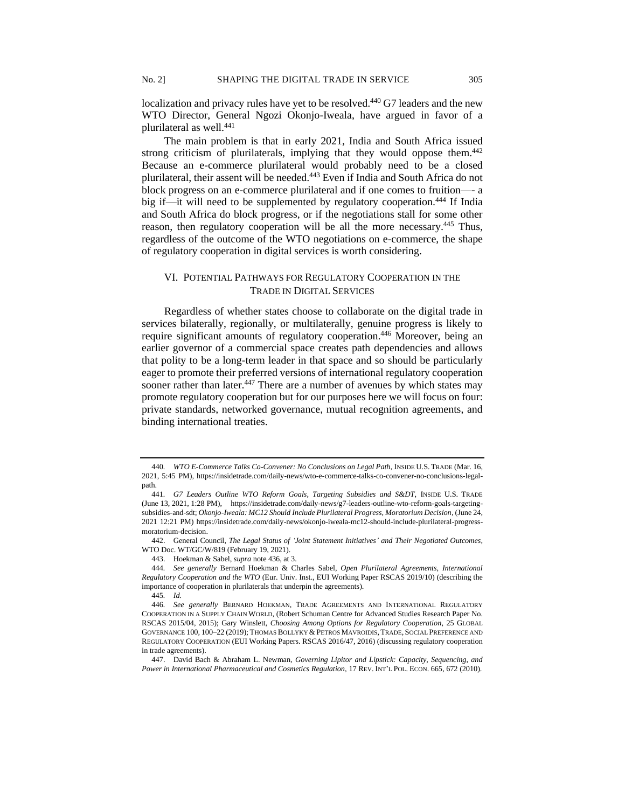localization and privacy rules have yet to be resolved.<sup>440</sup> G7 leaders and the new WTO Director, General Ngozi Okonjo-Iweala, have argued in favor of a plurilateral as well.<sup>441</sup>

The main problem is that in early 2021, India and South Africa issued strong criticism of plurilaterals, implying that they would oppose them.<sup>442</sup> Because an e-commerce plurilateral would probably need to be a closed plurilateral, their assent will be needed.<sup>443</sup> Even if India and South Africa do not block progress on an e-commerce plurilateral and if one comes to fruition—- a big if—it will need to be supplemented by regulatory cooperation.<sup>444</sup> If India and South Africa do block progress, or if the negotiations stall for some other reason, then regulatory cooperation will be all the more necessary.<sup>445</sup> Thus, regardless of the outcome of the WTO negotiations on e-commerce, the shape of regulatory cooperation in digital services is worth considering.

# VI. POTENTIAL PATHWAYS FOR REGULATORY COOPERATION IN THE TRADE IN DIGITAL SERVICES

Regardless of whether states choose to collaborate on the digital trade in services bilaterally, regionally, or multilaterally, genuine progress is likely to require significant amounts of regulatory cooperation.<sup>446</sup> Moreover, being an earlier governor of a commercial space creates path dependencies and allows that polity to be a long-term leader in that space and so should be particularly eager to promote their preferred versions of international regulatory cooperation sooner rather than later.<sup>447</sup> There are a number of avenues by which states may promote regulatory cooperation but for our purposes here we will focus on four: private standards, networked governance, mutual recognition agreements, and binding international treaties.

<sup>440</sup>*. WTO E-Commerce Talks Co-Convener: No Conclusions on Legal Path*, INSIDE U.S. TRADE (Mar. 16, 2021, 5:45 PM), https://insidetrade.com/daily-news/wto-e-commerce-talks-co-convener-no-conclusions-legalpath.

<sup>441</sup>*. G7 Leaders Outline WTO Reform Goals, Targeting Subsidies and S&DT*, INSIDE U.S. TRADE (June 13, 2021, 1:28 PM), https://insidetrade.com/daily-news/g7-leaders-outline-wto-reform-goals-targetingsubsidies-and-sdt; *Okonjo-Iweala: MC12 Should Include Plurilateral Progress, Moratorium Decision*, (June 24, 2021 12:21 PM) https://insidetrade.com/daily-news/okonjo-iweala-mc12-should-include-plurilateral-progressmoratorium-decision.

<sup>442.</sup> General Council, *The Legal Status of 'Joint Statement Initiatives' and Their Negotiated Outcomes*, WTO Doc. WT/GC/W/819 (February 19, 2021).

<sup>443.</sup> Hoekman & Sabel, *supra* note 436, at 3.

<sup>444</sup>*. See generally* Bernard Hoekman & Charles Sabel, *Open Plurilateral Agreements, International Regulatory Cooperation and the WTO* (Eur. Univ. Inst., EUI Working Paper RSCAS 2019/10) (describing the importance of cooperation in plurilaterals that underpin the agreements).

<sup>445</sup>*. Id.*

<sup>446</sup>*. See generally* BERNARD HOEKMAN, TRADE AGREEMENTS AND INTERNATIONAL REGULATORY COOPERATION IN A SUPPLY CHAIN WORLD, (Robert Schuman Centre for Advanced Studies Research Paper No. RSCAS 2015/04, 2015); Gary Winslett, *Choosing Among Options for Regulatory Cooperation*, 25 GLOBAL GOVERNANCE 100, 100–22 (2019); THOMAS BOLLYKY & PETROS MAVROIDIS,TRADE, SOCIAL PREFERENCE AND REGULATORY COOPERATION (EUI Working Papers. RSCAS 2016/47, 2016) (discussing regulatory cooperation in trade agreements).

<sup>447.</sup> David Bach & Abraham L. Newman, *Governing Lipitor and Lipstick: Capacity, Sequencing, and Power in International Pharmaceutical and Cosmetics Regulation, 17 REV. INT'L POL. ECON. 665, 672 (2010).*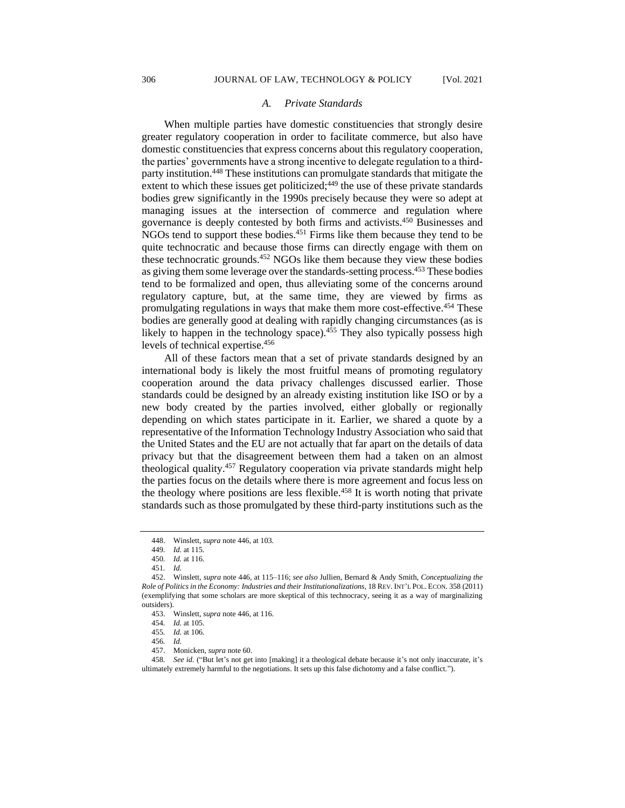#### *A. Private Standards*

When multiple parties have domestic constituencies that strongly desire greater regulatory cooperation in order to facilitate commerce, but also have domestic constituencies that express concerns about this regulatory cooperation, the parties' governments have a strong incentive to delegate regulation to a thirdparty institution.<sup>448</sup> These institutions can promulgate standards that mitigate the extent to which these issues get politicized; $449$  the use of these private standards bodies grew significantly in the 1990s precisely because they were so adept at managing issues at the intersection of commerce and regulation where governance is deeply contested by both firms and activists.<sup>450</sup> Businesses and NGOs tend to support these bodies.<sup>451</sup> Firms like them because they tend to be quite technocratic and because those firms can directly engage with them on these technocratic grounds.<sup>452</sup> NGOs like them because they view these bodies as giving them some leverage over the standards-setting process.<sup>453</sup> These bodies tend to be formalized and open, thus alleviating some of the concerns around regulatory capture, but, at the same time, they are viewed by firms as promulgating regulations in ways that make them more cost-effective.<sup>454</sup> These bodies are generally good at dealing with rapidly changing circumstances (as is likely to happen in the technology space). $455$  They also typically possess high levels of technical expertise.<sup>456</sup>

All of these factors mean that a set of private standards designed by an international body is likely the most fruitful means of promoting regulatory cooperation around the data privacy challenges discussed earlier. Those standards could be designed by an already existing institution like ISO or by a new body created by the parties involved, either globally or regionally depending on which states participate in it. Earlier, we shared a quote by a representative of the Information Technology Industry Association who said that the United States and the EU are not actually that far apart on the details of data privacy but that the disagreement between them had a taken on an almost theological quality.<sup>457</sup> Regulatory cooperation via private standards might help the parties focus on the details where there is more agreement and focus less on the theology where positions are less flexible.<sup>458</sup> It is worth noting that private standards such as those promulgated by these third-party institutions such as the

<sup>448.</sup> Winslett, *supra* note 446, at 103.

<sup>449</sup>*. Id.* at 115.

<sup>450</sup>*. Id.* at 116.

<sup>451</sup>*. Id.*

<sup>452.</sup> Winslett, *supra* note 446, at 115–116; *see also* Jullien, Bernard & Andy Smith, *Conceptualizing the Role of Politics in the Economy: Industries and their Institutionalizations*, 18 REV. INT'L POL. ECON. 358 (2011) (exemplifying that some scholars are more skeptical of this technocracy, seeing it as a way of marginalizing outsiders).

<sup>453.</sup> Winslett, *supra* note 446, at 116.

<sup>454</sup>*. Id.* at 105.

<sup>455</sup>*. Id.* at 106.

<sup>456</sup>*. Id.*

<sup>457.</sup> Monicken, *supra* note 60.

<sup>458</sup>*. See id.* ("But let's not get into [making] it a theological debate because it's not only inaccurate, it's ultimately extremely harmful to the negotiations. It sets up this false dichotomy and a false conflict.").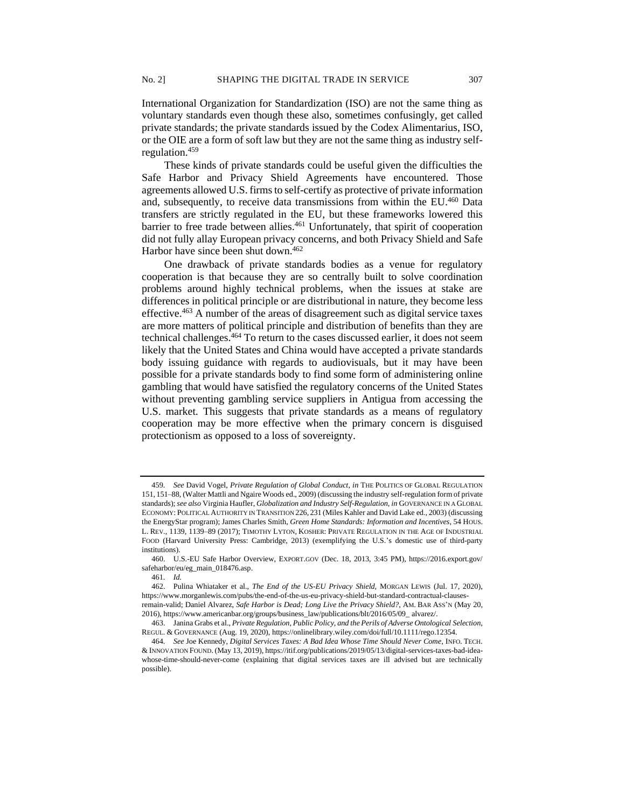International Organization for Standardization (ISO) are not the same thing as voluntary standards even though these also, sometimes confusingly, get called private standards; the private standards issued by the Codex Alimentarius, ISO, or the OIE are a form of soft law but they are not the same thing as industry selfregulation.<sup>459</sup>

These kinds of private standards could be useful given the difficulties the Safe Harbor and Privacy Shield Agreements have encountered. Those agreements allowed U.S. firms to self-certify as protective of private information and, subsequently, to receive data transmissions from within the EU.<sup>460</sup> Data transfers are strictly regulated in the EU, but these frameworks lowered this barrier to free trade between allies.<sup>461</sup> Unfortunately, that spirit of cooperation did not fully allay European privacy concerns, and both Privacy Shield and Safe Harbor have since been shut down.<sup>462</sup>

One drawback of private standards bodies as a venue for regulatory cooperation is that because they are so centrally built to solve coordination problems around highly technical problems, when the issues at stake are differences in political principle or are distributional in nature, they become less effective.<sup>463</sup> A number of the areas of disagreement such as digital service taxes are more matters of political principle and distribution of benefits than they are technical challenges.<sup>464</sup> To return to the cases discussed earlier, it does not seem likely that the United States and China would have accepted a private standards body issuing guidance with regards to audiovisuals, but it may have been possible for a private standards body to find some form of administering online gambling that would have satisfied the regulatory concerns of the United States without preventing gambling service suppliers in Antigua from accessing the U.S. market. This suggests that private standards as a means of regulatory cooperation may be more effective when the primary concern is disguised protectionism as opposed to a loss of sovereignty.

<sup>459</sup>*. See* David Vogel, *Private Regulation of Global Conduct*, *in* THE POLITICS OF GLOBAL REGULATION 151, 151–88*,* (Walter Mattli and Ngaire Woods ed., 2009) (discussing the industry self-regulation form of private standards); *see also* Virginia Haufler, *Globalization and Industry Self-Regulation*, *in* GOVERNANCE IN A GLOBAL ECONOMY: POLITICAL AUTHORITY IN TRANSITION 226, 231 (Miles Kahler and David Lake ed., 2003) (discussing the EnergyStar program); James Charles Smith, *Green Home Standards: Information and Incentives*, 54 HOUS. L. REV*.*, 1139, 1139–89 (2017); TIMOTHY LYTON, KOSHER: PRIVATE REGULATION IN THE AGE OF INDUSTRIAL FOOD (Harvard University Press: Cambridge, 2013) (exemplifying the U.S.'s domestic use of third-party institutions).

<sup>460.</sup> U.S.-EU Safe Harbor Overview, EXPORT.GOV (Dec. 18, 2013, 3:45 PM), https://2016.export.gov/ safeharbor/eu/eg\_main\_018476.asp.

<sup>461</sup>*. Id.*

<sup>462.</sup> Pulina Whiataker et al., *The End of the US-EU Privacy Shield,* MORGAN LEWIS (Jul. 17, 2020), https://www.morganlewis.com/pubs/the-end-of-the-us-eu-privacy-shield-but-standard-contractual-clausesremain-valid; Daniel Alvarez, *Safe Harbor is Dead; Long Live the Privacy Shield?*, AM. BAR ASS'N (May 20,

<sup>2016),</sup> https://www.americanbar.org/groups/business\_law/publications/blt/2016/05/09\_ alvarez/.

<sup>463.</sup> Janina Grabs et al., *Private Regulation, Public Policy, and the Perils of Adverse Ontological Selection,* REGUL. & GOVERNANCE (Aug. 19, 2020), https://onlinelibrary.wiley.com/doi/full/10.1111/rego.12354.

<sup>464</sup>*. See* Joe Kennedy, *Digital Services Taxes: A Bad Idea Whose Time Should Never Come*, INFO. TECH. & INNOVATION FOUND. (May 13, 2019), https://itif.org/publications/2019/05/13/digital-services-taxes-bad-ideawhose-time-should-never-come (explaining that digital services taxes are ill advised but are technically possible).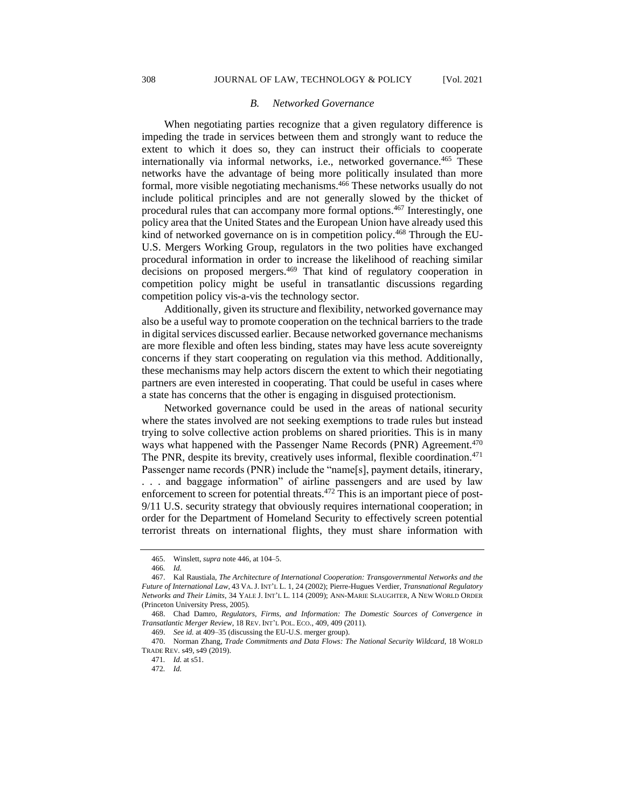#### *B. Networked Governance*

When negotiating parties recognize that a given regulatory difference is impeding the trade in services between them and strongly want to reduce the extent to which it does so, they can instruct their officials to cooperate internationally via informal networks, i.e., networked governance.<sup>465</sup> These networks have the advantage of being more politically insulated than more formal, more visible negotiating mechanisms.<sup>466</sup> These networks usually do not include political principles and are not generally slowed by the thicket of procedural rules that can accompany more formal options.<sup>467</sup> Interestingly, one policy area that the United States and the European Union have already used this kind of networked governance on is in competition policy.<sup>468</sup> Through the EU-U.S. Mergers Working Group, regulators in the two polities have exchanged procedural information in order to increase the likelihood of reaching similar decisions on proposed mergers.<sup>469</sup> That kind of regulatory cooperation in competition policy might be useful in transatlantic discussions regarding competition policy vis-a-vis the technology sector.

Additionally, given its structure and flexibility, networked governance may also be a useful way to promote cooperation on the technical barriers to the trade in digital services discussed earlier. Because networked governance mechanisms are more flexible and often less binding, states may have less acute sovereignty concerns if they start cooperating on regulation via this method. Additionally, these mechanisms may help actors discern the extent to which their negotiating partners are even interested in cooperating. That could be useful in cases where a state has concerns that the other is engaging in disguised protectionism.

Networked governance could be used in the areas of national security where the states involved are not seeking exemptions to trade rules but instead trying to solve collective action problems on shared priorities. This is in many ways what happened with the Passenger Name Records (PNR) Agreement.<sup>470</sup> The PNR, despite its brevity, creatively uses informal, flexible coordination.<sup>471</sup> Passenger name records (PNR) include the "name[s], payment details, itinerary, . . . and baggage information" of airline passengers and are used by law enforcement to screen for potential threats.<sup>472</sup> This is an important piece of post-9/11 U.S. security strategy that obviously requires international cooperation; in order for the Department of Homeland Security to effectively screen potential terrorist threats on international flights, they must share information with

<sup>465.</sup> Winslett, *supra* note 446, at 104–5.

<sup>466</sup>*. Id.*

<sup>467.</sup> Kal Raustiala, *The Architecture of International Cooperation: Transgovernmental Networks and the Future of International Law*, 43 VA.J. INT'L L. 1, 24 (2002); Pierre-Hugues Verdier, *Transnational Regulatory Networks and Their Limits*, 34 YALE J. INT'L L. 114 (2009); ANN-MARIE SLAUGHTER, A NEW WORLD ORDER (Princeton University Press, 2005).

<sup>468.</sup> Chad Damro, *Regulators, Firms, and Information: The Domestic Sources of Convergence in Transatlantic Merger Review*, 18 REV. INT'L POL. ECO., 409, 409 (2011).

<sup>469.</sup> *See id.* at 409–35 (discussing the EU-U.S. merger group).

<sup>470.</sup> Norman Zhang, *Trade Commitments and Data Flows: The National Security Wildcard*, 18 WORLD TRADE REV. s49, s49 (2019).

<sup>471</sup>*. Id.* at s51.

<sup>472</sup>*. Id.*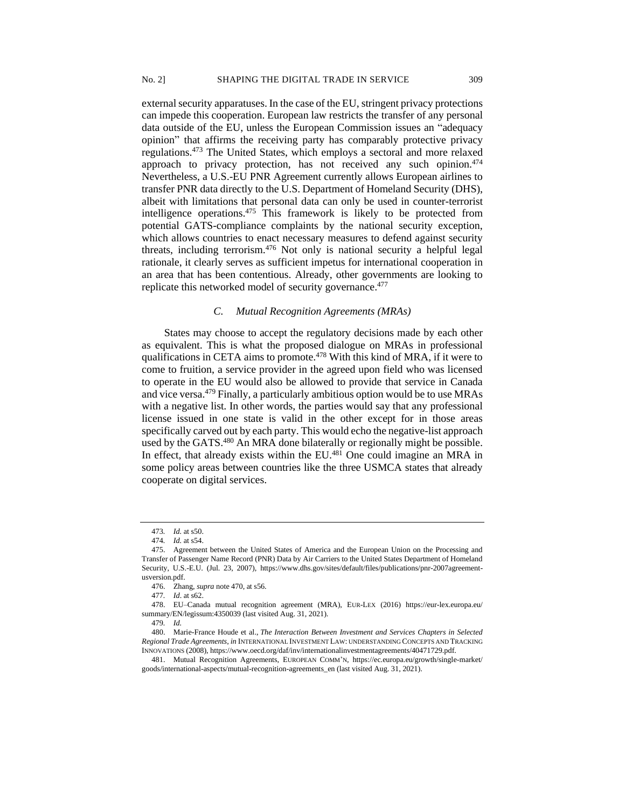external security apparatuses. In the case of the EU, stringent privacy protections can impede this cooperation. European law restricts the transfer of any personal data outside of the EU, unless the European Commission issues an "adequacy opinion" that affirms the receiving party has comparably protective privacy regulations.<sup>473</sup> The United States, which employs a sectoral and more relaxed approach to privacy protection, has not received any such opinion.<sup>474</sup> Nevertheless, a U.S.-EU PNR Agreement currently allows European airlines to transfer PNR data directly to the U.S. Department of Homeland Security (DHS), albeit with limitations that personal data can only be used in counter-terrorist intelligence operations.<sup>475</sup> This framework is likely to be protected from potential GATS-compliance complaints by the national security exception, which allows countries to enact necessary measures to defend against security threats, including terrorism.<sup>476</sup> Not only is national security a helpful legal rationale, it clearly serves as sufficient impetus for international cooperation in an area that has been contentious. Already, other governments are looking to replicate this networked model of security governance.<sup>477</sup>

## *C. Mutual Recognition Agreements (MRAs)*

States may choose to accept the regulatory decisions made by each other as equivalent. This is what the proposed dialogue on MRAs in professional qualifications in CETA aims to promote.<sup>478</sup> With this kind of MRA, if it were to come to fruition, a service provider in the agreed upon field who was licensed to operate in the EU would also be allowed to provide that service in Canada and vice versa.<sup>479</sup> Finally, a particularly ambitious option would be to use MRAs with a negative list. In other words, the parties would say that any professional license issued in one state is valid in the other except for in those areas specifically carved out by each party. This would echo the negative-list approach used by the GATS.<sup>480</sup> An MRA done bilaterally or regionally might be possible. In effect, that already exists within the EU.<sup>481</sup> One could imagine an MRA in some policy areas between countries like the three USMCA states that already cooperate on digital services.

<sup>473</sup>*. Id.* at s50.

<sup>474</sup>*. Id.* at s54.

<sup>475.</sup> Agreement between the United States of America and the European Union on the Processing and Transfer of Passenger Name Record (PNR) Data by Air Carriers to the United States Department of Homeland Security, U.S.-E.U. (Jul. 23, 2007), https://www.dhs.gov/sites/default/files/publications/pnr-2007agreementusversion.pdf.

<sup>476.</sup> Zhang, *supra* note 470, at s56.

<sup>477</sup>*. Id*. at s62.

<sup>478.</sup> EU–Canada mutual recognition agreement (MRA), EUR-LEX (2016) https://eur-lex.europa.eu/ summary/EN/legissum:4350039 (last visited Aug. 31, 2021).

<sup>479</sup>*. Id.*

<sup>480.</sup> Marie-France Houde et al., *The Interaction Between Investment and Services Chapters in Selected Regional Trade Agreements*, *in* INTERNATIONAL INVESTMENT LAW: UNDERSTANDING CONCEPTS AND TRACKING INNOVATIONS (2008), https://www.oecd.org/daf/inv/internationalinvestmentagreements/40471729.pdf.

<sup>481.</sup> Mutual Recognition Agreements, EUROPEAN COMM'N, https://ec.europa.eu/growth/single-market/ goods/international-aspects/mutual-recognition-agreements\_en (last visited Aug. 31, 2021).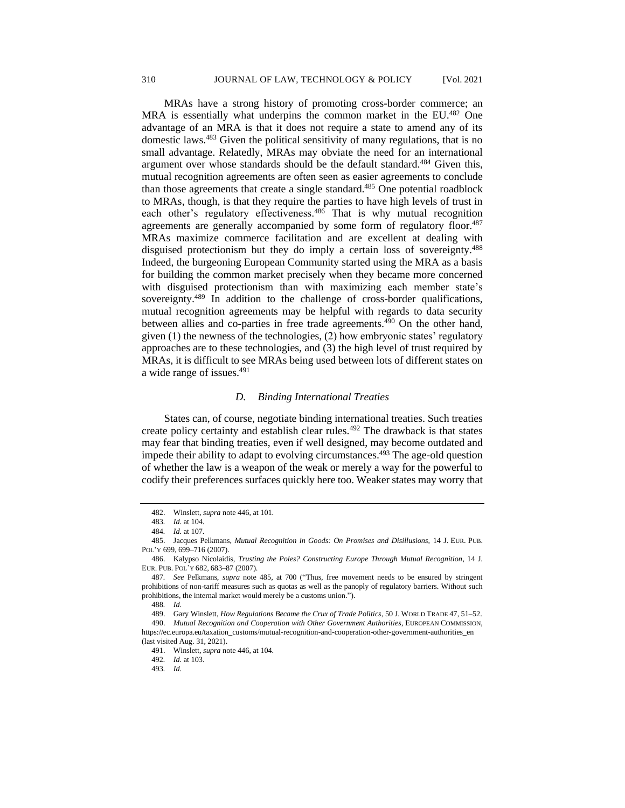MRAs have a strong history of promoting cross-border commerce; an MRA is essentially what underpins the common market in the EU.<sup>482</sup> One advantage of an MRA is that it does not require a state to amend any of its domestic laws.<sup>483</sup> Given the political sensitivity of many regulations, that is no small advantage. Relatedly, MRAs may obviate the need for an international argument over whose standards should be the default standard.<sup>484</sup> Given this, mutual recognition agreements are often seen as easier agreements to conclude than those agreements that create a single standard.<sup>485</sup> One potential roadblock to MRAs, though, is that they require the parties to have high levels of trust in each other's regulatory effectiveness.<sup>486</sup> That is why mutual recognition agreements are generally accompanied by some form of regulatory floor.<sup>487</sup> MRAs maximize commerce facilitation and are excellent at dealing with disguised protectionism but they do imply a certain loss of sovereignty.<sup>488</sup> Indeed, the burgeoning European Community started using the MRA as a basis for building the common market precisely when they became more concerned with disguised protectionism than with maximizing each member state's sovereignty.<sup>489</sup> In addition to the challenge of cross-border qualifications, mutual recognition agreements may be helpful with regards to data security between allies and co-parties in free trade agreements.<sup>490</sup> On the other hand, given (1) the newness of the technologies, (2) how embryonic states' regulatory approaches are to these technologies, and (3) the high level of trust required by MRAs, it is difficult to see MRAs being used between lots of different states on a wide range of issues.<sup>491</sup>

## *D. Binding International Treaties*

States can, of course, negotiate binding international treaties. Such treaties create policy certainty and establish clear rules.<sup>492</sup> The drawback is that states may fear that binding treaties, even if well designed, may become outdated and impede their ability to adapt to evolving circumstances.<sup>493</sup> The age-old question of whether the law is a weapon of the weak or merely a way for the powerful to codify their preferences surfaces quickly here too. Weaker states may worry that

<sup>482.</sup> Winslett, *supra* note 446, at 101.

<sup>483</sup>*. Id.* at 104.

<sup>484</sup>*. Id.* at 107.

<sup>485.</sup> Jacques Pelkmans, *Mutual Recognition in Goods: On Promises and Disillusions,* 14 J. EUR. PUB. POL'Y 699, 699-716 (2007).

<sup>486.</sup> Kalypso Nicolaidis, *Trusting the Poles? Constructing Europe Through Mutual Recognition*, 14 J. EUR. PUB. POL'Y 682, 683–87 (2007).

<sup>487</sup>*. See* Pelkmans, *supra* note 485, at 700 ("Thus, free movement needs to be ensured by stringent prohibitions of non-tariff measures such as quotas as well as the panoply of regulatory barriers. Without such prohibitions, the internal market would merely be a customs union.").

<sup>488</sup>*. Id.*

<sup>489.</sup> Gary Winslett, *How Regulations Became the Crux of Trade Politics*, 50 J. WORLD TRADE 47, 51–52. 490. *Mutual Recognition and Cooperation with Other Government Authorities*, EUROPEAN COMMISSION,

https://ec.europa.eu/taxation\_customs/mutual-recognition-and-cooperation-other-government-authorities\_en (last visited Aug. 31, 2021).

<sup>491.</sup> Winslett, *supra* note 446, at 104.

<sup>492</sup>*. Id.* at 103.

<sup>493</sup>*. Id.*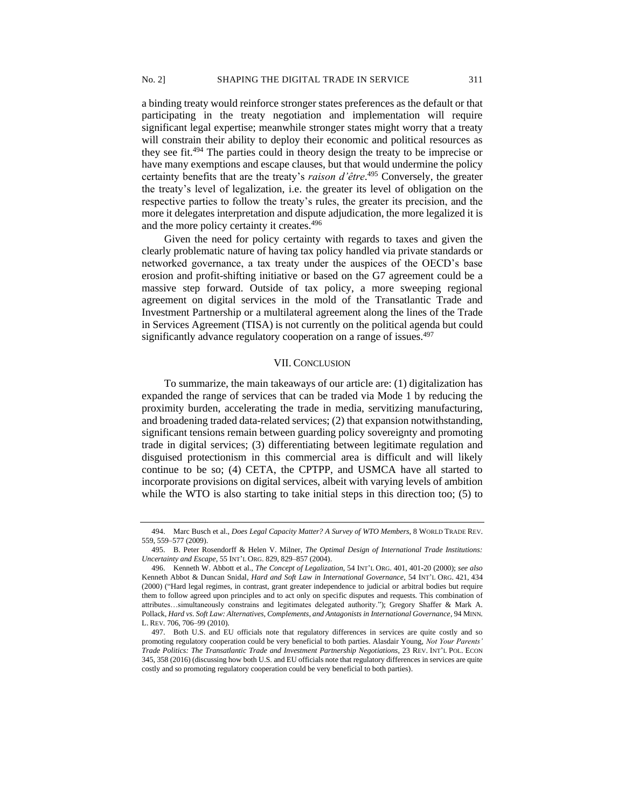a binding treaty would reinforce stronger states preferences as the default or that participating in the treaty negotiation and implementation will require significant legal expertise; meanwhile stronger states might worry that a treaty will constrain their ability to deploy their economic and political resources as they see fit.<sup>494</sup> The parties could in theory design the treaty to be imprecise or have many exemptions and escape clauses, but that would undermine the policy certainty benefits that are the treaty's *raison d'être*. <sup>495</sup> Conversely, the greater the treaty's level of legalization, i.e. the greater its level of obligation on the respective parties to follow the treaty's rules, the greater its precision, and the more it delegates interpretation and dispute adjudication, the more legalized it is and the more policy certainty it creates.<sup>496</sup>

Given the need for policy certainty with regards to taxes and given the clearly problematic nature of having tax policy handled via private standards or networked governance, a tax treaty under the auspices of the OECD's base erosion and profit-shifting initiative or based on the G7 agreement could be a massive step forward. Outside of tax policy, a more sweeping regional agreement on digital services in the mold of the Transatlantic Trade and Investment Partnership or a multilateral agreement along the lines of the Trade in Services Agreement (TISA) is not currently on the political agenda but could significantly advance regulatory cooperation on a range of issues.<sup>497</sup>

#### VII. CONCLUSION

To summarize, the main takeaways of our article are: (1) digitalization has expanded the range of services that can be traded via Mode 1 by reducing the proximity burden, accelerating the trade in media, servitizing manufacturing, and broadening traded data-related services; (2) that expansion notwithstanding, significant tensions remain between guarding policy sovereignty and promoting trade in digital services; (3) differentiating between legitimate regulation and disguised protectionism in this commercial area is difficult and will likely continue to be so; (4) CETA, the CPTPP, and USMCA have all started to incorporate provisions on digital services, albeit with varying levels of ambition while the WTO is also starting to take initial steps in this direction too; (5) to

<sup>494.</sup> Marc Busch et al., *Does Legal Capacity Matter? A Survey of WTO Members*, 8 WORLD TRADE REV. 559, 559–577 (2009).

<sup>495.</sup> B. Peter Rosendorff & Helen V. Milner, *The Optimal Design of International Trade Institutions: Uncertainty and Escape*, 55 INT'L ORG. 829, 829–857 (2004).

<sup>496.</sup> Kenneth W. Abbott et al., *The Concept of Legalization*, 54 INT'L ORG. 401, 401-20 (2000); *see also* Kenneth Abbot & Duncan Snidal, *Hard and Soft Law in International Governance*, 54 INT'L ORG. 421, 434 (2000) ("Hard legal regimes, in contrast, grant greater independence to judicial or arbitral bodies but require them to follow agreed upon principles and to act only on specific disputes and requests. This combination of attributes…simultaneously constrains and legitimates delegated authority."); Gregory Shaffer & Mark A. Pollack, *Hard vs. Soft Law: Alternatives, Complements, and Antagonists in International Governance*, 94 MINN. L. REV. 706, 706–99 (2010).

<sup>497.</sup> Both U.S. and EU officials note that regulatory differences in services are quite costly and so promoting regulatory cooperation could be very beneficial to both parties. Alasdair Young, *Not Your Parents' Trade Politics: The Transatlantic Trade and Investment Partnership Negotiations*, 23 REV. INT'L POL. ECON 345, 358 (2016) (discussing how both U.S. and EU officials note that regulatory differences in services are quite costly and so promoting regulatory cooperation could be very beneficial to both parties).